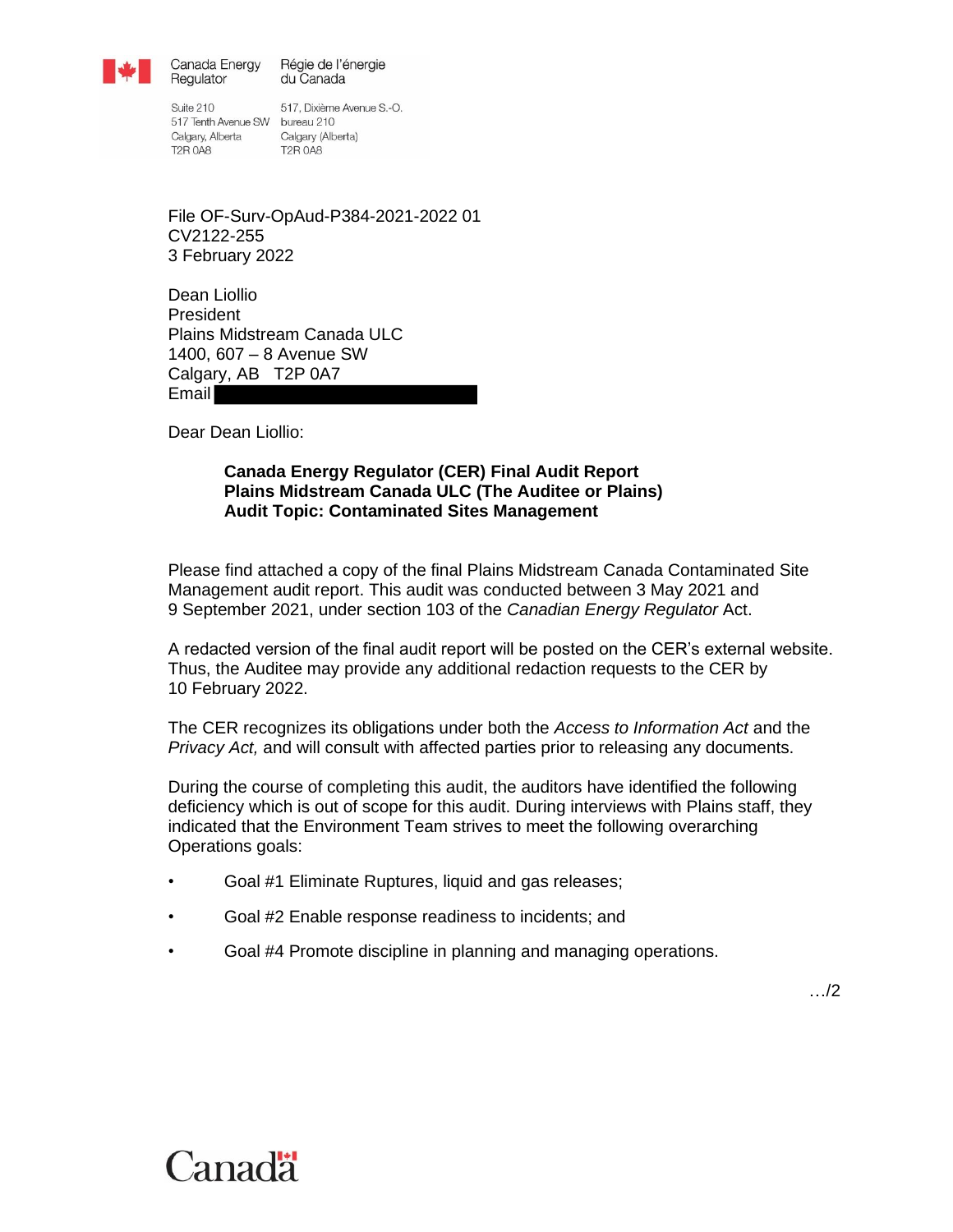

Canada Energy Régie de l'énergie Regulator du Canada

Suite 210 517 Tenth Avenue SW bureau 210 Calgary, Alberta Calgary (Alberta) **T2R 0A8** 

517, Dixième Avenue S.-O. **T2R 0A8** 

File OF-Surv-OpAud-P384-2021-2022 01 CV2122-255 3 February 2022

Dean Liollio President Plains Midstream Canada ULC 1400, 607 – 8 Avenue SW Calgary, AB T2P 0A7 Email

Dear Dean Liollio:

#### **Canada Energy Regulator (CER) Final Audit Report Plains Midstream Canada ULC (The Auditee or Plains) Audit Topic: Contaminated Sites Management**

Please find attached a copy of the final Plains Midstream Canada Contaminated Site Management audit report. This audit was conducted between 3 May 2021 and 9 September 2021, under section 103 of the *Canadian Energy Regulator* Act.

A redacted version of the final audit report will be posted on the CER's external website. Thus, the Auditee may provide any additional redaction requests to the CER by 10 February 2022.

The CER recognizes its obligations under both the *Access to Information Act* and the *Privacy Act,* and will consult with affected parties prior to releasing any documents.

During the course of completing this audit, the auditors have identified the following deficiency which is out of scope for this audit. During interviews with Plains staff, they indicated that the Environment Team strives to meet the following overarching Operations goals:

- Goal #1 Eliminate Ruptures, liquid and gas releases;
- Goal #2 Enable response readiness to incidents; and
- Goal #4 Promote discipline in planning and managing operations.

…/2

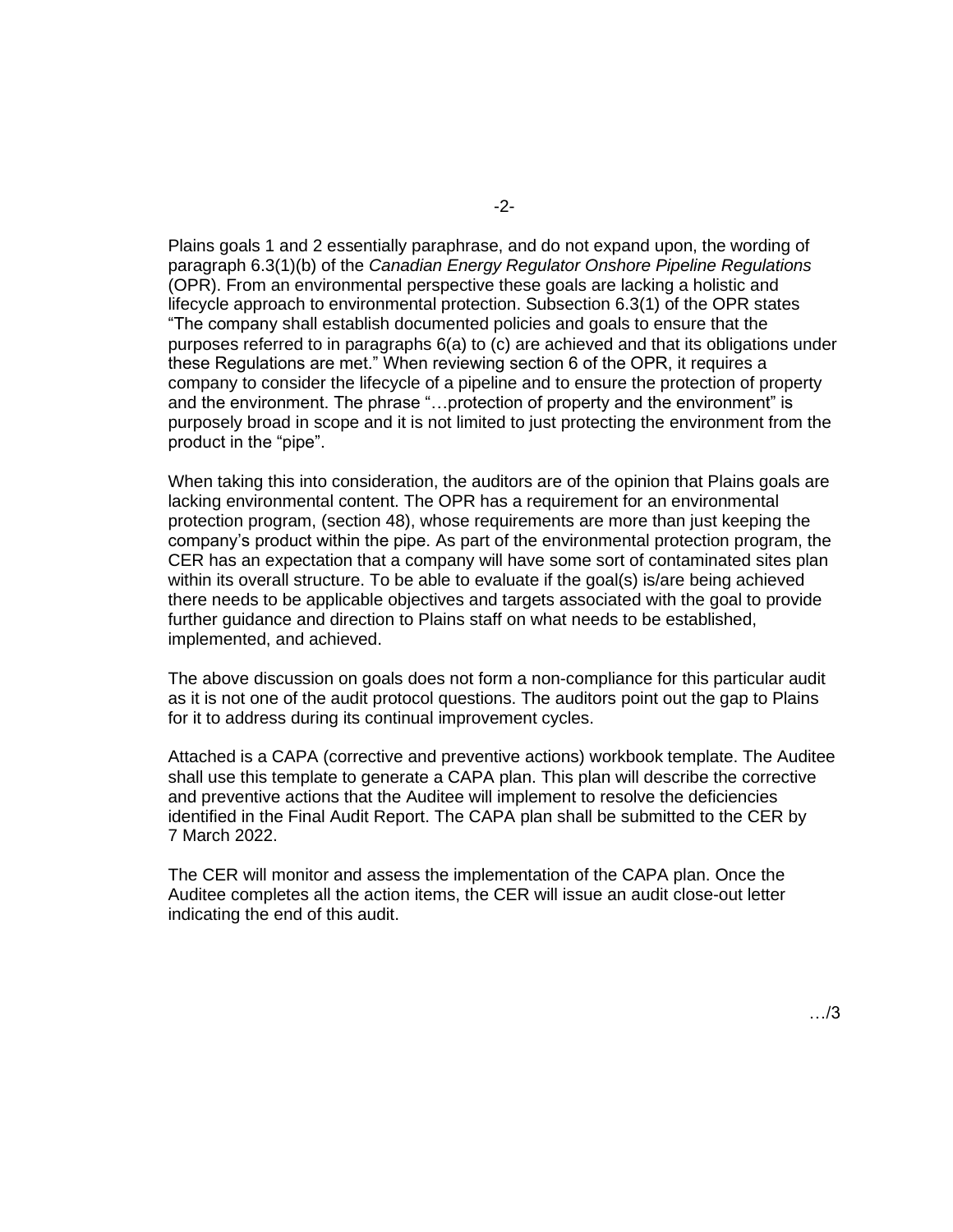Plains goals 1 and 2 essentially paraphrase, and do not expand upon, the wording of paragraph 6.3(1)(b) of the *Canadian Energy Regulator Onshore Pipeline Regulations* (OPR). From an environmental perspective these goals are lacking a holistic and lifecycle approach to environmental protection. Subsection 6.3(1) of the OPR states "The company shall establish documented policies and goals to ensure that the purposes referred to in paragraphs 6(a) to (c) are achieved and that its obligations under these Regulations are met." When reviewing section 6 of the OPR, it requires a company to consider the lifecycle of a pipeline and to ensure the protection of property and the environment. The phrase "…protection of property and the environment" is purposely broad in scope and it is not limited to just protecting the environment from the product in the "pipe".

When taking this into consideration, the auditors are of the opinion that Plains goals are lacking environmental content. The OPR has a requirement for an environmental protection program, (section 48), whose requirements are more than just keeping the company's product within the pipe. As part of the environmental protection program, the CER has an expectation that a company will have some sort of contaminated sites plan within its overall structure. To be able to evaluate if the goal(s) is/are being achieved there needs to be applicable objectives and targets associated with the goal to provide further guidance and direction to Plains staff on what needs to be established, implemented, and achieved.

The above discussion on goals does not form a non-compliance for this particular audit as it is not one of the audit protocol questions. The auditors point out the gap to Plains for it to address during its continual improvement cycles.

Attached is a CAPA (corrective and preventive actions) workbook template. The Auditee shall use this template to generate a CAPA plan. This plan will describe the corrective and preventive actions that the Auditee will implement to resolve the deficiencies identified in the Final Audit Report. The CAPA plan shall be submitted to the CER by 7 March 2022.

The CER will monitor and assess the implementation of the CAPA plan. Once the Auditee completes all the action items, the CER will issue an audit close-out letter indicating the end of this audit.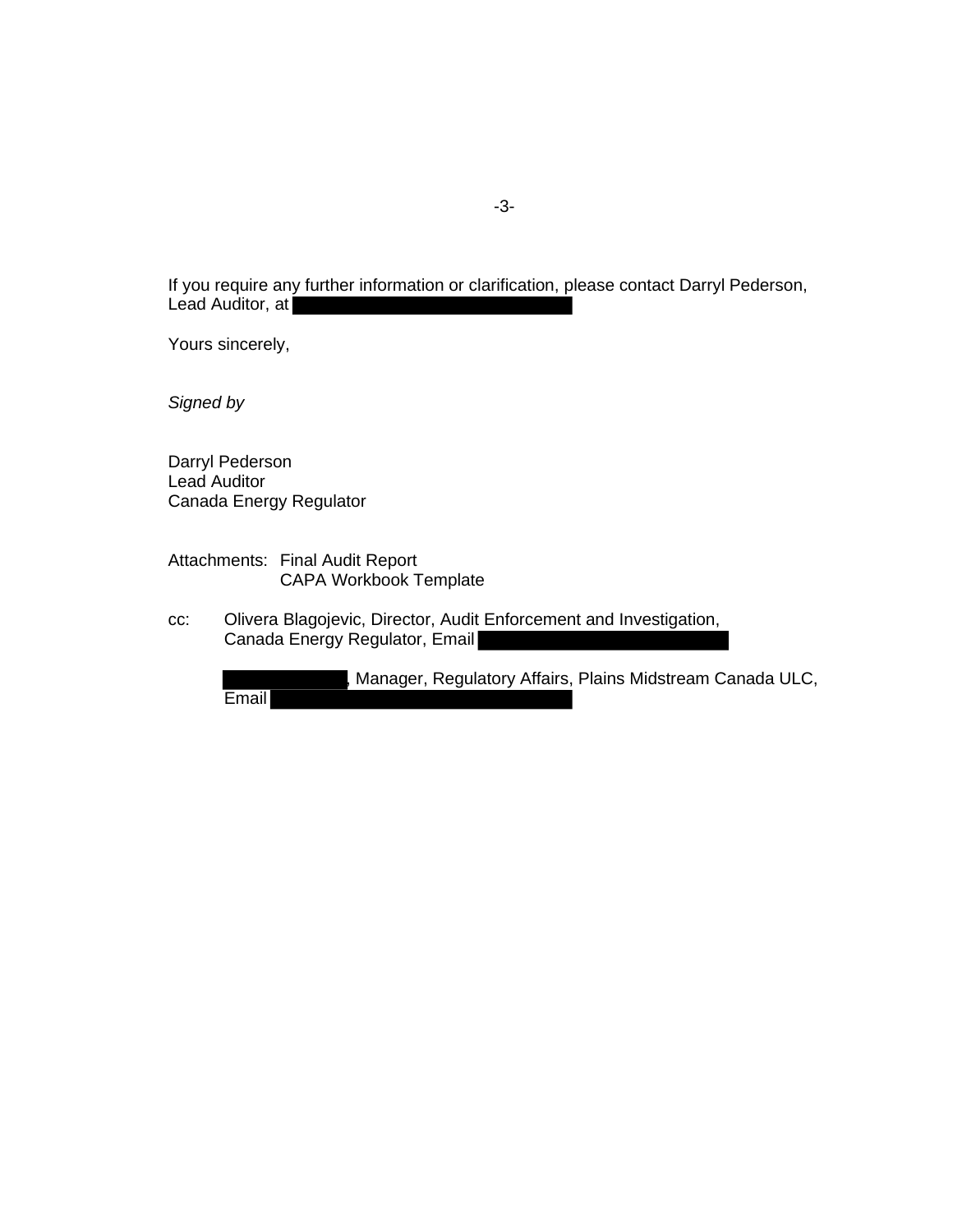If you require any further information or clarification, please contact Darryl Pederson, Lead Auditor, at

Yours sincerely,

*Signed by*

Darryl Pederson Lead Auditor Canada Energy Regulator

Attachments: Final Audit Report CAPA Workbook Template

cc: Olivera Blagojevic, Director, Audit Enforcement and Investigation, Canada Energy Regulator, Email

, Manager, Regulatory Affairs, Plains Midstream Canada ULC, **Email**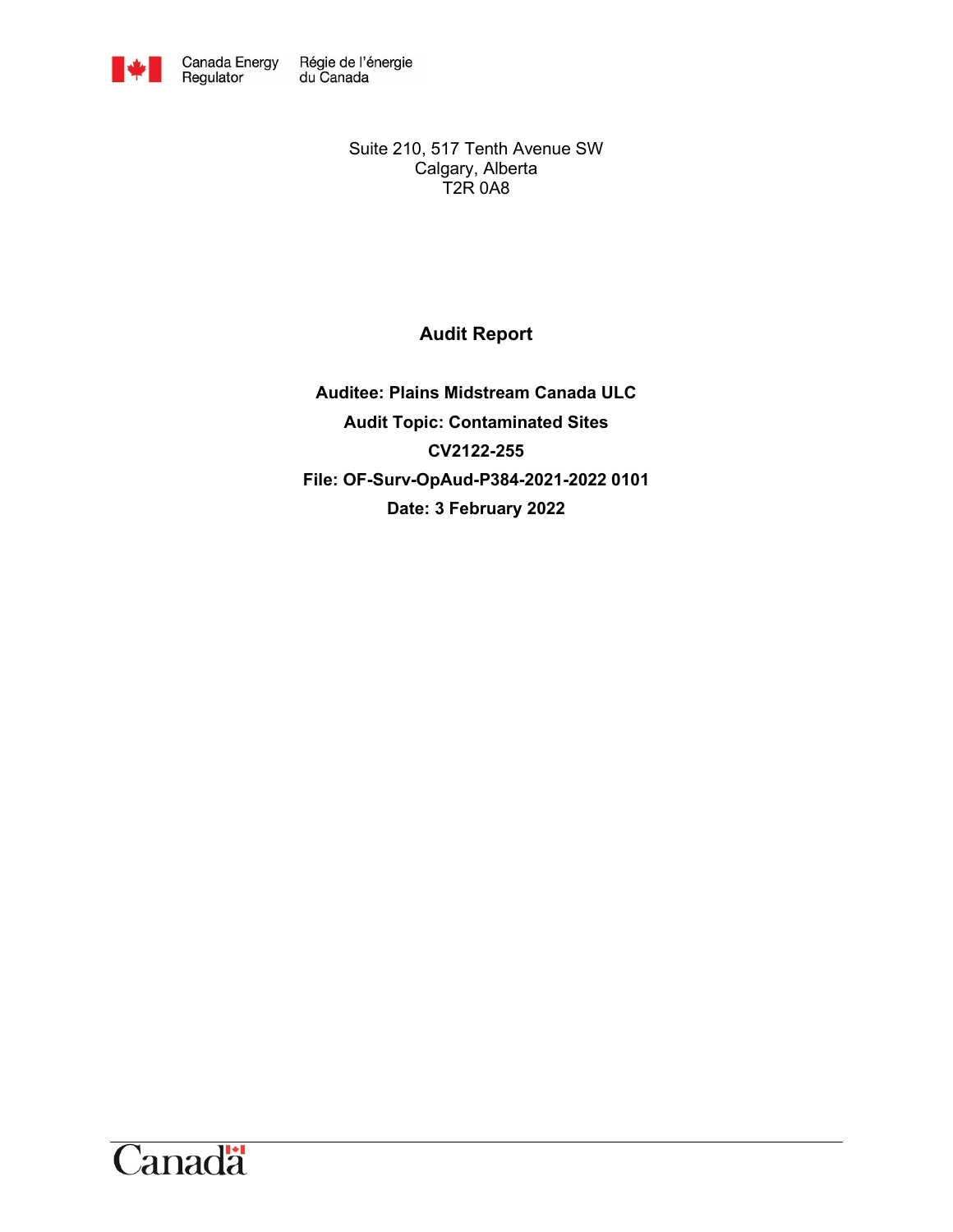

Suite 210, 517 Tenth Avenue SW Calgary, Alberta T2R 0A8

## <span id="page-3-0"></span>**Audit Report**

**Auditee: Plains Midstream Canada ULC Audit Topic: Contaminated Sites CV2122-255 File: OF-Surv-OpAud-P384-2021-2022 0101 Date: 3 February 2022**

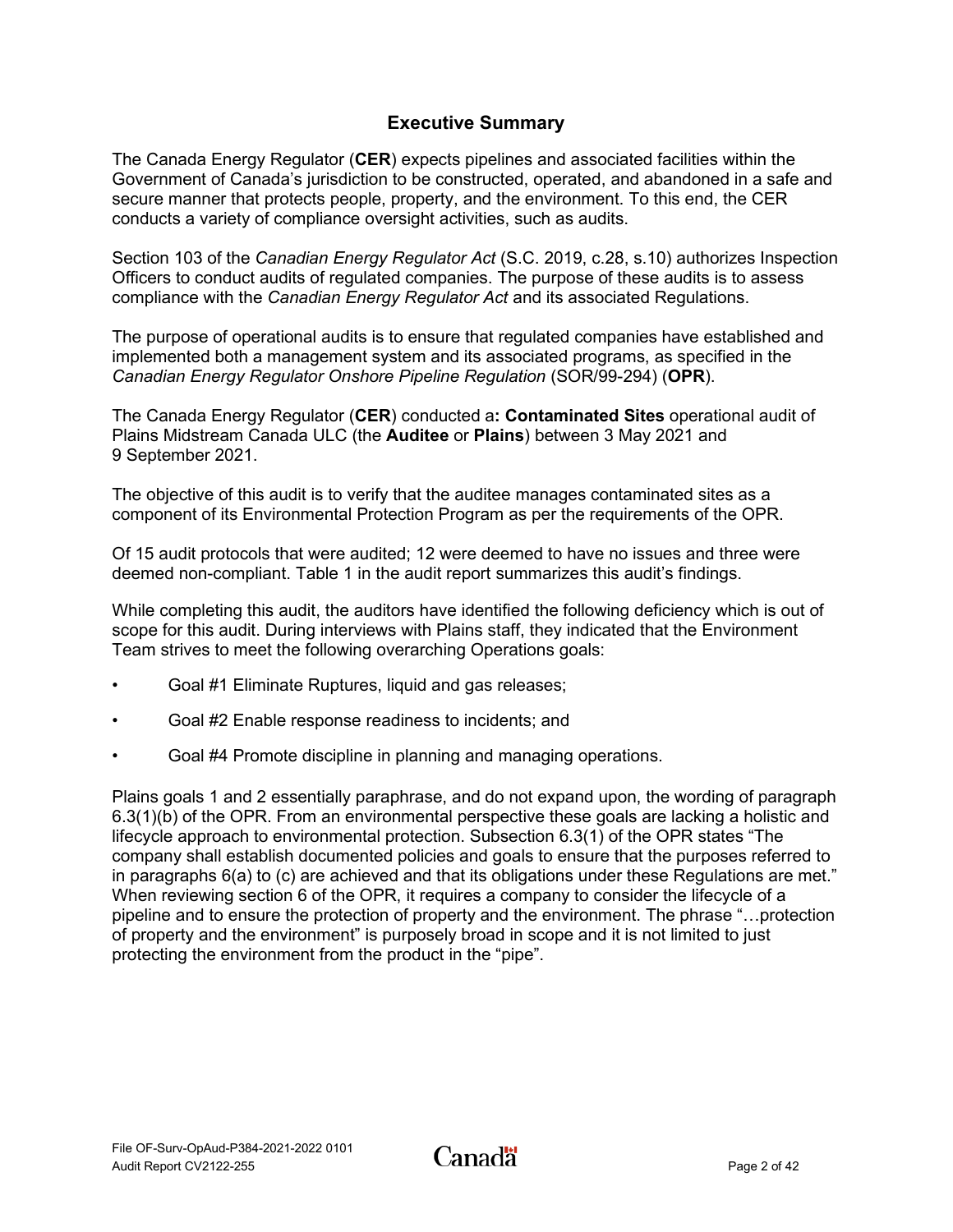## **Executive Summary**

<span id="page-4-0"></span>The Canada Energy Regulator (**CER**) expects pipelines and associated facilities within the Government of Canada's jurisdiction to be constructed, operated, and abandoned in a safe and secure manner that protects people, property, and the environment. To this end, the CER conducts a variety of compliance oversight activities, such as audits.

Section 103 of the *Canadian Energy Regulator Act* (S.C. 2019, c.28, s.10) authorizes Inspection Officers to conduct audits of regulated companies. The purpose of these audits is to assess compliance with the *Canadian Energy Regulator Act* and its associated Regulations.

The purpose of operational audits is to ensure that regulated companies have established and implemented both a management system and its associated programs, as specified in the *Canadian Energy Regulator Onshore Pipeline Regulation* (SOR/99-294) (**OPR**).

The Canada Energy Regulator (**CER**) conducted a**: [Contaminated Sites](#page-3-0)** operational audit of Plains Midstream Canada ULC (the **Auditee** or **Plains**) between 3 May 2021 and 9 September 2021.

The objective of this audit is to verify that the auditee manages contaminated sites as a component of its Environmental Protection Program as per the requirements of the OPR.

Of 15 audit protocols that were audited; 12 were deemed to have no issues and three were deemed non-compliant. Table 1 in the audit report summarizes this audit's findings.

While completing this audit, the auditors have identified the following deficiency which is out of scope for this audit. During interviews with Plains staff, they indicated that the Environment Team strives to meet the following overarching Operations goals:

- Goal #1 Eliminate Ruptures, liquid and gas releases;
- Goal #2 Enable response readiness to incidents; and
- Goal #4 Promote discipline in planning and managing operations.

Plains goals 1 and 2 essentially paraphrase, and do not expand upon, the wording of paragraph 6.3(1)(b) of the OPR. From an environmental perspective these goals are lacking a holistic and lifecycle approach to environmental protection. Subsection 6.3(1) of the OPR states "The company shall establish documented policies and goals to ensure that the purposes referred to in paragraphs 6(a) to (c) are achieved and that its obligations under these Regulations are met." When reviewing section 6 of the OPR, it requires a company to consider the lifecycle of a pipeline and to ensure the protection of property and the environment. The phrase "…protection of property and the environment" is purposely broad in scope and it is not limited to just protecting the environment from the product in the "pipe".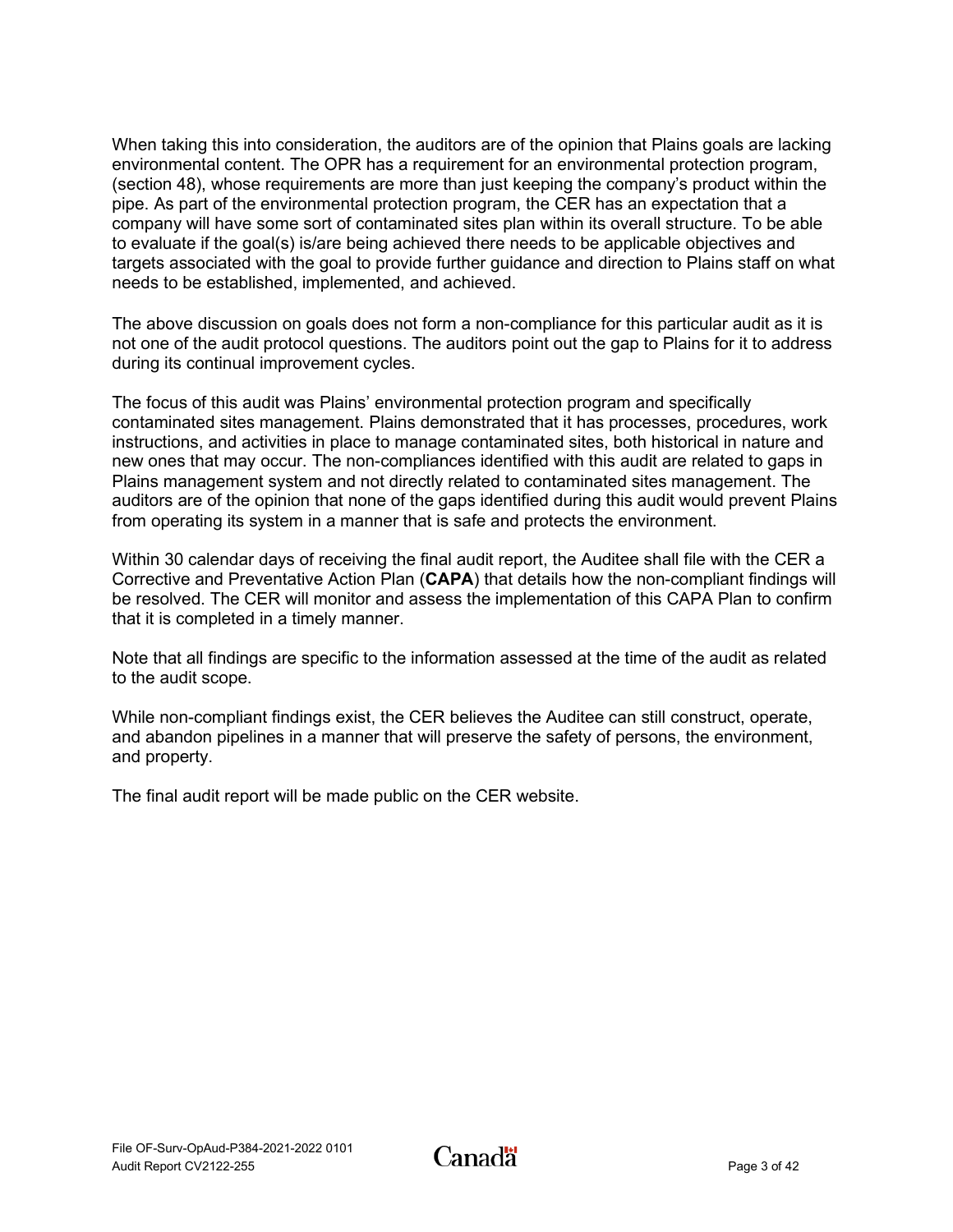When taking this into consideration, the auditors are of the opinion that Plains goals are lacking environmental content. The OPR has a requirement for an environmental protection program, (section 48), whose requirements are more than just keeping the company's product within the pipe. As part of the environmental protection program, the CER has an expectation that a company will have some sort of contaminated sites plan within its overall structure. To be able to evaluate if the goal(s) is/are being achieved there needs to be applicable objectives and targets associated with the goal to provide further guidance and direction to Plains staff on what needs to be established, implemented, and achieved.

The above discussion on goals does not form a non-compliance for this particular audit as it is not one of the audit protocol questions. The auditors point out the gap to Plains for it to address during its continual improvement cycles.

The focus of this audit was Plains' environmental protection program and specifically contaminated sites management. Plains demonstrated that it has processes, procedures, work instructions, and activities in place to manage contaminated sites, both historical in nature and new ones that may occur. The non-compliances identified with this audit are related to gaps in Plains management system and not directly related to contaminated sites management. The auditors are of the opinion that none of the gaps identified during this audit would prevent Plains from operating its system in a manner that is safe and protects the environment.

Within 30 calendar days of receiving the final audit report, the Auditee shall file with the CER a Corrective and Preventative Action Plan (**CAPA**) that details how the non-compliant findings will be resolved. The CER will monitor and assess the implementation of this CAPA Plan to confirm that it is completed in a timely manner.

Note that all findings are specific to the information assessed at the time of the audit as related to the audit scope.

While non-compliant findings exist, the CER believes the Auditee can still construct, operate, and abandon pipelines in a manner that will preserve the safety of persons, the environment, and property.

The final audit report will be made public on the CER website.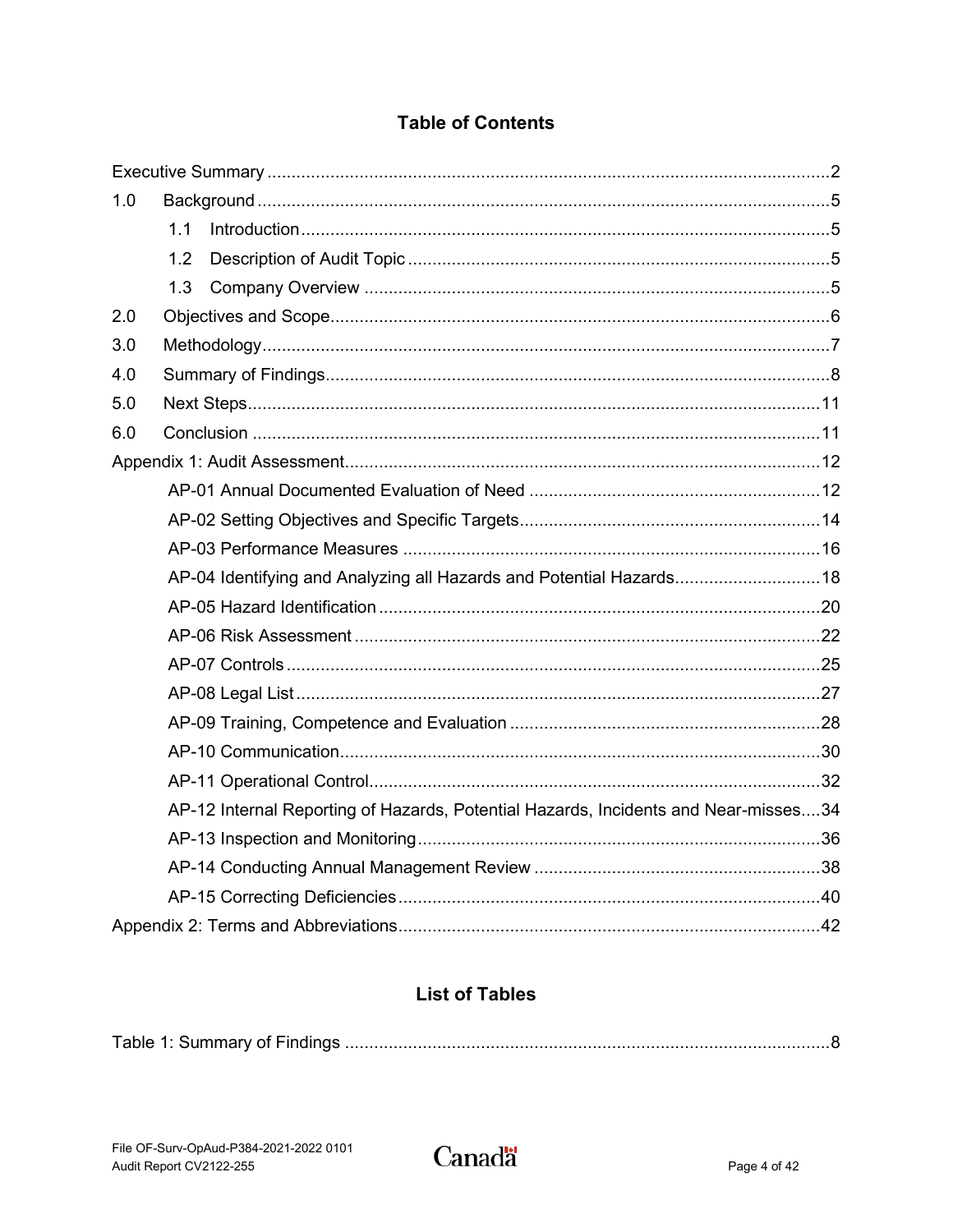## **Table of Contents**

| 1.0 |     |                                                                                     |  |  |  |
|-----|-----|-------------------------------------------------------------------------------------|--|--|--|
|     | 1.1 |                                                                                     |  |  |  |
|     | 1.2 |                                                                                     |  |  |  |
|     | 1.3 |                                                                                     |  |  |  |
| 2.0 |     |                                                                                     |  |  |  |
| 3.0 |     |                                                                                     |  |  |  |
| 4.0 |     |                                                                                     |  |  |  |
| 5.0 |     |                                                                                     |  |  |  |
| 6.0 |     |                                                                                     |  |  |  |
|     |     |                                                                                     |  |  |  |
|     |     |                                                                                     |  |  |  |
|     |     |                                                                                     |  |  |  |
|     |     |                                                                                     |  |  |  |
|     |     | AP-04 Identifying and Analyzing all Hazards and Potential Hazards18                 |  |  |  |
|     |     |                                                                                     |  |  |  |
|     |     |                                                                                     |  |  |  |
|     |     |                                                                                     |  |  |  |
|     |     |                                                                                     |  |  |  |
|     |     |                                                                                     |  |  |  |
|     |     |                                                                                     |  |  |  |
|     |     |                                                                                     |  |  |  |
|     |     | AP-12 Internal Reporting of Hazards, Potential Hazards, Incidents and Near-misses34 |  |  |  |
|     |     |                                                                                     |  |  |  |
|     |     |                                                                                     |  |  |  |
|     |     |                                                                                     |  |  |  |
|     |     |                                                                                     |  |  |  |

## **List of Tables**

|--|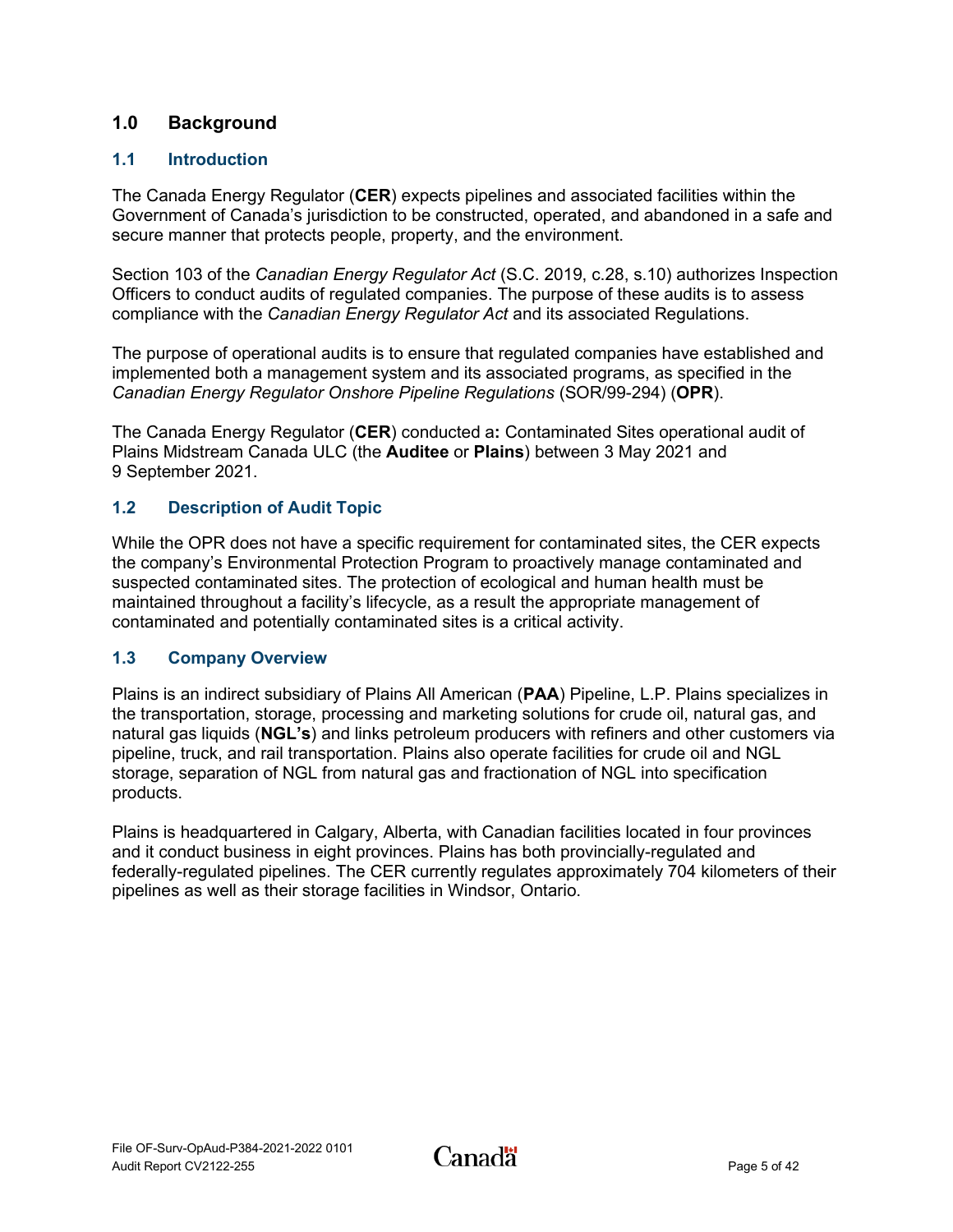## <span id="page-7-0"></span>**1.0 Background**

## <span id="page-7-1"></span>**1.1 Introduction**

The Canada Energy Regulator (**CER**) expects pipelines and associated facilities within the Government of Canada's jurisdiction to be constructed, operated, and abandoned in a safe and secure manner that protects people, property, and the environment.

Section 103 of the *Canadian Energy Regulator Act* (S.C. 2019, c.28, s.10) authorizes Inspection Officers to conduct audits of regulated companies. The purpose of these audits is to assess compliance with the *Canadian Energy Regulator Act* and its associated Regulations.

The purpose of operational audits is to ensure that regulated companies have established and implemented both a management system and its associated programs, as specified in the *Canadian Energy Regulator Onshore Pipeline Regulations* (SOR/99-294) (**OPR**).

The Canada Energy Regulator (**CER**) conducted a**:** [Contaminated Sites](#page-3-0) operational audit of Plains Midstream Canada ULC (the **Auditee** or **Plains**) between 3 May 2021 and 9 September 2021.

## <span id="page-7-2"></span>**1.2 Description of Audit Topic**

While the OPR does not have a specific requirement for contaminated sites, the CER expects the company's Environmental Protection Program to proactively manage contaminated and suspected contaminated sites. The protection of ecological and human health must be maintained throughout a facility's lifecycle, as a result the appropriate management of contaminated and potentially contaminated sites is a critical activity.

## <span id="page-7-3"></span>**1.3 Company Overview**

Plains is an indirect subsidiary of Plains All American (**PAA**) Pipeline, L.P. Plains specializes in the transportation, storage, processing and marketing solutions for crude oil, natural gas, and natural gas liquids (**NGL's**) and links petroleum producers with refiners and other customers via pipeline, truck, and rail transportation. Plains also operate facilities for crude oil and NGL storage, separation of NGL from natural gas and fractionation of NGL into specification products.

Plains is headquartered in Calgary, Alberta, with Canadian facilities located in four provinces and it conduct business in eight provinces. Plains has both provincially-regulated and federally-regulated pipelines. The CER currently regulates approximately 704 kilometers of their pipelines as well as their storage facilities in Windsor, Ontario.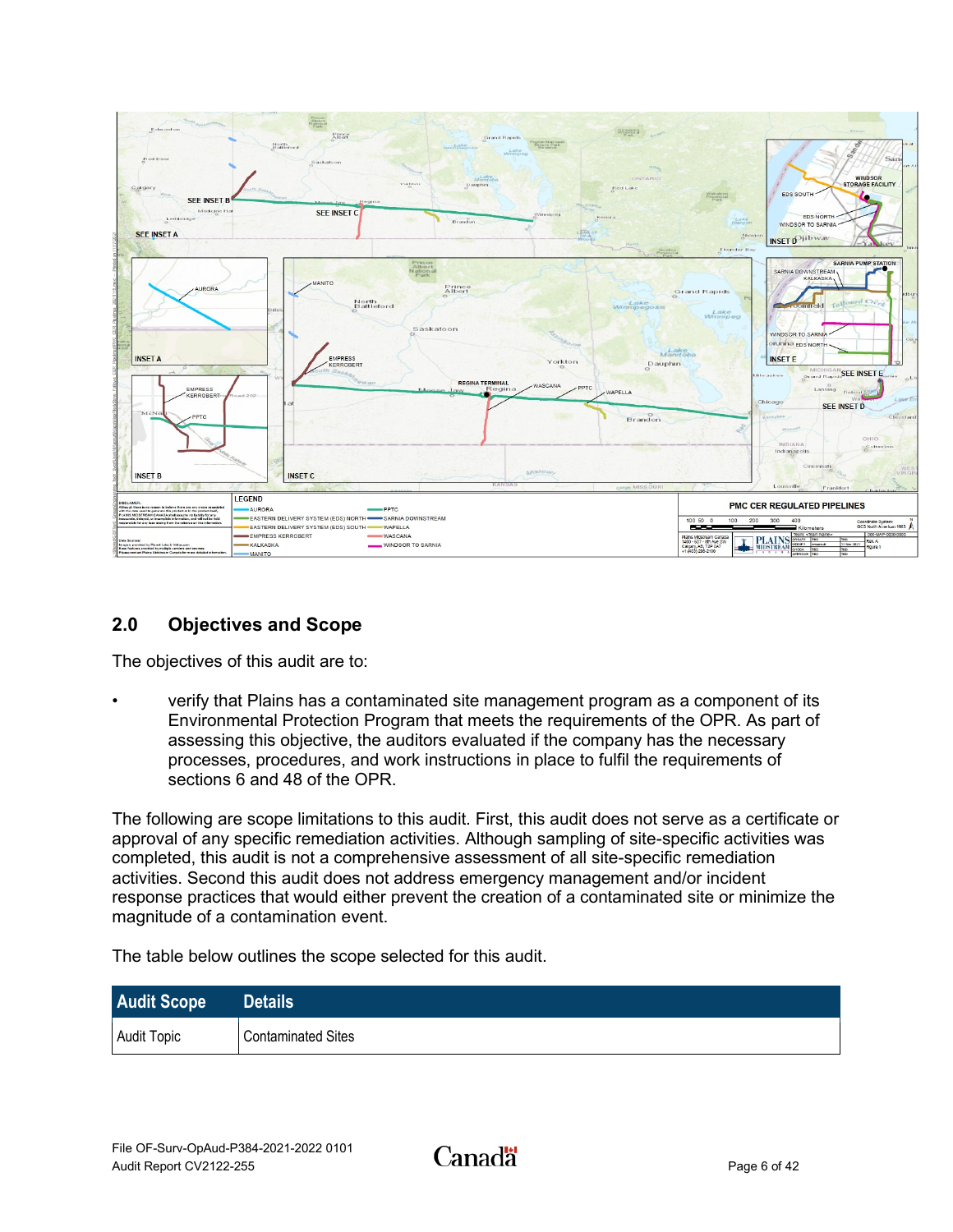

## <span id="page-8-0"></span>**2.0 Objectives and Scope**

The objectives of this audit are to:

• verify that Plains has a contaminated site management program as a component of its Environmental Protection Program that meets the requirements of the OPR. As part of assessing this objective, the auditors evaluated if the company has the necessary processes, procedures, and work instructions in place to fulfil the requirements of sections 6 and 48 of the OPR.

The following are scope limitations to this audit. First, this audit does not serve as a certificate or approval of any specific remediation activities. Although sampling of site-specific activities was completed, this audit is not a comprehensive assessment of all site-specific remediation activities. Second this audit does not address emergency management and/or incident response practices that would either prevent the creation of a contaminated site or minimize the magnitude of a contamination event.

The table below outlines the scope selected for this audit.

| <b>Audit Scope</b> | <b>Details</b>            |
|--------------------|---------------------------|
| <b>Audit Topic</b> | <b>Contaminated Sites</b> |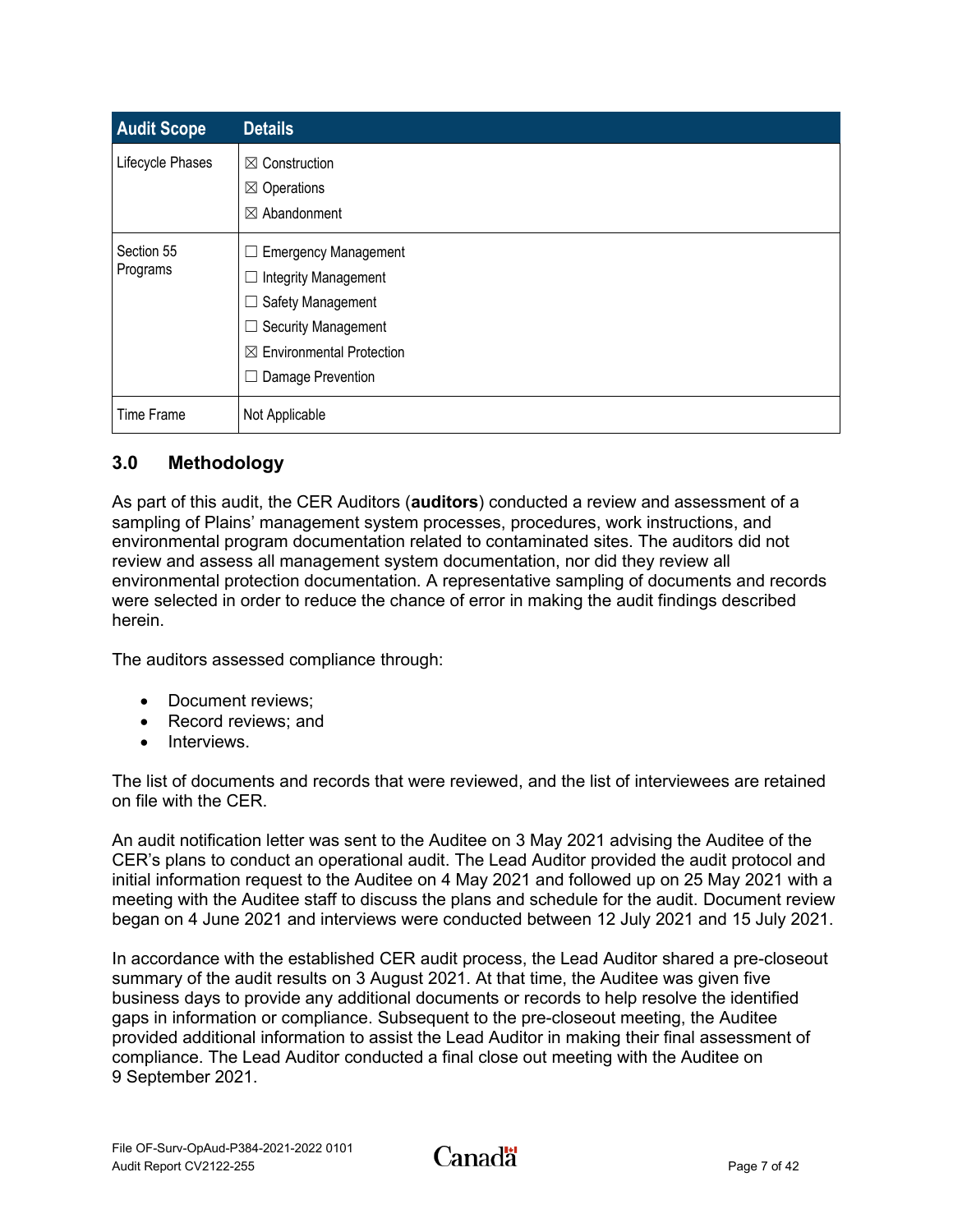| <b>Audit Scope</b>     | <b>Details</b>                                                                                                                                                                                           |
|------------------------|----------------------------------------------------------------------------------------------------------------------------------------------------------------------------------------------------------|
| Lifecycle Phases       | $\boxtimes$ Construction<br>$\boxtimes$ Operations<br>$\boxtimes$ Abandonment                                                                                                                            |
| Section 55<br>Programs | $\Box$ Emergency Management<br>Integrity Management<br>$\Box$<br>Safety Management<br>$\sqcup$<br><b>Security Management</b><br>$\Box$<br>$\boxtimes$ Environmental Protection<br>Damage Prevention<br>⊔ |
| Time Frame             | Not Applicable                                                                                                                                                                                           |

## <span id="page-9-0"></span>**3.0 Methodology**

As part of this audit, the CER Auditors (**auditors**) conducted a review and assessment of a sampling of Plains' management system processes, procedures, work instructions, and environmental program documentation related to contaminated sites. The auditors did not review and assess all management system documentation, nor did they review all environmental protection documentation. A representative sampling of documents and records were selected in order to reduce the chance of error in making the audit findings described herein.

The auditors assessed compliance through:

- Document reviews;
- Record reviews: and
- Interviews.

The list of documents and records that were reviewed, and the list of interviewees are retained on file with the CER.

An audit notification letter was sent to the Auditee on 3 May 2021 advising the Auditee of the CER's plans to conduct an operational audit. The Lead Auditor provided the audit protocol and initial information request to the Auditee on 4 May 2021 and followed up on 25 May 2021 with a meeting with the Auditee staff to discuss the plans and schedule for the audit. Document review began on 4 June 2021 and interviews were conducted between 12 July 2021 and 15 July 2021.

In accordance with the established CER audit process, the Lead Auditor shared a pre-closeout summary of the audit results on 3 August 2021. At that time, the Auditee was given five business days to provide any additional documents or records to help resolve the identified gaps in information or compliance. Subsequent to the pre-closeout meeting, the Auditee provided additional information to assist the Lead Auditor in making their final assessment of compliance. The Lead Auditor conducted a final close out meeting with the Auditee on 9 September 2021.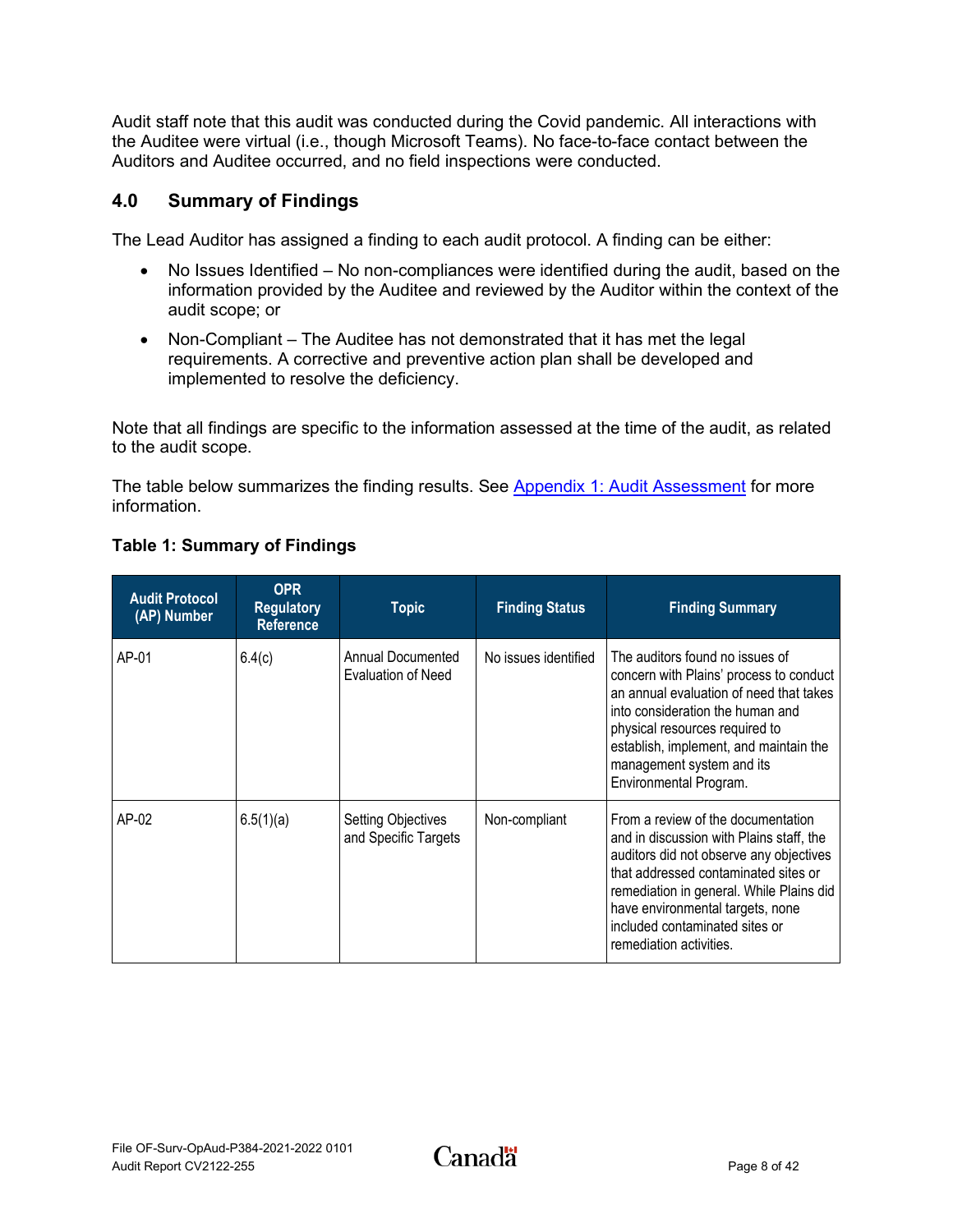Audit staff note that this audit was conducted during the Covid pandemic. All interactions with the Auditee were virtual (i.e., though Microsoft Teams). No face-to-face contact between the Auditors and Auditee occurred, and no field inspections were conducted.

## <span id="page-10-0"></span>**4.0 Summary of Findings**

The Lead Auditor has assigned a finding to each audit protocol. A finding can be either:

- No Issues Identified No non-compliances were identified during the audit, based on the information provided by the Auditee and reviewed by the Auditor within the context of the audit scope; or
- Non-Compliant The Auditee has not demonstrated that it has met the legal requirements. A corrective and preventive action plan shall be developed and implemented to resolve the deficiency.

Note that all findings are specific to the information assessed at the time of the audit, as related to the audit scope.

The table below summarizes the finding results. See [Appendix 1: Audit Assessment](#page-14-0) for more information.

| <b>Audit Protocol</b><br>(AP) Number | <b>OPR</b><br><b>Regulatory</b><br><b>Reference</b> | <b>Topic</b>                                      | <b>Finding Status</b> | <b>Finding Summary</b>                                                                                                                                                                                                                                                                                         |
|--------------------------------------|-----------------------------------------------------|---------------------------------------------------|-----------------------|----------------------------------------------------------------------------------------------------------------------------------------------------------------------------------------------------------------------------------------------------------------------------------------------------------------|
| AP-01                                | 6.4(c)                                              | Annual Documented<br><b>Evaluation of Need</b>    | No issues identified  | The auditors found no issues of<br>concern with Plains' process to conduct<br>an annual evaluation of need that takes<br>into consideration the human and<br>physical resources required to<br>establish, implement, and maintain the<br>management system and its<br>Environmental Program.                   |
| AP-02                                | 6.5(1)(a)                                           | <b>Setting Objectives</b><br>and Specific Targets | Non-compliant         | From a review of the documentation<br>and in discussion with Plains staff, the<br>auditors did not observe any objectives<br>that addressed contaminated sites or<br>remediation in general. While Plains did<br>have environmental targets, none<br>included contaminated sites or<br>remediation activities. |

## <span id="page-10-1"></span>**Table 1: Summary of Findings**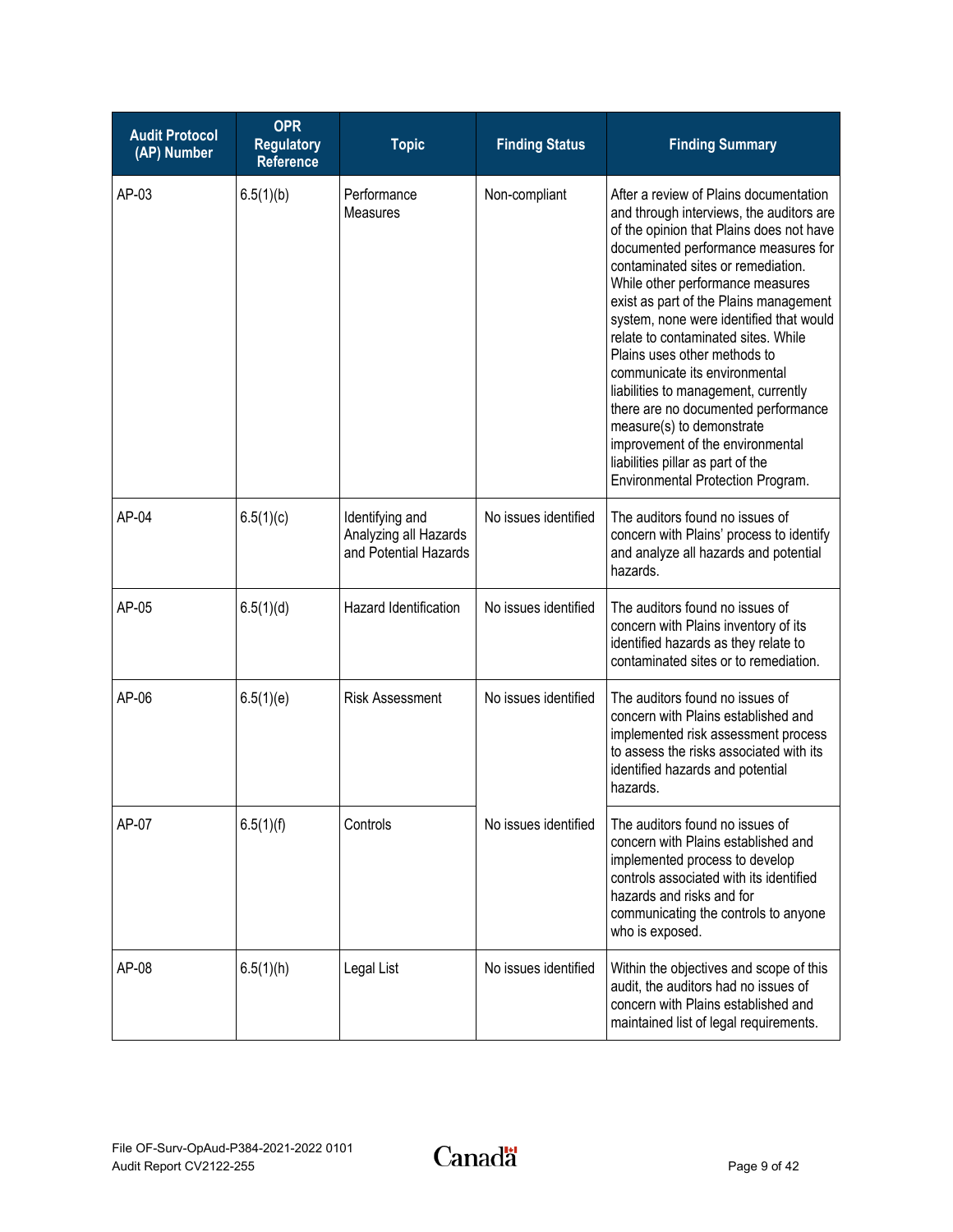| <b>Audit Protocol</b><br>(AP) Number | <b>OPR</b><br><b>Regulatory</b><br><b>Reference</b> | <b>Topic</b>                                                      | <b>Finding Status</b> | <b>Finding Summary</b>                                                                                                                                                                                                                                                                                                                                                                                                                                                                                                                                                                                                                                                 |
|--------------------------------------|-----------------------------------------------------|-------------------------------------------------------------------|-----------------------|------------------------------------------------------------------------------------------------------------------------------------------------------------------------------------------------------------------------------------------------------------------------------------------------------------------------------------------------------------------------------------------------------------------------------------------------------------------------------------------------------------------------------------------------------------------------------------------------------------------------------------------------------------------------|
| AP-03                                | 6.5(1)(b)                                           | Performance<br>Measures                                           | Non-compliant         | After a review of Plains documentation<br>and through interviews, the auditors are<br>of the opinion that Plains does not have<br>documented performance measures for<br>contaminated sites or remediation.<br>While other performance measures<br>exist as part of the Plains management<br>system, none were identified that would<br>relate to contaminated sites. While<br>Plains uses other methods to<br>communicate its environmental<br>liabilities to management, currently<br>there are no documented performance<br>measure(s) to demonstrate<br>improvement of the environmental<br>liabilities pillar as part of the<br>Environmental Protection Program. |
| AP-04                                | 6.5(1)(c)                                           | Identifying and<br>Analyzing all Hazards<br>and Potential Hazards | No issues identified  | The auditors found no issues of<br>concern with Plains' process to identify<br>and analyze all hazards and potential<br>hazards.                                                                                                                                                                                                                                                                                                                                                                                                                                                                                                                                       |
| AP-05                                | 6.5(1)(d)                                           | Hazard Identification                                             | No issues identified  | The auditors found no issues of<br>concern with Plains inventory of its<br>identified hazards as they relate to<br>contaminated sites or to remediation.                                                                                                                                                                                                                                                                                                                                                                                                                                                                                                               |
| AP-06                                | 6.5(1)(e)                                           | <b>Risk Assessment</b>                                            | No issues identified  | The auditors found no issues of<br>concern with Plains established and<br>implemented risk assessment process<br>to assess the risks associated with its<br>identified hazards and potential<br>hazards.                                                                                                                                                                                                                                                                                                                                                                                                                                                               |
| AP-07                                | 6.5(1)(f)                                           | Controls                                                          | No issues identified  | The auditors found no issues of<br>concern with Plains established and<br>implemented process to develop<br>controls associated with its identified<br>hazards and risks and for<br>communicating the controls to anyone<br>who is exposed.                                                                                                                                                                                                                                                                                                                                                                                                                            |
| AP-08                                | 6.5(1)(h)                                           | Legal List                                                        | No issues identified  | Within the objectives and scope of this<br>audit, the auditors had no issues of<br>concern with Plains established and<br>maintained list of legal requirements.                                                                                                                                                                                                                                                                                                                                                                                                                                                                                                       |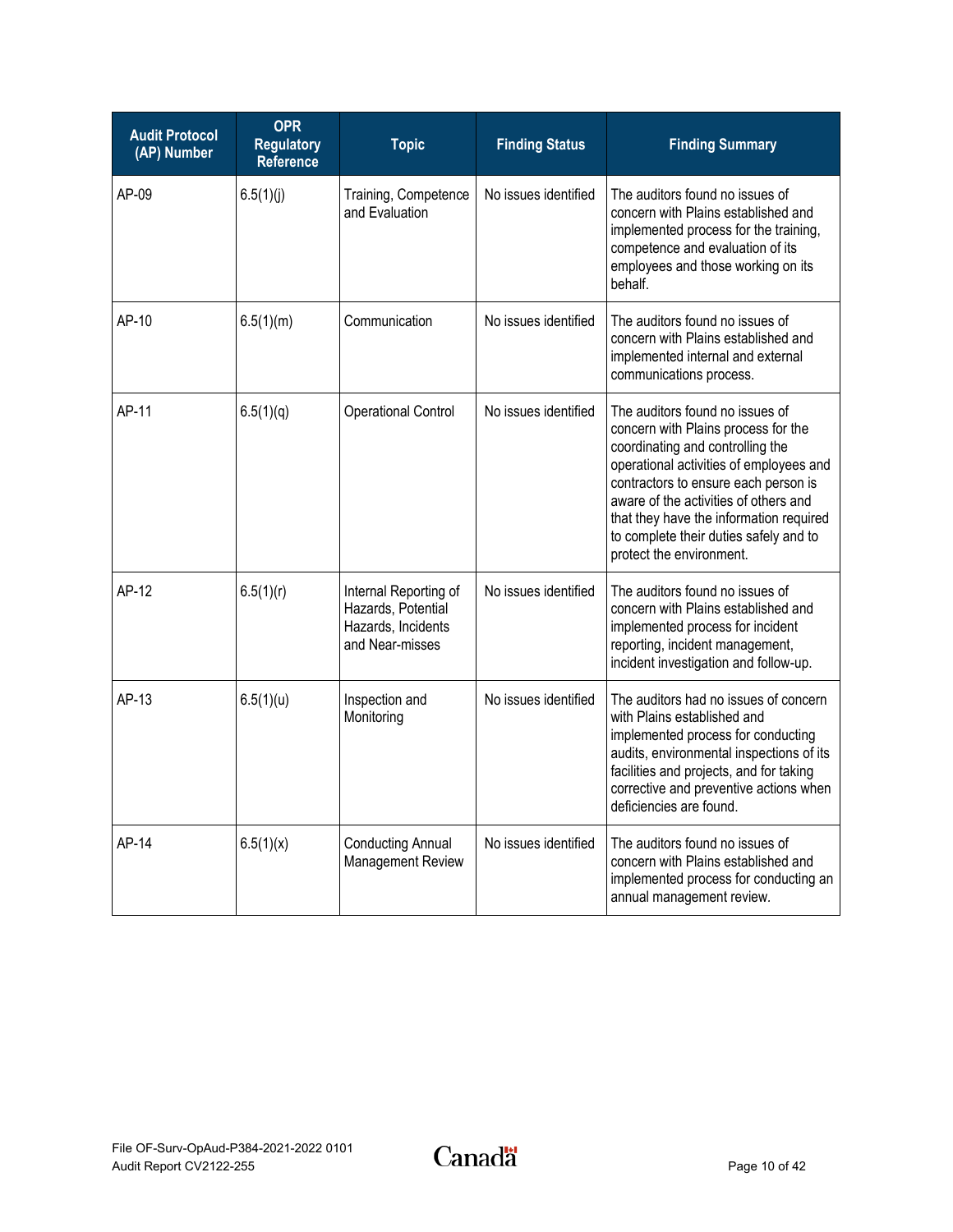| <b>Audit Protocol</b><br>(AP) Number | <b>OPR</b><br><b>Regulatory</b><br><b>Reference</b> | <b>Topic</b>                                                                         | <b>Finding Status</b> | <b>Finding Summary</b>                                                                                                                                                                                                                                                                                                                                  |
|--------------------------------------|-----------------------------------------------------|--------------------------------------------------------------------------------------|-----------------------|---------------------------------------------------------------------------------------------------------------------------------------------------------------------------------------------------------------------------------------------------------------------------------------------------------------------------------------------------------|
| AP-09                                | 6.5(1)(j)                                           | Training, Competence<br>and Evaluation                                               | No issues identified  | The auditors found no issues of<br>concern with Plains established and<br>implemented process for the training,<br>competence and evaluation of its<br>employees and those working on its<br>behalf.                                                                                                                                                    |
| AP-10                                | 6.5(1)(m)                                           | Communication                                                                        | No issues identified  | The auditors found no issues of<br>concern with Plains established and<br>implemented internal and external<br>communications process.                                                                                                                                                                                                                  |
| AP-11                                | 6.5(1)(q)                                           | <b>Operational Control</b>                                                           | No issues identified  | The auditors found no issues of<br>concern with Plains process for the<br>coordinating and controlling the<br>operational activities of employees and<br>contractors to ensure each person is<br>aware of the activities of others and<br>that they have the information required<br>to complete their duties safely and to<br>protect the environment. |
| AP-12                                | 6.5(1)(r)                                           | Internal Reporting of<br>Hazards, Potential<br>Hazards, Incidents<br>and Near-misses | No issues identified  | The auditors found no issues of<br>concern with Plains established and<br>implemented process for incident<br>reporting, incident management,<br>incident investigation and follow-up.                                                                                                                                                                  |
| AP-13                                | 6.5(1)(u)                                           | Inspection and<br>Monitoring                                                         | No issues identified  | The auditors had no issues of concern<br>with Plains established and<br>implemented process for conducting<br>audits, environmental inspections of its<br>facilities and projects, and for taking<br>corrective and preventive actions when<br>deficiencies are found.                                                                                  |
| AP-14                                | 6.5(1)(x)                                           | <b>Conducting Annual</b><br>Management Review                                        | No issues identified  | The auditors found no issues of<br>concern with Plains established and<br>implemented process for conducting an<br>annual management review.                                                                                                                                                                                                            |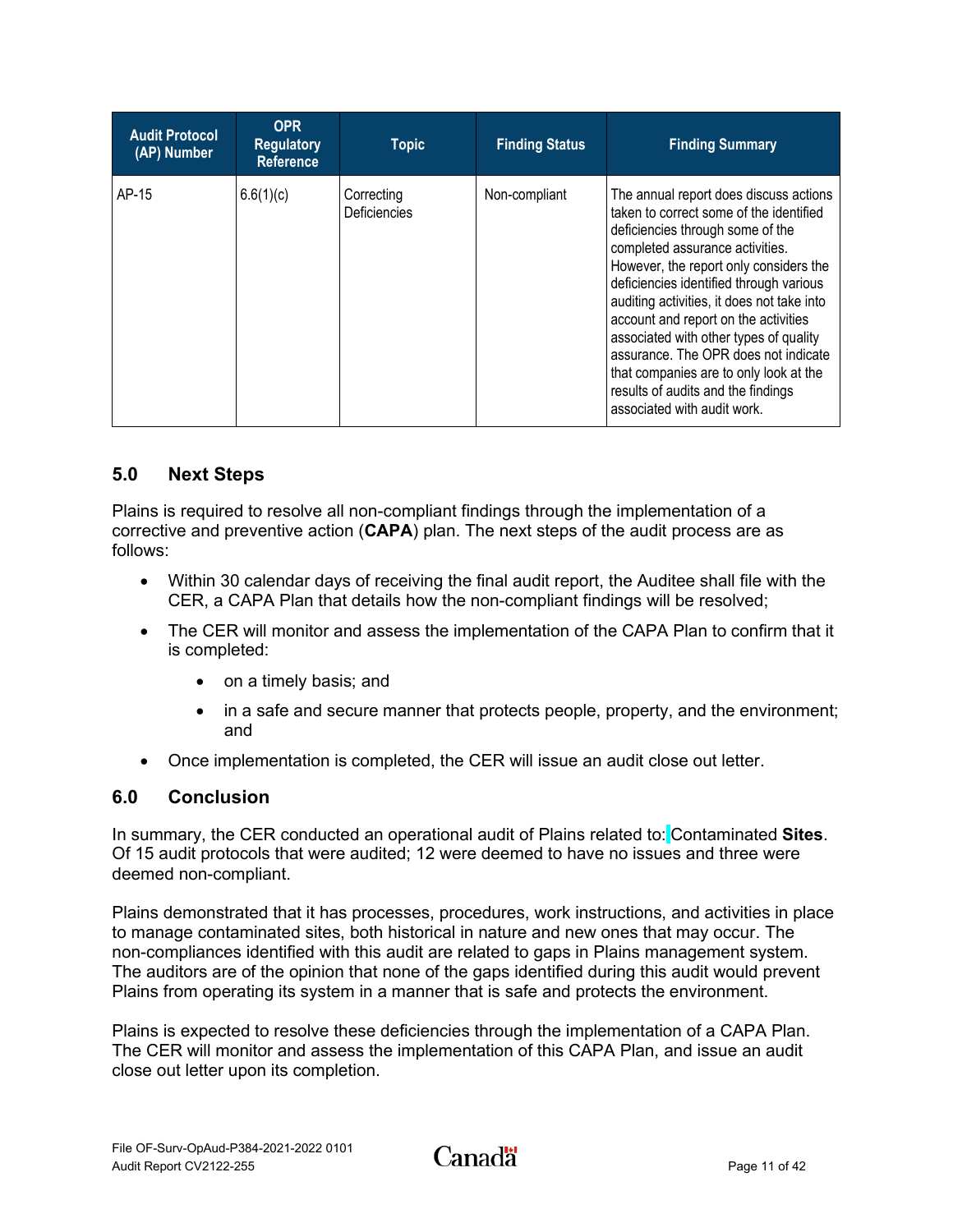| <b>Audit Protocol</b><br>(AP) Number | <b>OPR</b><br><b>Regulatory</b><br><b>Reference</b> | <b>Topic</b>               | <b>Finding Status</b> | <b>Finding Summary</b>                                                                                                                                                                                                                                                                                                                                                                                                                                                                                                               |
|--------------------------------------|-----------------------------------------------------|----------------------------|-----------------------|--------------------------------------------------------------------------------------------------------------------------------------------------------------------------------------------------------------------------------------------------------------------------------------------------------------------------------------------------------------------------------------------------------------------------------------------------------------------------------------------------------------------------------------|
| AP-15                                | 6.6(1)(c)                                           | Correcting<br>Deficiencies | Non-compliant         | The annual report does discuss actions<br>taken to correct some of the identified<br>deficiencies through some of the<br>completed assurance activities.<br>However, the report only considers the<br>deficiencies identified through various<br>auditing activities, it does not take into<br>account and report on the activities<br>associated with other types of quality<br>assurance. The OPR does not indicate<br>that companies are to only look at the<br>results of audits and the findings<br>associated with audit work. |

## <span id="page-13-0"></span>**5.0 Next Steps**

Plains is required to resolve all non-compliant findings through the implementation of a corrective and preventive action (**CAPA**) plan. The next steps of the audit process are as follows:

- Within 30 calendar days of receiving the final audit report, the Auditee shall file with the CER, a CAPA Plan that details how the non-compliant findings will be resolved;
- The CER will monitor and assess the implementation of the CAPA Plan to confirm that it is completed:
	- on a timely basis; and
	- in a safe and secure manner that protects people, property, and the environment; and
- Once implementation is completed, the CER will issue an audit close out letter.

## <span id="page-13-1"></span>**6.0 Conclusion**

In summary, the CER conducted an operational audit of Plains related to: [Contaminated](#page-3-0) **Sites**. Of 15 audit protocols that were audited; 12 were deemed to have no issues and three were deemed non-compliant.

Plains demonstrated that it has processes, procedures, work instructions, and activities in place to manage contaminated sites, both historical in nature and new ones that may occur. The non-compliances identified with this audit are related to gaps in Plains management system. The auditors are of the opinion that none of the gaps identified during this audit would prevent Plains from operating its system in a manner that is safe and protects the environment.

Plains is expected to resolve these deficiencies through the implementation of a CAPA Plan. The CER will monitor and assess the implementation of this CAPA Plan, and issue an audit close out letter upon its completion.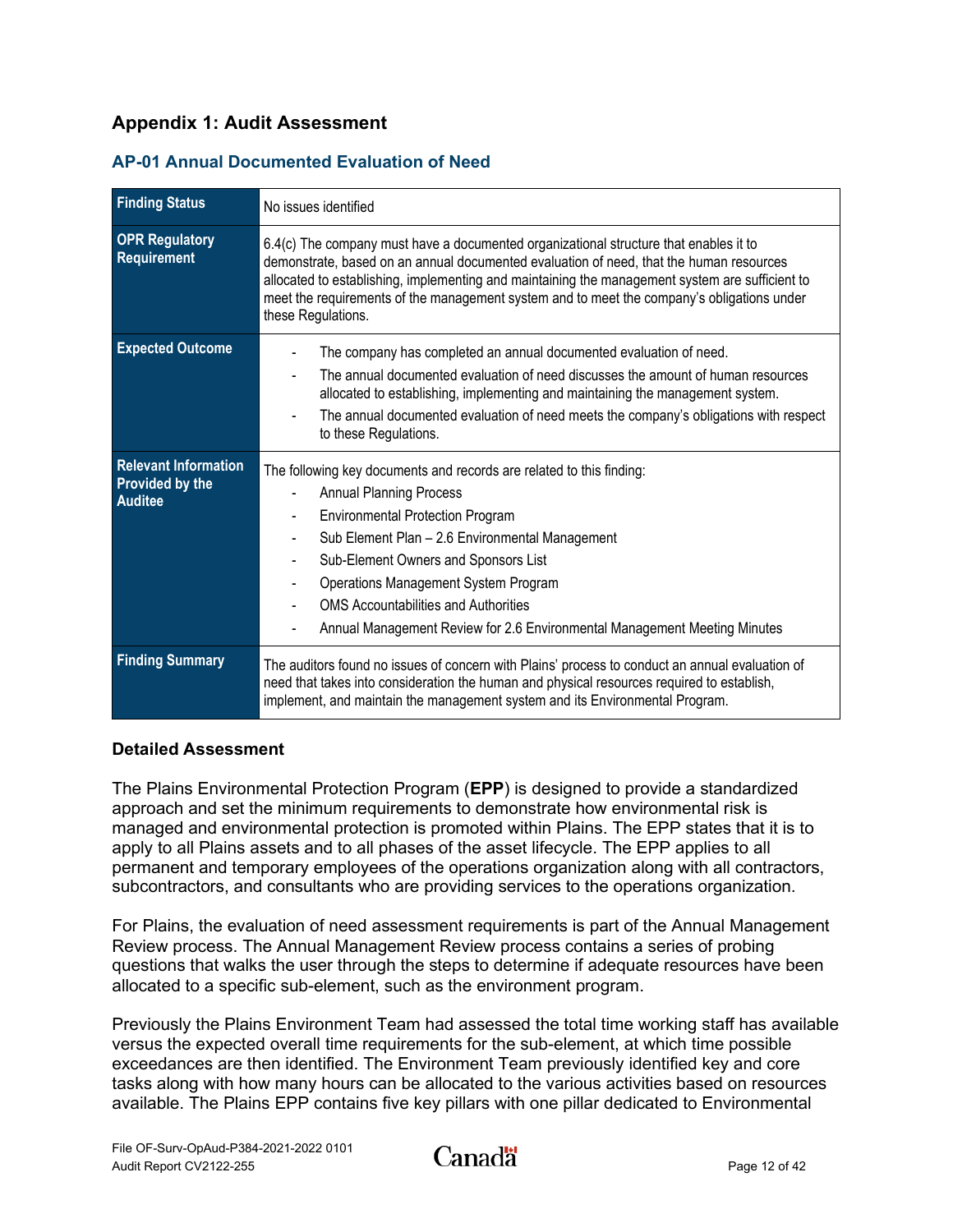## <span id="page-14-0"></span>**Appendix 1: Audit Assessment**

<span id="page-14-1"></span>

|  |  | <b>AP-01 Annual Documented Evaluation of Need</b> |  |  |
|--|--|---------------------------------------------------|--|--|
|--|--|---------------------------------------------------|--|--|

| <b>Finding Status</b>                                                   | No issues identified                                                                                                                                                                                                                                                                                                                                                                                             |
|-------------------------------------------------------------------------|------------------------------------------------------------------------------------------------------------------------------------------------------------------------------------------------------------------------------------------------------------------------------------------------------------------------------------------------------------------------------------------------------------------|
| <b>OPR Regulatory</b><br>Requirement                                    | 6.4(c) The company must have a documented organizational structure that enables it to<br>demonstrate, based on an annual documented evaluation of need, that the human resources<br>allocated to establishing, implementing and maintaining the management system are sufficient to<br>meet the requirements of the management system and to meet the company's obligations under<br>these Regulations.          |
| <b>Expected Outcome</b>                                                 | The company has completed an annual documented evaluation of need.<br>The annual documented evaluation of need discusses the amount of human resources<br>allocated to establishing, implementing and maintaining the management system.<br>The annual documented evaluation of need meets the company's obligations with respect<br>to these Regulations.                                                       |
| <b>Relevant Information</b><br><b>Provided by the</b><br><b>Auditee</b> | The following key documents and records are related to this finding:<br><b>Annual Planning Process</b><br><b>Environmental Protection Program</b><br>Sub Element Plan - 2.6 Environmental Management<br>Sub-Element Owners and Sponsors List<br>Operations Management System Program<br><b>OMS Accountabilities and Authorities</b><br>Annual Management Review for 2.6 Environmental Management Meeting Minutes |
| <b>Finding Summary</b>                                                  | The auditors found no issues of concern with Plains' process to conduct an annual evaluation of<br>need that takes into consideration the human and physical resources required to establish,<br>implement, and maintain the management system and its Environmental Program.                                                                                                                                    |

#### **Detailed Assessment**

The Plains Environmental Protection Program (**EPP**) is designed to provide a standardized approach and set the minimum requirements to demonstrate how environmental risk is managed and environmental protection is promoted within Plains. The EPP states that it is to apply to all Plains assets and to all phases of the asset lifecycle. The EPP applies to all permanent and temporary employees of the operations organization along with all contractors, subcontractors, and consultants who are providing services to the operations organization.

For Plains, the evaluation of need assessment requirements is part of the Annual Management Review process. The Annual Management Review process contains a series of probing questions that walks the user through the steps to determine if adequate resources have been allocated to a specific sub-element, such as the environment program.

Previously the Plains Environment Team had assessed the total time working staff has available versus the expected overall time requirements for the sub-element, at which time possible exceedances are then identified. The Environment Team previously identified key and core tasks along with how many hours can be allocated to the various activities based on resources available. The Plains EPP contains five key pillars with one pillar dedicated to Environmental

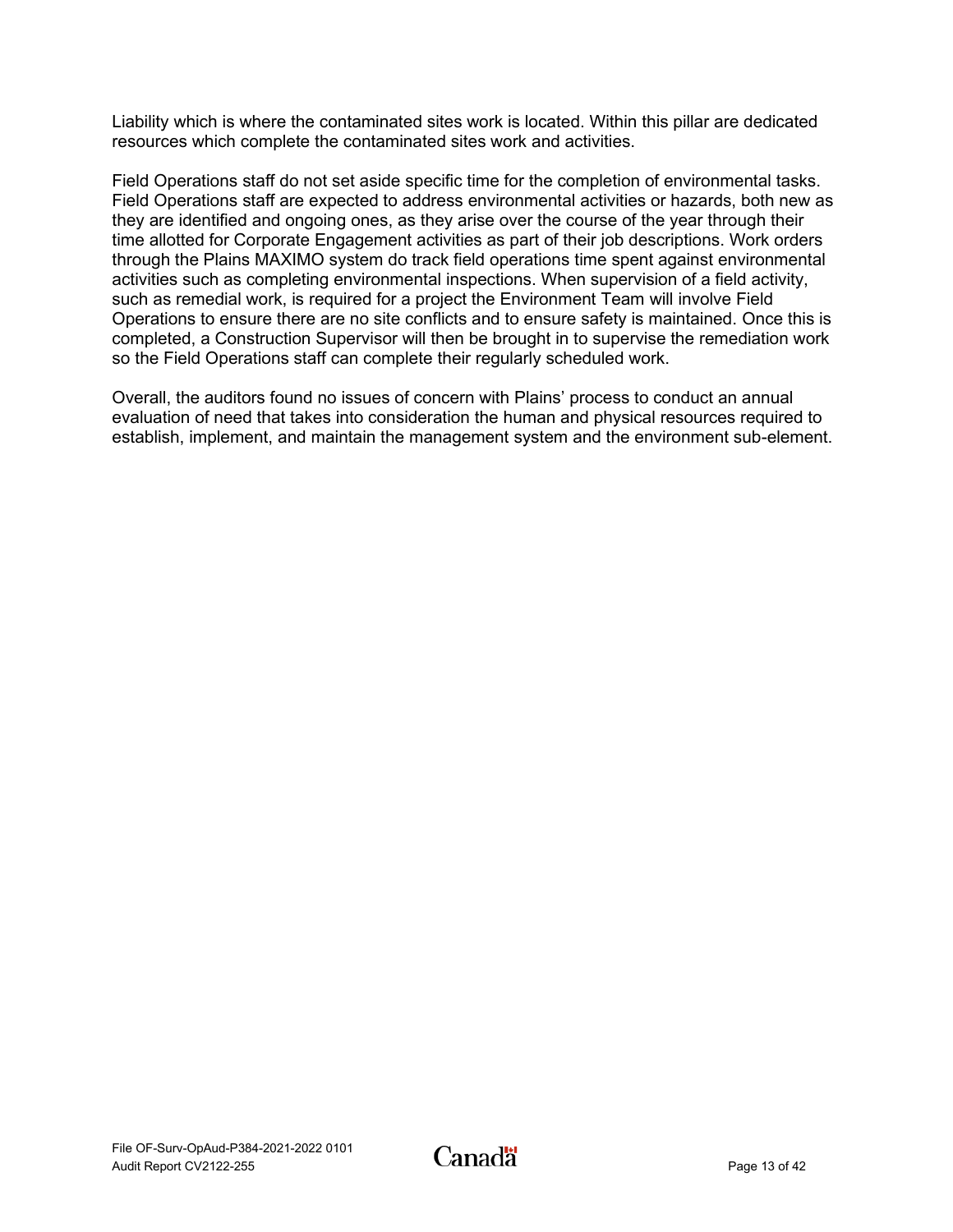Liability which is where the contaminated sites work is located. Within this pillar are dedicated resources which complete the contaminated sites work and activities.

Field Operations staff do not set aside specific time for the completion of environmental tasks. Field Operations staff are expected to address environmental activities or hazards, both new as they are identified and ongoing ones, as they arise over the course of the year through their time allotted for Corporate Engagement activities as part of their job descriptions. Work orders through the Plains MAXIMO system do track field operations time spent against environmental activities such as completing environmental inspections. When supervision of a field activity, such as remedial work, is required for a project the Environment Team will involve Field Operations to ensure there are no site conflicts and to ensure safety is maintained. Once this is completed, a Construction Supervisor will then be brought in to supervise the remediation work so the Field Operations staff can complete their regularly scheduled work.

Overall, the auditors found no issues of concern with Plains' process to conduct an annual evaluation of need that takes into consideration the human and physical resources required to establish, implement, and maintain the management system and the environment sub-element.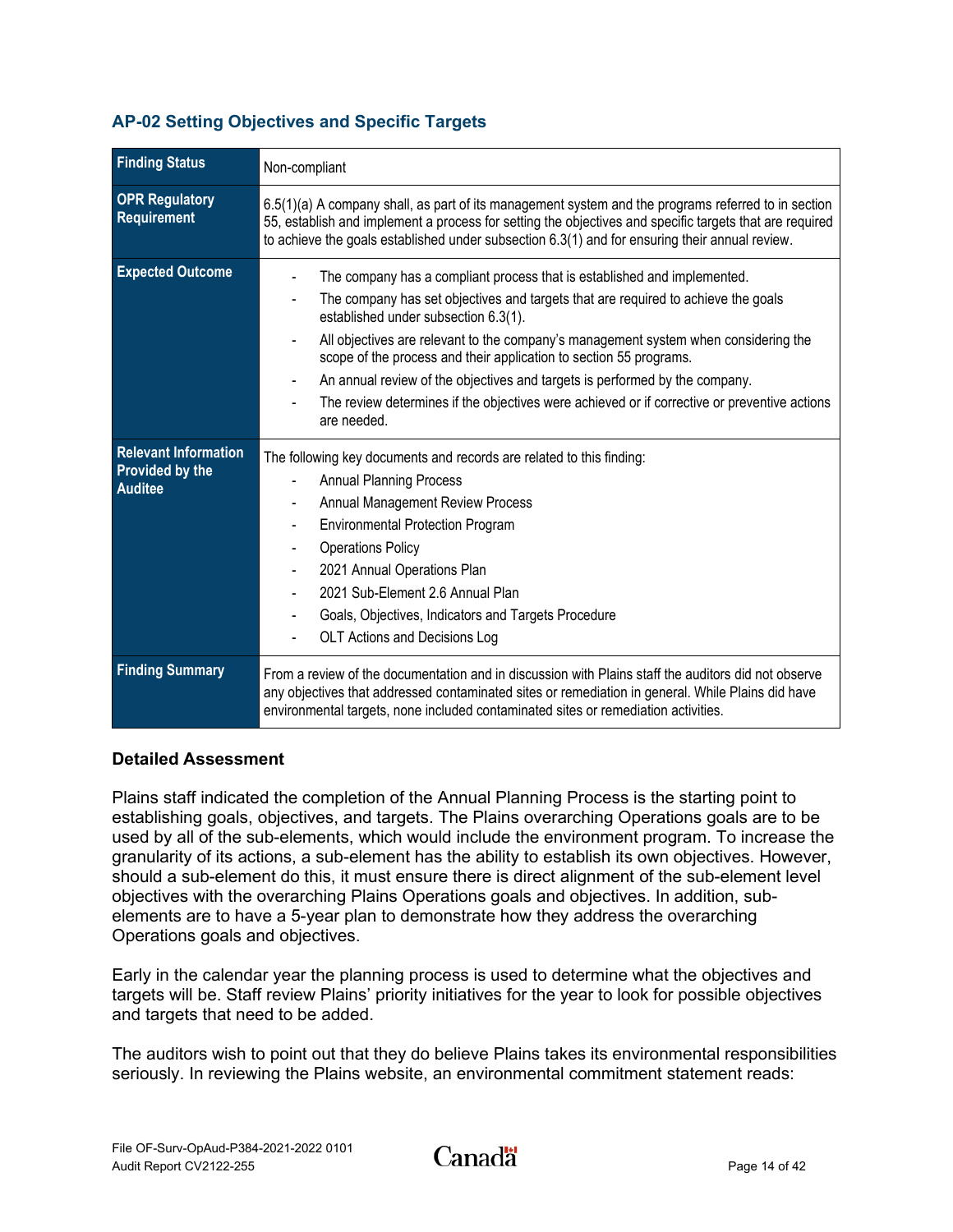### <span id="page-16-0"></span>**AP-02 Setting Objectives and Specific Targets**

| <b>Finding Status</b>                                                   | Non-compliant                                                                                                                                                                                                                                                                                                                                                                                                                                                                                                                                                    |
|-------------------------------------------------------------------------|------------------------------------------------------------------------------------------------------------------------------------------------------------------------------------------------------------------------------------------------------------------------------------------------------------------------------------------------------------------------------------------------------------------------------------------------------------------------------------------------------------------------------------------------------------------|
| <b>OPR Regulatory</b><br>Requirement                                    | $6.5(1)(a)$ A company shall, as part of its management system and the programs referred to in section<br>55, establish and implement a process for setting the objectives and specific targets that are required<br>to achieve the goals established under subsection 6.3(1) and for ensuring their annual review.                                                                                                                                                                                                                                               |
| <b>Expected Outcome</b>                                                 | The company has a compliant process that is established and implemented.<br>The company has set objectives and targets that are required to achieve the goals<br>established under subsection 6.3(1).<br>All objectives are relevant to the company's management system when considering the<br>scope of the process and their application to section 55 programs.<br>An annual review of the objectives and targets is performed by the company.<br>The review determines if the objectives were achieved or if corrective or preventive actions<br>are needed. |
| <b>Relevant Information</b><br><b>Provided by the</b><br><b>Auditee</b> | The following key documents and records are related to this finding:<br><b>Annual Planning Process</b><br><b>Annual Management Review Process</b><br><b>Environmental Protection Program</b><br><b>Operations Policy</b><br>2021 Annual Operations Plan<br>2021 Sub-Element 2.6 Annual Plan<br>Goals, Objectives, Indicators and Targets Procedure<br>OLT Actions and Decisions Log                                                                                                                                                                              |
| <b>Finding Summary</b>                                                  | From a review of the documentation and in discussion with Plains staff the auditors did not observe<br>any objectives that addressed contaminated sites or remediation in general. While Plains did have<br>environmental targets, none included contaminated sites or remediation activities.                                                                                                                                                                                                                                                                   |

#### **Detailed Assessment**

Plains staff indicated the completion of the Annual Planning Process is the starting point to establishing goals, objectives, and targets. The Plains overarching Operations goals are to be used by all of the sub-elements, which would include the environment program. To increase the granularity of its actions, a sub-element has the ability to establish its own objectives. However, should a sub-element do this, it must ensure there is direct alignment of the sub-element level objectives with the overarching Plains Operations goals and objectives. In addition, subelements are to have a 5-year plan to demonstrate how they address the overarching Operations goals and objectives.

Early in the calendar year the planning process is used to determine what the objectives and targets will be. Staff review Plains' priority initiatives for the year to look for possible objectives and targets that need to be added.

The auditors wish to point out that they do believe Plains takes its environmental responsibilities seriously. In reviewing the Plains website, an environmental commitment statement reads: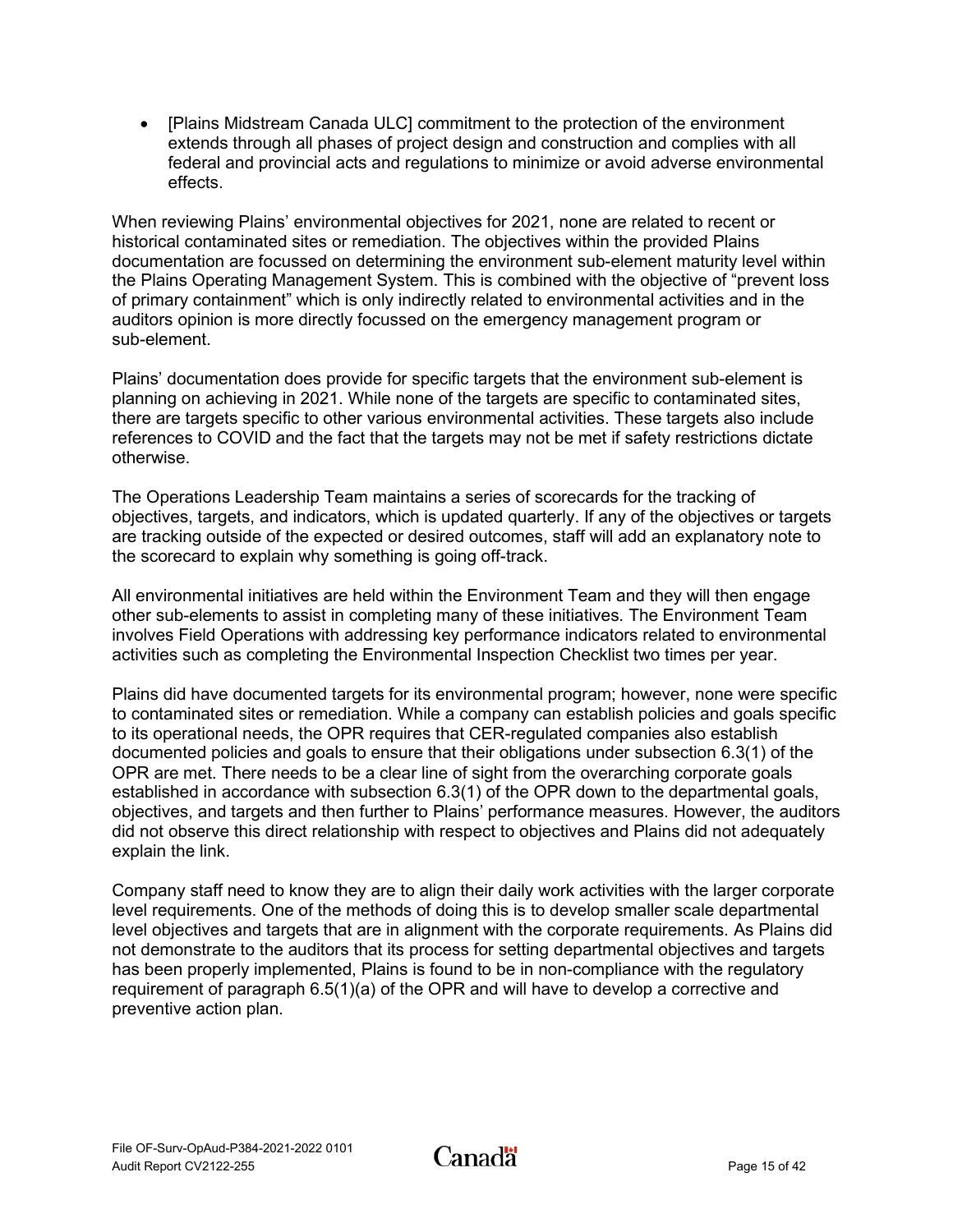• [Plains Midstream Canada ULC] commitment to the protection of the environment extends through all phases of project design and construction and complies with all federal and provincial acts and regulations to minimize or avoid adverse environmental effects.

When reviewing Plains' environmental objectives for 2021, none are related to recent or historical contaminated sites or remediation. The objectives within the provided Plains documentation are focussed on determining the environment sub-element maturity level within the Plains Operating Management System. This is combined with the objective of "prevent loss of primary containment" which is only indirectly related to environmental activities and in the auditors opinion is more directly focussed on the emergency management program or sub-element.

Plains' documentation does provide for specific targets that the environment sub-element is planning on achieving in 2021. While none of the targets are specific to contaminated sites, there are targets specific to other various environmental activities. These targets also include references to COVID and the fact that the targets may not be met if safety restrictions dictate otherwise.

The Operations Leadership Team maintains a series of scorecards for the tracking of objectives, targets, and indicators, which is updated quarterly. If any of the objectives or targets are tracking outside of the expected or desired outcomes, staff will add an explanatory note to the scorecard to explain why something is going off-track.

All environmental initiatives are held within the Environment Team and they will then engage other sub-elements to assist in completing many of these initiatives. The Environment Team involves Field Operations with addressing key performance indicators related to environmental activities such as completing the Environmental Inspection Checklist two times per year.

Plains did have documented targets for its environmental program; however, none were specific to contaminated sites or remediation. While a company can establish policies and goals specific to its operational needs, the OPR requires that CER-regulated companies also establish documented policies and goals to ensure that their obligations under subsection 6.3(1) of the OPR are met. There needs to be a clear line of sight from the overarching corporate goals established in accordance with subsection 6.3(1) of the OPR down to the departmental goals, objectives, and targets and then further to Plains' performance measures. However, the auditors did not observe this direct relationship with respect to objectives and Plains did not adequately explain the link.

Company staff need to know they are to align their daily work activities with the larger corporate level requirements. One of the methods of doing this is to develop smaller scale departmental level objectives and targets that are in alignment with the corporate requirements. As Plains did not demonstrate to the auditors that its process for setting departmental objectives and targets has been properly implemented, Plains is found to be in non-compliance with the regulatory requirement of paragraph 6.5(1)(a) of the OPR and will have to develop a corrective and preventive action plan.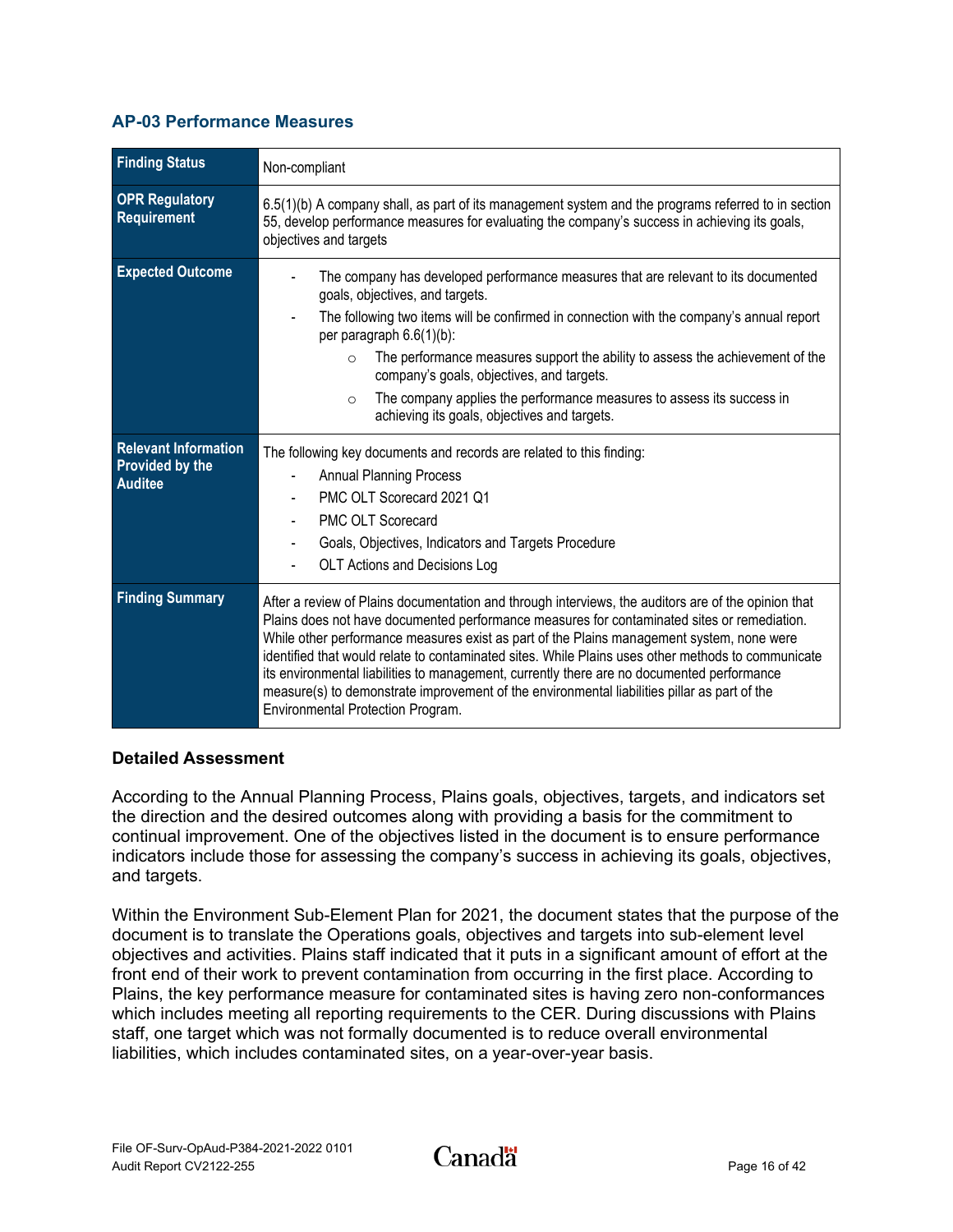#### <span id="page-18-0"></span>**AP-03 Performance Measures**

| <b>Finding Status</b>                                                   | Non-compliant                                                                                                                                                                                                                                                                                                                                                                                                                                                                                                                                                                                                                            |
|-------------------------------------------------------------------------|------------------------------------------------------------------------------------------------------------------------------------------------------------------------------------------------------------------------------------------------------------------------------------------------------------------------------------------------------------------------------------------------------------------------------------------------------------------------------------------------------------------------------------------------------------------------------------------------------------------------------------------|
| <b>OPR Regulatory</b><br><b>Requirement</b>                             | $6.5(1)$ (b) A company shall, as part of its management system and the programs referred to in section<br>55, develop performance measures for evaluating the company's success in achieving its goals,<br>objectives and targets                                                                                                                                                                                                                                                                                                                                                                                                        |
| <b>Expected Outcome</b>                                                 | The company has developed performance measures that are relevant to its documented<br>goals, objectives, and targets.<br>The following two items will be confirmed in connection with the company's annual report<br>per paragraph 6.6(1)(b):<br>The performance measures support the ability to assess the achievement of the<br>$\circ$<br>company's goals, objectives, and targets.<br>The company applies the performance measures to assess its success in<br>$\Omega$<br>achieving its goals, objectives and targets.                                                                                                              |
| <b>Relevant Information</b><br><b>Provided by the</b><br><b>Auditee</b> | The following key documents and records are related to this finding:<br><b>Annual Planning Process</b><br>PMC OLT Scorecard 2021 Q1<br><b>PMC OLT Scorecard</b><br>Goals, Objectives, Indicators and Targets Procedure<br>OLT Actions and Decisions Log                                                                                                                                                                                                                                                                                                                                                                                  |
| <b>Finding Summary</b>                                                  | After a review of Plains documentation and through interviews, the auditors are of the opinion that<br>Plains does not have documented performance measures for contaminated sites or remediation.<br>While other performance measures exist as part of the Plains management system, none were<br>identified that would relate to contaminated sites. While Plains uses other methods to communicate<br>its environmental liabilities to management, currently there are no documented performance<br>measure(s) to demonstrate improvement of the environmental liabilities pillar as part of the<br>Environmental Protection Program. |

#### **Detailed Assessment**

According to the Annual Planning Process, Plains goals, objectives, targets, and indicators set the direction and the desired outcomes along with providing a basis for the commitment to continual improvement. One of the objectives listed in the document is to ensure performance indicators include those for assessing the company's success in achieving its goals, objectives, and targets.

Within the Environment Sub-Element Plan for 2021, the document states that the purpose of the document is to translate the Operations goals, objectives and targets into sub-element level objectives and activities. Plains staff indicated that it puts in a significant amount of effort at the front end of their work to prevent contamination from occurring in the first place. According to Plains, the key performance measure for contaminated sites is having zero non-conformances which includes meeting all reporting requirements to the CER. During discussions with Plains staff, one target which was not formally documented is to reduce overall environmental liabilities, which includes contaminated sites, on a year-over-year basis.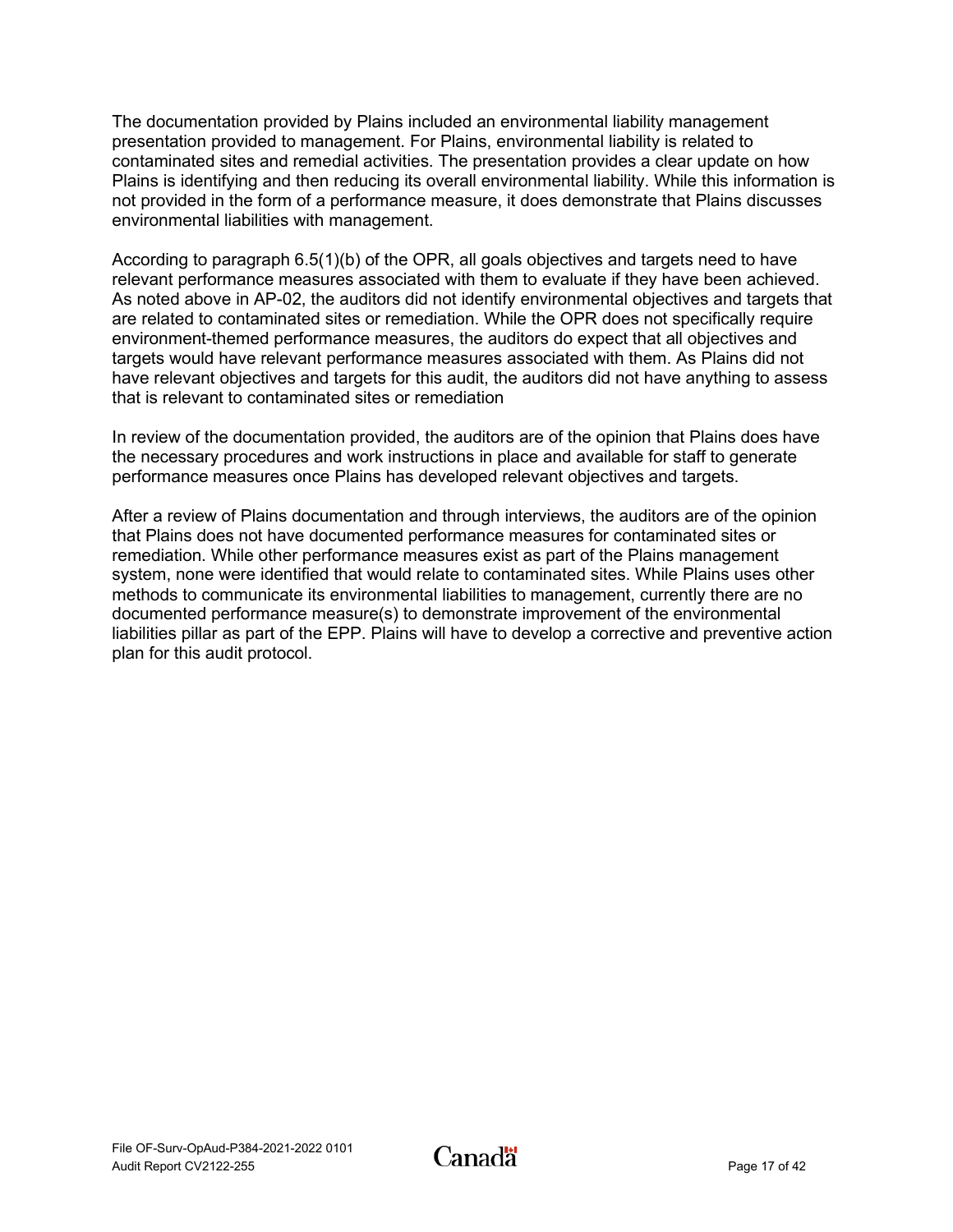The documentation provided by Plains included an environmental liability management presentation provided to management. For Plains, environmental liability is related to contaminated sites and remedial activities. The presentation provides a clear update on how Plains is identifying and then reducing its overall environmental liability. While this information is not provided in the form of a performance measure, it does demonstrate that Plains discusses environmental liabilities with management.

According to paragraph 6.5(1)(b) of the OPR, all goals objectives and targets need to have relevant performance measures associated with them to evaluate if they have been achieved. As noted above in AP-02, the auditors did not identify environmental objectives and targets that are related to contaminated sites or remediation. While the OPR does not specifically require environment-themed performance measures, the auditors do expect that all objectives and targets would have relevant performance measures associated with them. As Plains did not have relevant objectives and targets for this audit, the auditors did not have anything to assess that is relevant to contaminated sites or remediation

In review of the documentation provided, the auditors are of the opinion that Plains does have the necessary procedures and work instructions in place and available for staff to generate performance measures once Plains has developed relevant objectives and targets.

After a review of Plains documentation and through interviews, the auditors are of the opinion that Plains does not have documented performance measures for contaminated sites or remediation. While other performance measures exist as part of the Plains management system, none were identified that would relate to contaminated sites. While Plains uses other methods to communicate its environmental liabilities to management, currently there are no documented performance measure(s) to demonstrate improvement of the environmental liabilities pillar as part of the EPP. Plains will have to develop a corrective and preventive action plan for this audit protocol.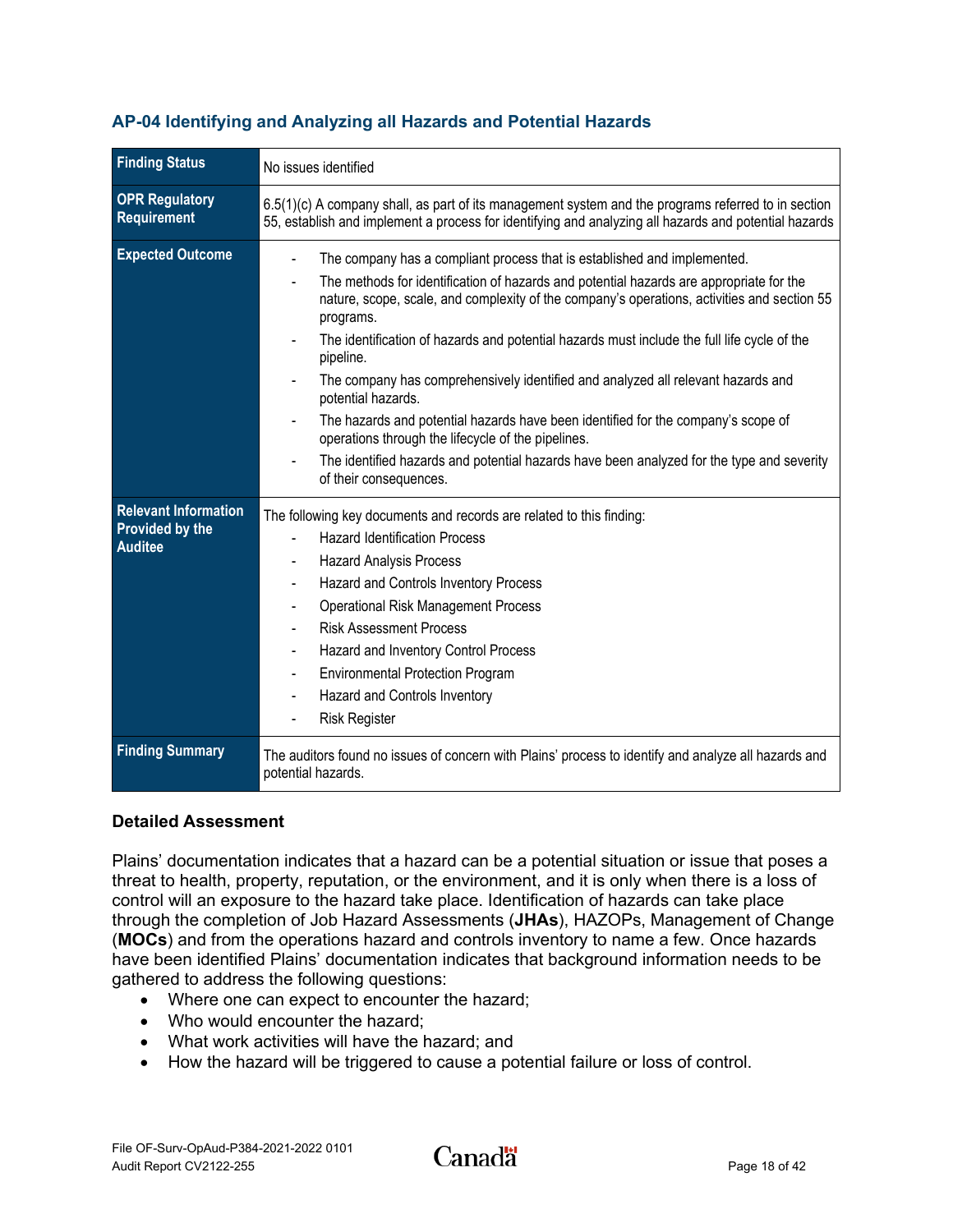| <b>Finding Status</b>                                                   | No issues identified                                                                                                                                                                                                                                                                                                                                                                                                                                                                                                                                                                                                                                                                                                                                                    |
|-------------------------------------------------------------------------|-------------------------------------------------------------------------------------------------------------------------------------------------------------------------------------------------------------------------------------------------------------------------------------------------------------------------------------------------------------------------------------------------------------------------------------------------------------------------------------------------------------------------------------------------------------------------------------------------------------------------------------------------------------------------------------------------------------------------------------------------------------------------|
| <b>OPR Regulatory</b><br><b>Requirement</b>                             | $6.5(1)(c)$ A company shall, as part of its management system and the programs referred to in section<br>55, establish and implement a process for identifying and analyzing all hazards and potential hazards                                                                                                                                                                                                                                                                                                                                                                                                                                                                                                                                                          |
| <b>Expected Outcome</b>                                                 | The company has a compliant process that is established and implemented.<br>The methods for identification of hazards and potential hazards are appropriate for the<br>nature, scope, scale, and complexity of the company's operations, activities and section 55<br>programs.<br>The identification of hazards and potential hazards must include the full life cycle of the<br>pipeline.<br>The company has comprehensively identified and analyzed all relevant hazards and<br>potential hazards.<br>The hazards and potential hazards have been identified for the company's scope of<br>operations through the lifecycle of the pipelines.<br>The identified hazards and potential hazards have been analyzed for the type and severity<br>of their consequences. |
| <b>Relevant Information</b><br><b>Provided by the</b><br><b>Auditee</b> | The following key documents and records are related to this finding:<br><b>Hazard Identification Process</b><br><b>Hazard Analysis Process</b><br>Hazard and Controls Inventory Process<br><b>Operational Risk Management Process</b><br><b>Risk Assessment Process</b><br>Hazard and Inventory Control Process<br><b>Environmental Protection Program</b><br>Hazard and Controls Inventory<br>$\qquad \qquad \blacksquare$<br><b>Risk Register</b>                                                                                                                                                                                                                                                                                                                     |
| <b>Finding Summary</b>                                                  | The auditors found no issues of concern with Plains' process to identify and analyze all hazards and<br>potential hazards.                                                                                                                                                                                                                                                                                                                                                                                                                                                                                                                                                                                                                                              |

## <span id="page-20-0"></span>**AP-04 Identifying and Analyzing all Hazards and Potential Hazards**

#### **Detailed Assessment**

Plains' documentation indicates that a hazard can be a potential situation or issue that poses a threat to health, property, reputation, or the environment, and it is only when there is a loss of control will an exposure to the hazard take place. Identification of hazards can take place through the completion of Job Hazard Assessments (**JHAs**), HAZOPs, Management of Change (**MOCs**) and from the operations hazard and controls inventory to name a few. Once hazards have been identified Plains' documentation indicates that background information needs to be gathered to address the following questions:

- Where one can expect to encounter the hazard;
- Who would encounter the hazard:
- What work activities will have the hazard; and
- How the hazard will be triggered to cause a potential failure or loss of control.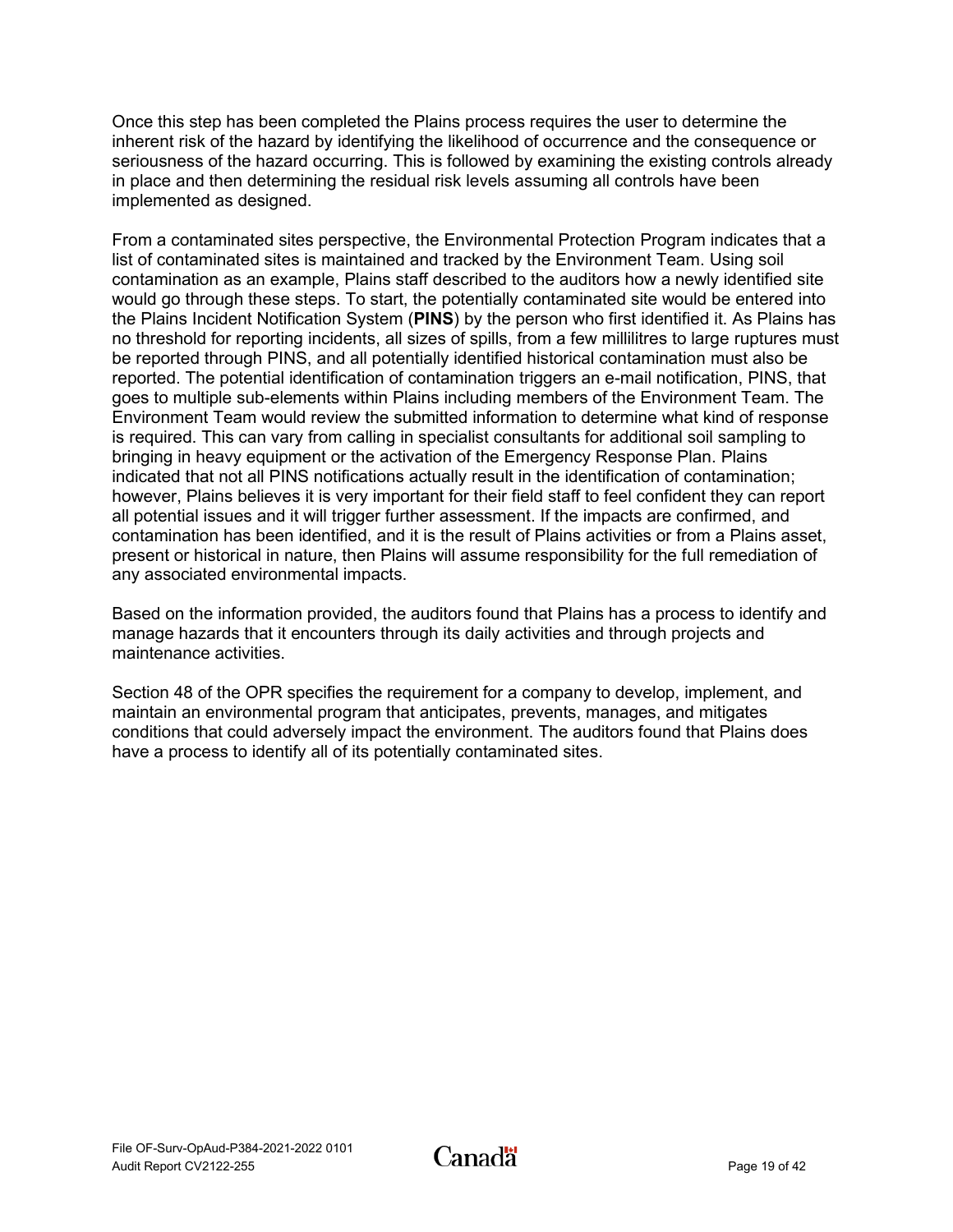Once this step has been completed the Plains process requires the user to determine the inherent risk of the hazard by identifying the likelihood of occurrence and the consequence or seriousness of the hazard occurring. This is followed by examining the existing controls already in place and then determining the residual risk levels assuming all controls have been implemented as designed.

From a contaminated sites perspective, the Environmental Protection Program indicates that a list of contaminated sites is maintained and tracked by the Environment Team. Using soil contamination as an example, Plains staff described to the auditors how a newly identified site would go through these steps. To start, the potentially contaminated site would be entered into the Plains Incident Notification System (**PINS**) by the person who first identified it. As Plains has no threshold for reporting incidents, all sizes of spills, from a few millilitres to large ruptures must be reported through PINS, and all potentially identified historical contamination must also be reported. The potential identification of contamination triggers an e-mail notification, PINS, that goes to multiple sub-elements within Plains including members of the Environment Team. The Environment Team would review the submitted information to determine what kind of response is required. This can vary from calling in specialist consultants for additional soil sampling to bringing in heavy equipment or the activation of the Emergency Response Plan. Plains indicated that not all PINS notifications actually result in the identification of contamination; however, Plains believes it is very important for their field staff to feel confident they can report all potential issues and it will trigger further assessment. If the impacts are confirmed, and contamination has been identified, and it is the result of Plains activities or from a Plains asset, present or historical in nature, then Plains will assume responsibility for the full remediation of any associated environmental impacts.

Based on the information provided, the auditors found that Plains has a process to identify and manage hazards that it encounters through its daily activities and through projects and maintenance activities.

Section 48 of the OPR specifies the requirement for a company to develop, implement, and maintain an environmental program that anticipates, prevents, manages, and mitigates conditions that could adversely impact the environment. The auditors found that Plains does have a process to identify all of its potentially contaminated sites.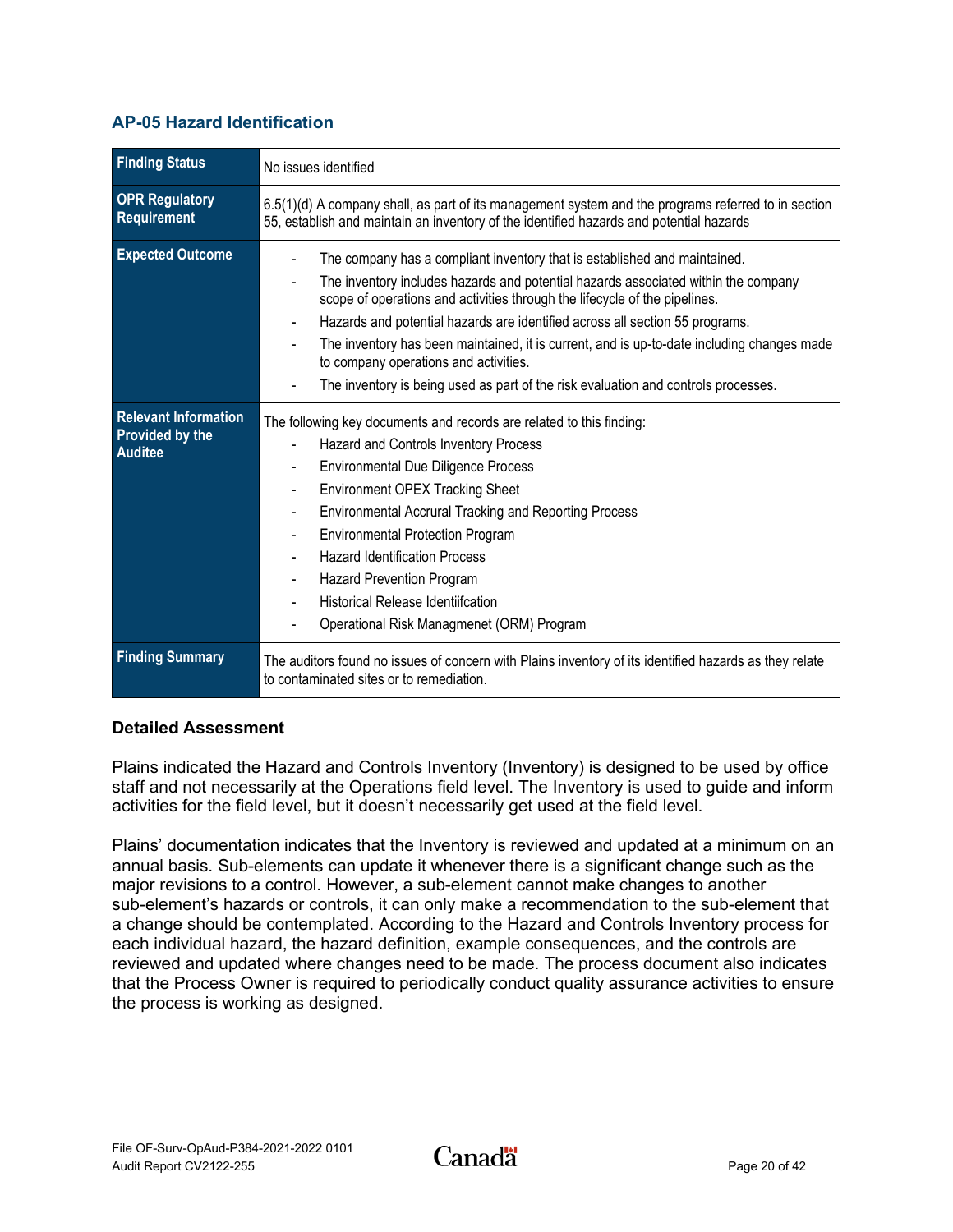### <span id="page-22-0"></span>**AP-05 Hazard Identification**

| <b>Finding Status</b>                                                   | No issues identified                                                                                                                                                                                                                                                                                                                                                                                                                                                                                                                                       |
|-------------------------------------------------------------------------|------------------------------------------------------------------------------------------------------------------------------------------------------------------------------------------------------------------------------------------------------------------------------------------------------------------------------------------------------------------------------------------------------------------------------------------------------------------------------------------------------------------------------------------------------------|
| <b>OPR Regulatory</b><br>Requirement                                    | 6.5(1)(d) A company shall, as part of its management system and the programs referred to in section<br>55, establish and maintain an inventory of the identified hazards and potential hazards                                                                                                                                                                                                                                                                                                                                                             |
| <b>Expected Outcome</b>                                                 | The company has a compliant inventory that is established and maintained.<br>The inventory includes hazards and potential hazards associated within the company<br>scope of operations and activities through the lifecycle of the pipelines.<br>Hazards and potential hazards are identified across all section 55 programs.<br>The inventory has been maintained, it is current, and is up-to-date including changes made<br>to company operations and activities.<br>The inventory is being used as part of the risk evaluation and controls processes. |
| <b>Relevant Information</b><br><b>Provided by the</b><br><b>Auditee</b> | The following key documents and records are related to this finding:<br>Hazard and Controls Inventory Process<br><b>Environmental Due Diligence Process</b><br><b>Environment OPEX Tracking Sheet</b><br><b>Environmental Accrural Tracking and Reporting Process</b><br><b>Environmental Protection Program</b><br><b>Hazard Identification Process</b><br><b>Hazard Prevention Program</b><br><b>Historical Release Identiifcation</b><br>Operational Risk Managmenet (ORM) Program                                                                      |
| <b>Finding Summary</b>                                                  | The auditors found no issues of concern with Plains inventory of its identified hazards as they relate<br>to contaminated sites or to remediation.                                                                                                                                                                                                                                                                                                                                                                                                         |

#### **Detailed Assessment**

Plains indicated the Hazard and Controls Inventory (Inventory) is designed to be used by office staff and not necessarily at the Operations field level. The Inventory is used to guide and inform activities for the field level, but it doesn't necessarily get used at the field level.

Plains' documentation indicates that the Inventory is reviewed and updated at a minimum on an annual basis. Sub-elements can update it whenever there is a significant change such as the major revisions to a control. However, a sub-element cannot make changes to another sub-element's hazards or controls, it can only make a recommendation to the sub-element that a change should be contemplated. According to the Hazard and Controls Inventory process for each individual hazard, the hazard definition, example consequences, and the controls are reviewed and updated where changes need to be made. The process document also indicates that the Process Owner is required to periodically conduct quality assurance activities to ensure the process is working as designed.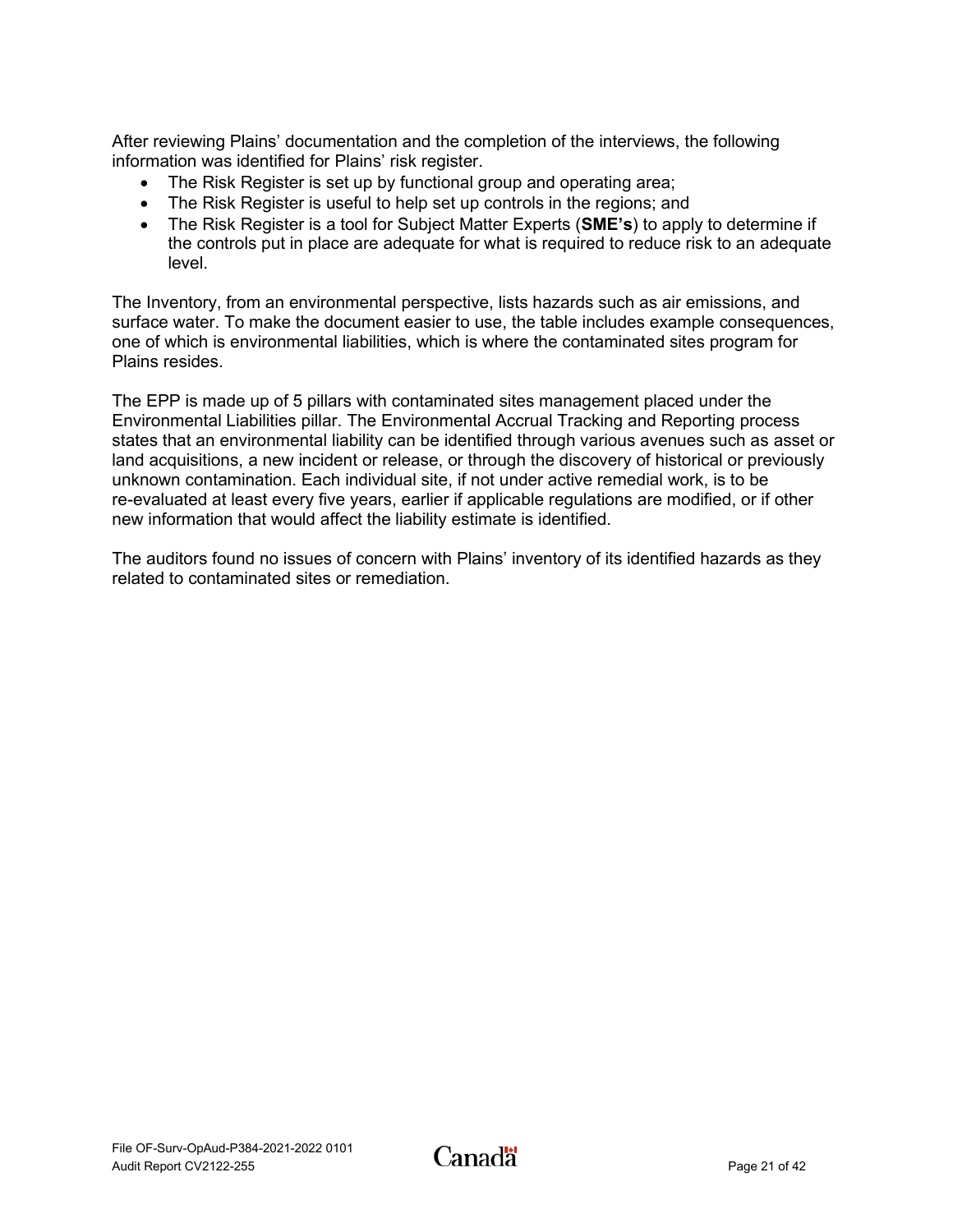After reviewing Plains' documentation and the completion of the interviews, the following information was identified for Plains' risk register.

- The Risk Register is set up by functional group and operating area;
- The Risk Register is useful to help set up controls in the regions; and
- The Risk Register is a tool for Subject Matter Experts (**SME's**) to apply to determine if the controls put in place are adequate for what is required to reduce risk to an adequate level.

The Inventory, from an environmental perspective, lists hazards such as air emissions, and surface water. To make the document easier to use, the table includes example consequences, one of which is environmental liabilities, which is where the contaminated sites program for Plains resides.

The EPP is made up of 5 pillars with contaminated sites management placed under the Environmental Liabilities pillar. The Environmental Accrual Tracking and Reporting process states that an environmental liability can be identified through various avenues such as asset or land acquisitions, a new incident or release, or through the discovery of historical or previously unknown contamination. Each individual site, if not under active remedial work, is to be re-evaluated at least every five years, earlier if applicable regulations are modified, or if other new information that would affect the liability estimate is identified.

The auditors found no issues of concern with Plains' inventory of its identified hazards as they related to contaminated sites or remediation.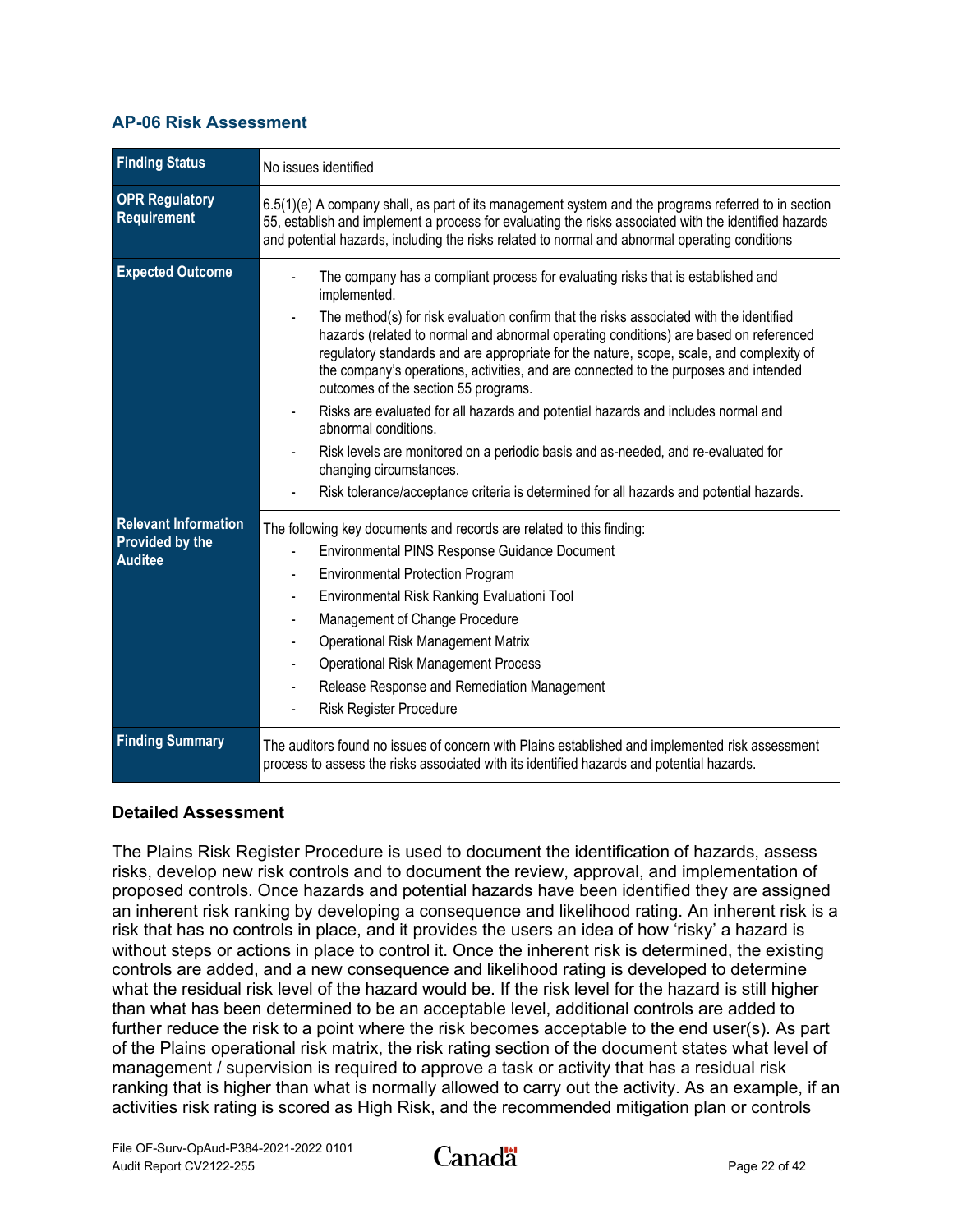#### <span id="page-24-0"></span>**AP-06 Risk Assessment**

| <b>Finding Status</b>                                                   | No issues identified                                                                                                                                                                                                                                                                                                                                                                                                                                                                                                                                                                                                          |
|-------------------------------------------------------------------------|-------------------------------------------------------------------------------------------------------------------------------------------------------------------------------------------------------------------------------------------------------------------------------------------------------------------------------------------------------------------------------------------------------------------------------------------------------------------------------------------------------------------------------------------------------------------------------------------------------------------------------|
| <b>OPR Regulatory</b><br>Requirement                                    | $6.5(1)(e)$ A company shall, as part of its management system and the programs referred to in section<br>55, establish and implement a process for evaluating the risks associated with the identified hazards<br>and potential hazards, including the risks related to normal and abnormal operating conditions                                                                                                                                                                                                                                                                                                              |
| <b>Expected Outcome</b>                                                 | The company has a compliant process for evaluating risks that is established and<br>implemented.<br>The method(s) for risk evaluation confirm that the risks associated with the identified<br>hazards (related to normal and abnormal operating conditions) are based on referenced<br>regulatory standards and are appropriate for the nature, scope, scale, and complexity of<br>the company's operations, activities, and are connected to the purposes and intended<br>outcomes of the section 55 programs.<br>Risks are evaluated for all hazards and potential hazards and includes normal and<br>abnormal conditions. |
|                                                                         | Risk levels are monitored on a periodic basis and as-needed, and re-evaluated for<br>changing circumstances.<br>Risk tolerance/acceptance criteria is determined for all hazards and potential hazards.                                                                                                                                                                                                                                                                                                                                                                                                                       |
| <b>Relevant Information</b><br><b>Provided by the</b><br><b>Auditee</b> | The following key documents and records are related to this finding:<br>Environmental PINS Response Guidance Document<br><b>Environmental Protection Program</b><br>$\blacksquare$<br>Environmental Risk Ranking Evaluationi Tool<br>Management of Change Procedure<br>Operational Risk Management Matrix<br>$\overline{a}$<br><b>Operational Risk Management Process</b><br>Release Response and Remediation Management<br>Risk Register Procedure                                                                                                                                                                           |
| <b>Finding Summary</b>                                                  | The auditors found no issues of concern with Plains established and implemented risk assessment<br>process to assess the risks associated with its identified hazards and potential hazards.                                                                                                                                                                                                                                                                                                                                                                                                                                  |

#### **Detailed Assessment**

The Plains Risk Register Procedure is used to document the identification of hazards, assess risks, develop new risk controls and to document the review, approval, and implementation of proposed controls. Once hazards and potential hazards have been identified they are assigned an inherent risk ranking by developing a consequence and likelihood rating. An inherent risk is a risk that has no controls in place, and it provides the users an idea of how 'risky' a hazard is without steps or actions in place to control it. Once the inherent risk is determined, the existing controls are added, and a new consequence and likelihood rating is developed to determine what the residual risk level of the hazard would be. If the risk level for the hazard is still higher than what has been determined to be an acceptable level, additional controls are added to further reduce the risk to a point where the risk becomes acceptable to the end user(s). As part of the Plains operational risk matrix, the risk rating section of the document states what level of management / supervision is required to approve a task or activity that has a residual risk ranking that is higher than what is normally allowed to carry out the activity. As an example, if an activities risk rating is scored as High Risk, and the recommended mitigation plan or controls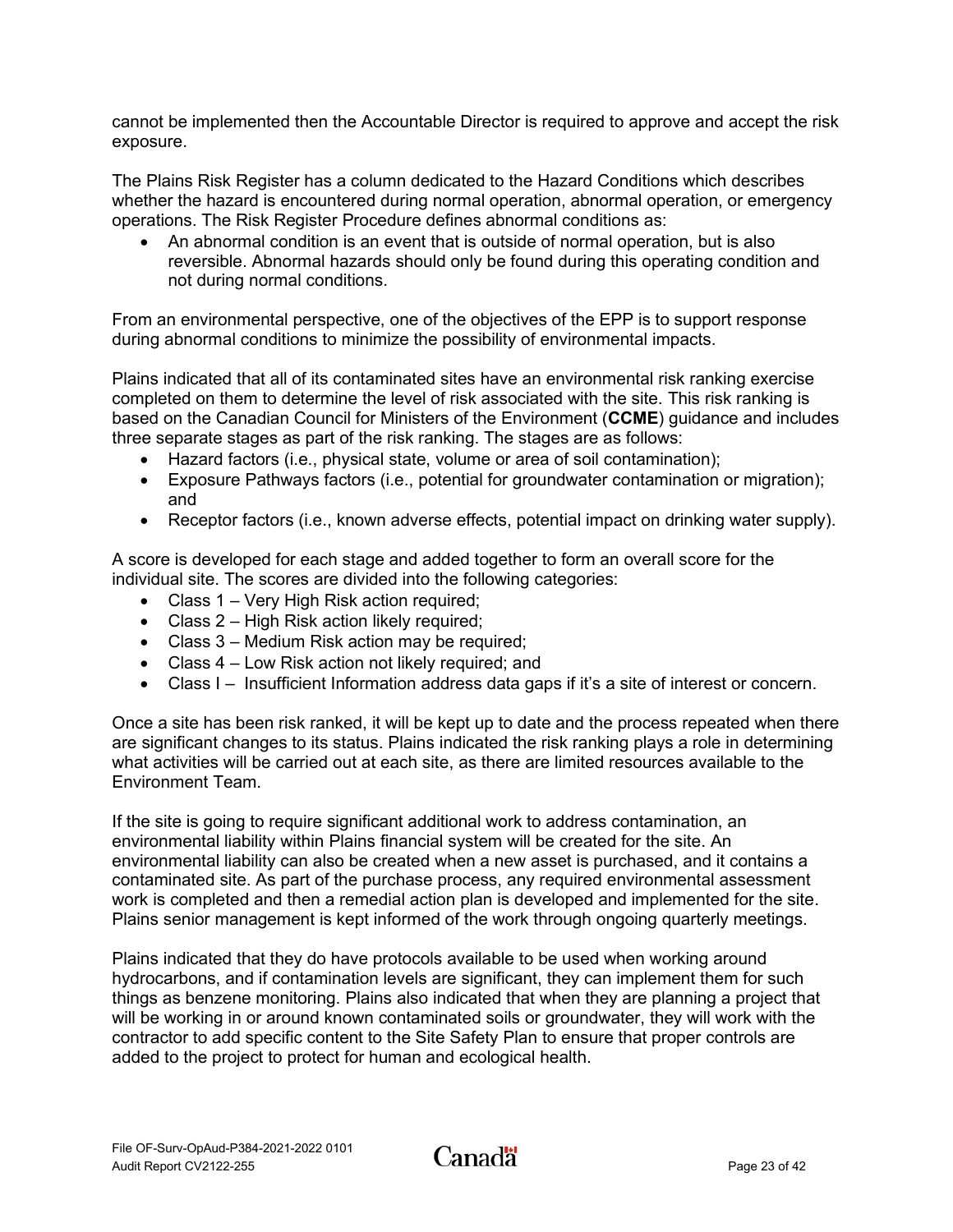cannot be implemented then the Accountable Director is required to approve and accept the risk exposure.

The Plains Risk Register has a column dedicated to the Hazard Conditions which describes whether the hazard is encountered during normal operation, abnormal operation, or emergency operations. The Risk Register Procedure defines abnormal conditions as:

• An abnormal condition is an event that is outside of normal operation, but is also reversible. Abnormal hazards should only be found during this operating condition and not during normal conditions.

From an environmental perspective, one of the objectives of the EPP is to support response during abnormal conditions to minimize the possibility of environmental impacts.

Plains indicated that all of its contaminated sites have an environmental risk ranking exercise completed on them to determine the level of risk associated with the site. This risk ranking is based on the Canadian Council for Ministers of the Environment (**CCME**) guidance and includes three separate stages as part of the risk ranking. The stages are as follows:

- Hazard factors (i.e., physical state, volume or area of soil contamination);
- Exposure Pathways factors (i.e., potential for groundwater contamination or migration); and
- Receptor factors (i.e., known adverse effects, potential impact on drinking water supply).

A score is developed for each stage and added together to form an overall score for the individual site. The scores are divided into the following categories:

- Class 1 Very High Risk action required;
- Class 2 High Risk action likely required;
- Class 3 Medium Risk action may be required;
- Class 4 Low Risk action not likely required; and
- Class I Insufficient Information address data gaps if it's a site of interest or concern.

Once a site has been risk ranked, it will be kept up to date and the process repeated when there are significant changes to its status. Plains indicated the risk ranking plays a role in determining what activities will be carried out at each site, as there are limited resources available to the Environment Team.

If the site is going to require significant additional work to address contamination, an environmental liability within Plains financial system will be created for the site. An environmental liability can also be created when a new asset is purchased, and it contains a contaminated site. As part of the purchase process, any required environmental assessment work is completed and then a remedial action plan is developed and implemented for the site. Plains senior management is kept informed of the work through ongoing quarterly meetings.

Plains indicated that they do have protocols available to be used when working around hydrocarbons, and if contamination levels are significant, they can implement them for such things as benzene monitoring. Plains also indicated that when they are planning a project that will be working in or around known contaminated soils or groundwater, they will work with the contractor to add specific content to the Site Safety Plan to ensure that proper controls are added to the project to protect for human and ecological health.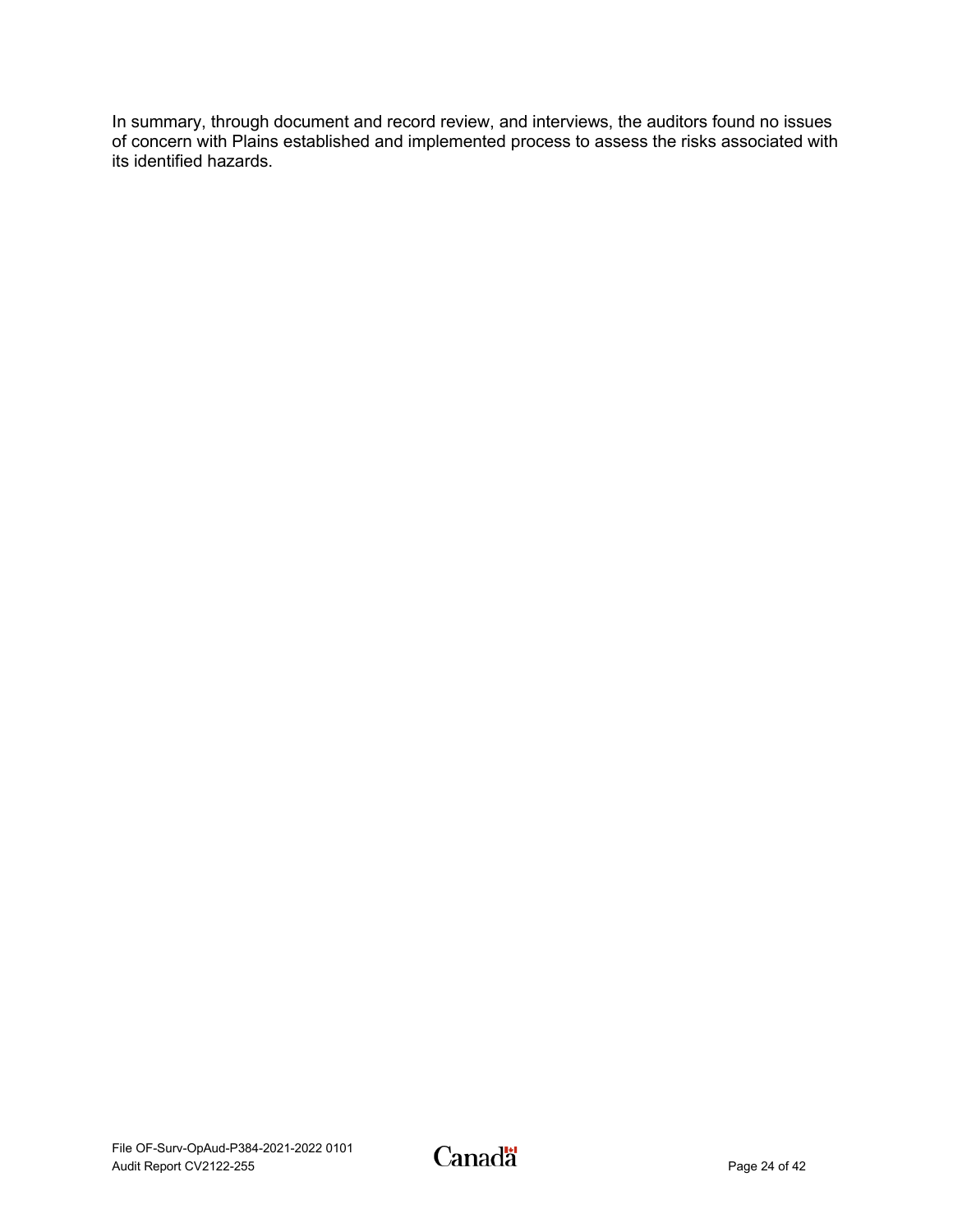In summary, through document and record review, and interviews, the auditors found no issues of concern with Plains established and implemented process to assess the risks associated with its identified hazards.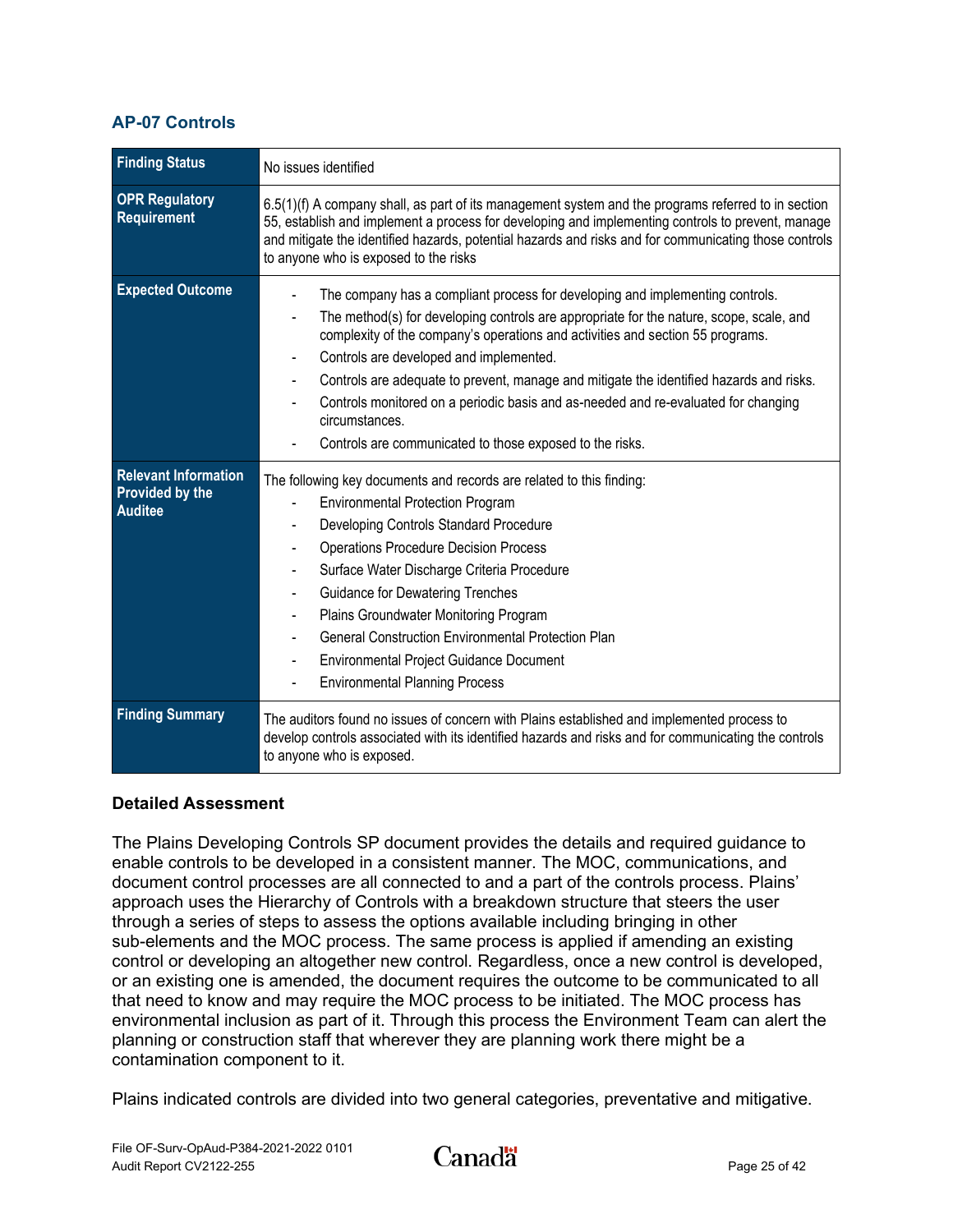#### <span id="page-27-0"></span>**AP-07 Controls**

| <b>Finding Status</b>                                                   | No issues identified                                                                                                                                                                                                                                                                                                                                                                                                                                                                                                                                                 |
|-------------------------------------------------------------------------|----------------------------------------------------------------------------------------------------------------------------------------------------------------------------------------------------------------------------------------------------------------------------------------------------------------------------------------------------------------------------------------------------------------------------------------------------------------------------------------------------------------------------------------------------------------------|
| <b>OPR Regulatory</b><br>Requirement                                    | 6.5(1)(f) A company shall, as part of its management system and the programs referred to in section<br>55, establish and implement a process for developing and implementing controls to prevent, manage<br>and mitigate the identified hazards, potential hazards and risks and for communicating those controls<br>to anyone who is exposed to the risks                                                                                                                                                                                                           |
| <b>Expected Outcome</b>                                                 | The company has a compliant process for developing and implementing controls.<br>The method(s) for developing controls are appropriate for the nature, scope, scale, and<br>complexity of the company's operations and activities and section 55 programs.<br>Controls are developed and implemented.<br>Controls are adequate to prevent, manage and mitigate the identified hazards and risks.<br>Controls monitored on a periodic basis and as-needed and re-evaluated for changing<br>circumstances.<br>Controls are communicated to those exposed to the risks. |
| <b>Relevant Information</b><br><b>Provided by the</b><br><b>Auditee</b> | The following key documents and records are related to this finding:<br><b>Environmental Protection Program</b><br>Developing Controls Standard Procedure<br><b>Operations Procedure Decision Process</b><br>Surface Water Discharge Criteria Procedure<br><b>Guidance for Dewatering Trenches</b><br>Plains Groundwater Monitoring Program<br><b>General Construction Environmental Protection Plan</b><br>Environmental Project Guidance Document<br><b>Environmental Planning Process</b>                                                                         |
| <b>Finding Summary</b>                                                  | The auditors found no issues of concern with Plains established and implemented process to<br>develop controls associated with its identified hazards and risks and for communicating the controls<br>to anyone who is exposed.                                                                                                                                                                                                                                                                                                                                      |

#### **Detailed Assessment**

The Plains Developing Controls SP document provides the details and required guidance to enable controls to be developed in a consistent manner. The MOC, communications, and document control processes are all connected to and a part of the controls process. Plains' approach uses the Hierarchy of Controls with a breakdown structure that steers the user through a series of steps to assess the options available including bringing in other sub-elements and the MOC process. The same process is applied if amending an existing control or developing an altogether new control. Regardless, once a new control is developed, or an existing one is amended, the document requires the outcome to be communicated to all that need to know and may require the MOC process to be initiated. The MOC process has environmental inclusion as part of it. Through this process the Environment Team can alert the planning or construction staff that wherever they are planning work there might be a contamination component to it.

Plains indicated controls are divided into two general categories, preventative and mitigative.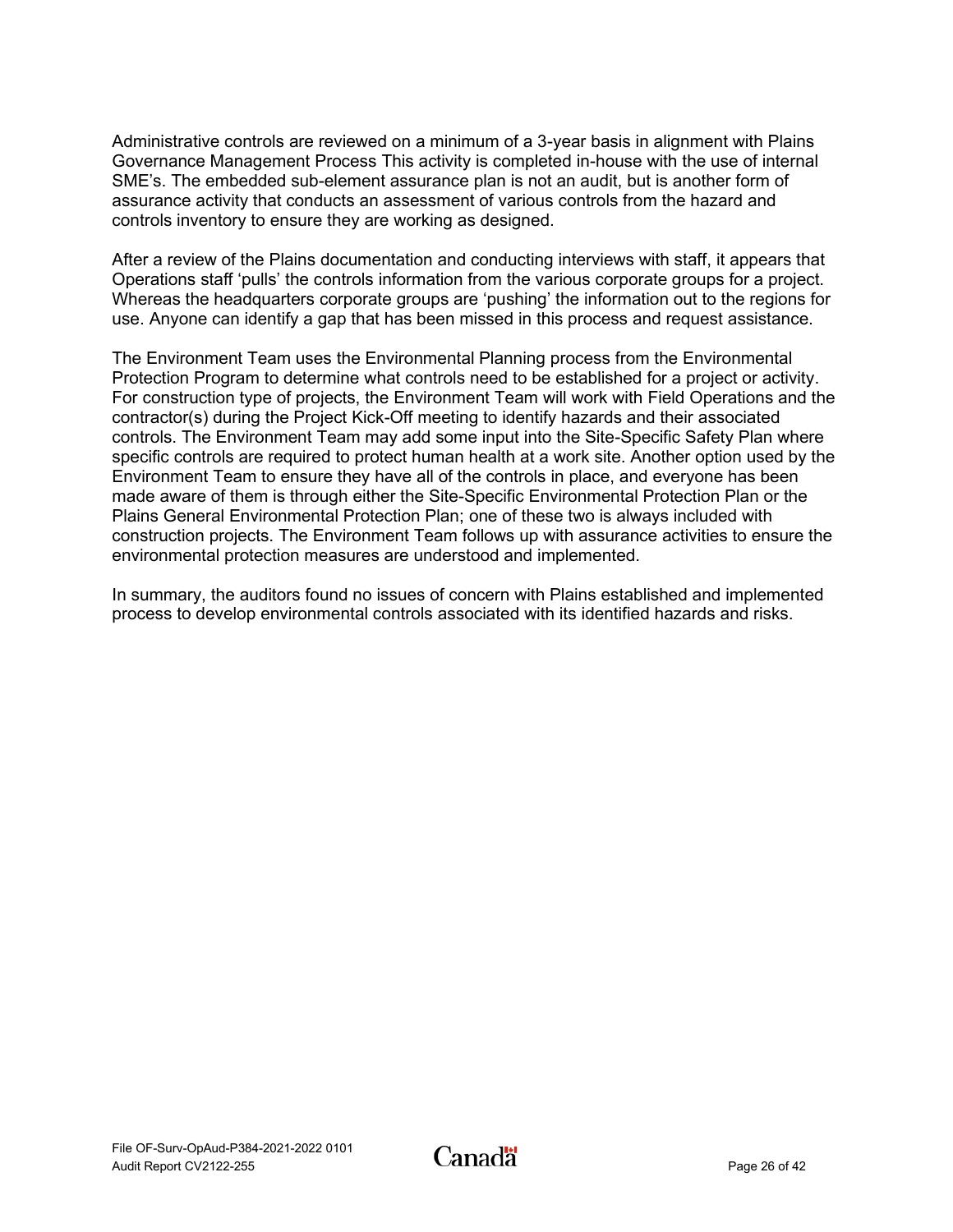Administrative controls are reviewed on a minimum of a 3-year basis in alignment with Plains Governance Management Process This activity is completed in-house with the use of internal SME's. The embedded sub-element assurance plan is not an audit, but is another form of assurance activity that conducts an assessment of various controls from the hazard and controls inventory to ensure they are working as designed.

After a review of the Plains documentation and conducting interviews with staff, it appears that Operations staff 'pulls' the controls information from the various corporate groups for a project. Whereas the headquarters corporate groups are 'pushing' the information out to the regions for use. Anyone can identify a gap that has been missed in this process and request assistance.

The Environment Team uses the Environmental Planning process from the Environmental Protection Program to determine what controls need to be established for a project or activity. For construction type of projects, the Environment Team will work with Field Operations and the contractor(s) during the Project Kick-Off meeting to identify hazards and their associated controls. The Environment Team may add some input into the Site-Specific Safety Plan where specific controls are required to protect human health at a work site. Another option used by the Environment Team to ensure they have all of the controls in place, and everyone has been made aware of them is through either the Site-Specific Environmental Protection Plan or the Plains General Environmental Protection Plan; one of these two is always included with construction projects. The Environment Team follows up with assurance activities to ensure the environmental protection measures are understood and implemented.

In summary, the auditors found no issues of concern with Plains established and implemented process to develop environmental controls associated with its identified hazards and risks.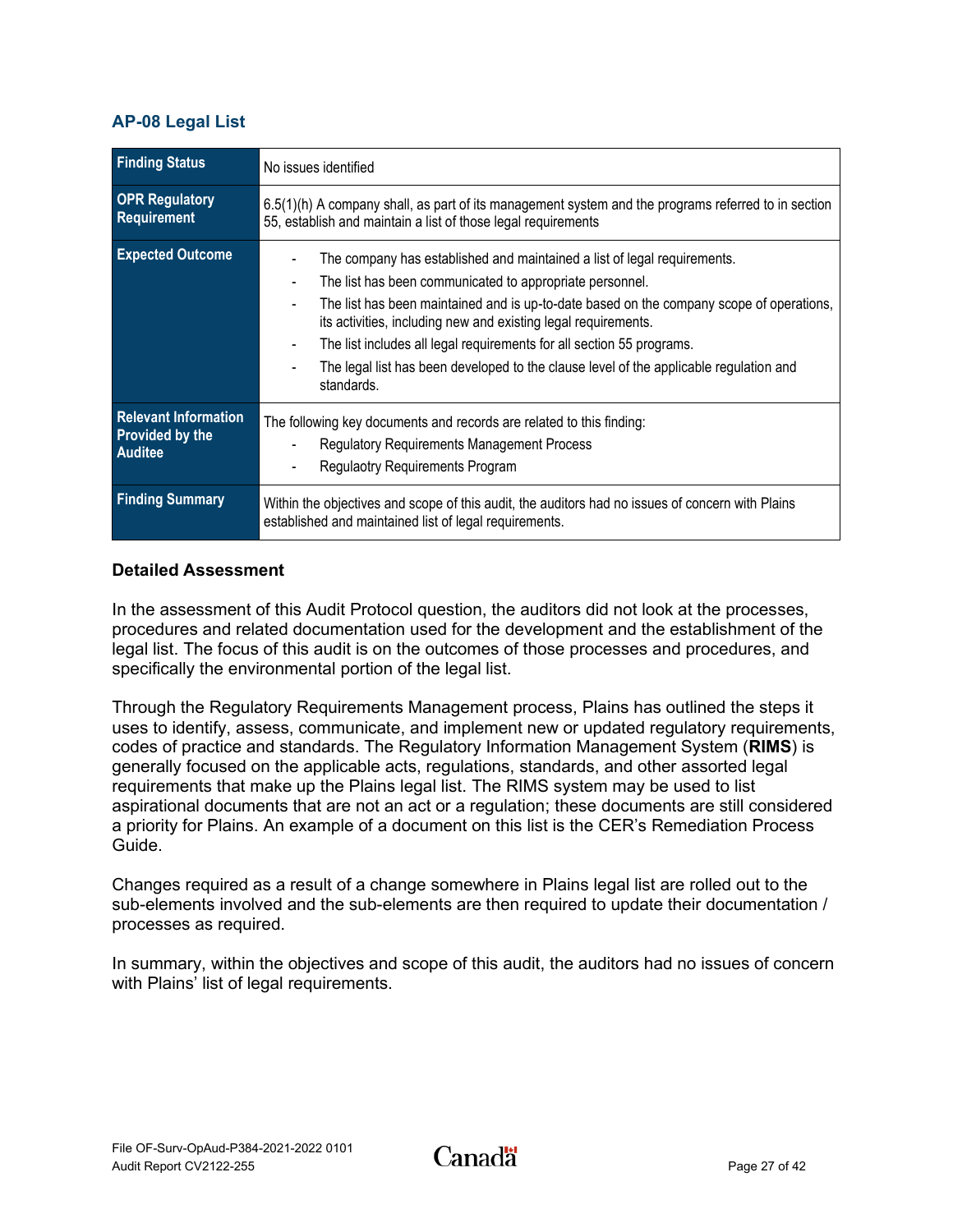#### <span id="page-29-0"></span>**AP-08 Legal List**

| <b>Finding Status</b>                                                   | No issues identified                                                                                                                                                                                                                                                                                                                                                                                                                                                                |
|-------------------------------------------------------------------------|-------------------------------------------------------------------------------------------------------------------------------------------------------------------------------------------------------------------------------------------------------------------------------------------------------------------------------------------------------------------------------------------------------------------------------------------------------------------------------------|
| <b>OPR Regulatory</b><br>Requirement                                    | $6.5(1)$ (h) A company shall, as part of its management system and the programs referred to in section<br>55, establish and maintain a list of those legal requirements                                                                                                                                                                                                                                                                                                             |
| <b>Expected Outcome</b>                                                 | The company has established and maintained a list of legal requirements.<br>The list has been communicated to appropriate personnel.<br>The list has been maintained and is up-to-date based on the company scope of operations,<br>its activities, including new and existing legal requirements.<br>The list includes all legal requirements for all section 55 programs.<br>The legal list has been developed to the clause level of the applicable regulation and<br>standards. |
| <b>Relevant Information</b><br><b>Provided by the</b><br><b>Auditee</b> | The following key documents and records are related to this finding:<br><b>Regulatory Requirements Management Process</b><br>Regulaotry Requirements Program                                                                                                                                                                                                                                                                                                                        |
| <b>Finding Summary</b>                                                  | Within the objectives and scope of this audit, the auditors had no issues of concern with Plains<br>established and maintained list of legal requirements.                                                                                                                                                                                                                                                                                                                          |

#### **Detailed Assessment**

In the assessment of this Audit Protocol question, the auditors did not look at the processes, procedures and related documentation used for the development and the establishment of the legal list. The focus of this audit is on the outcomes of those processes and procedures, and specifically the environmental portion of the legal list.

Through the Regulatory Requirements Management process, Plains has outlined the steps it uses to identify, assess, communicate, and implement new or updated regulatory requirements, codes of practice and standards. The Regulatory Information Management System (**RIMS**) is generally focused on the applicable acts, regulations, standards, and other assorted legal requirements that make up the Plains legal list. The RIMS system may be used to list aspirational documents that are not an act or a regulation; these documents are still considered a priority for Plains. An example of a document on this list is the CER's Remediation Process Guide.

Changes required as a result of a change somewhere in Plains legal list are rolled out to the sub-elements involved and the sub-elements are then required to update their documentation / processes as required.

In summary, within the objectives and scope of this audit, the auditors had no issues of concern with Plains' list of legal requirements.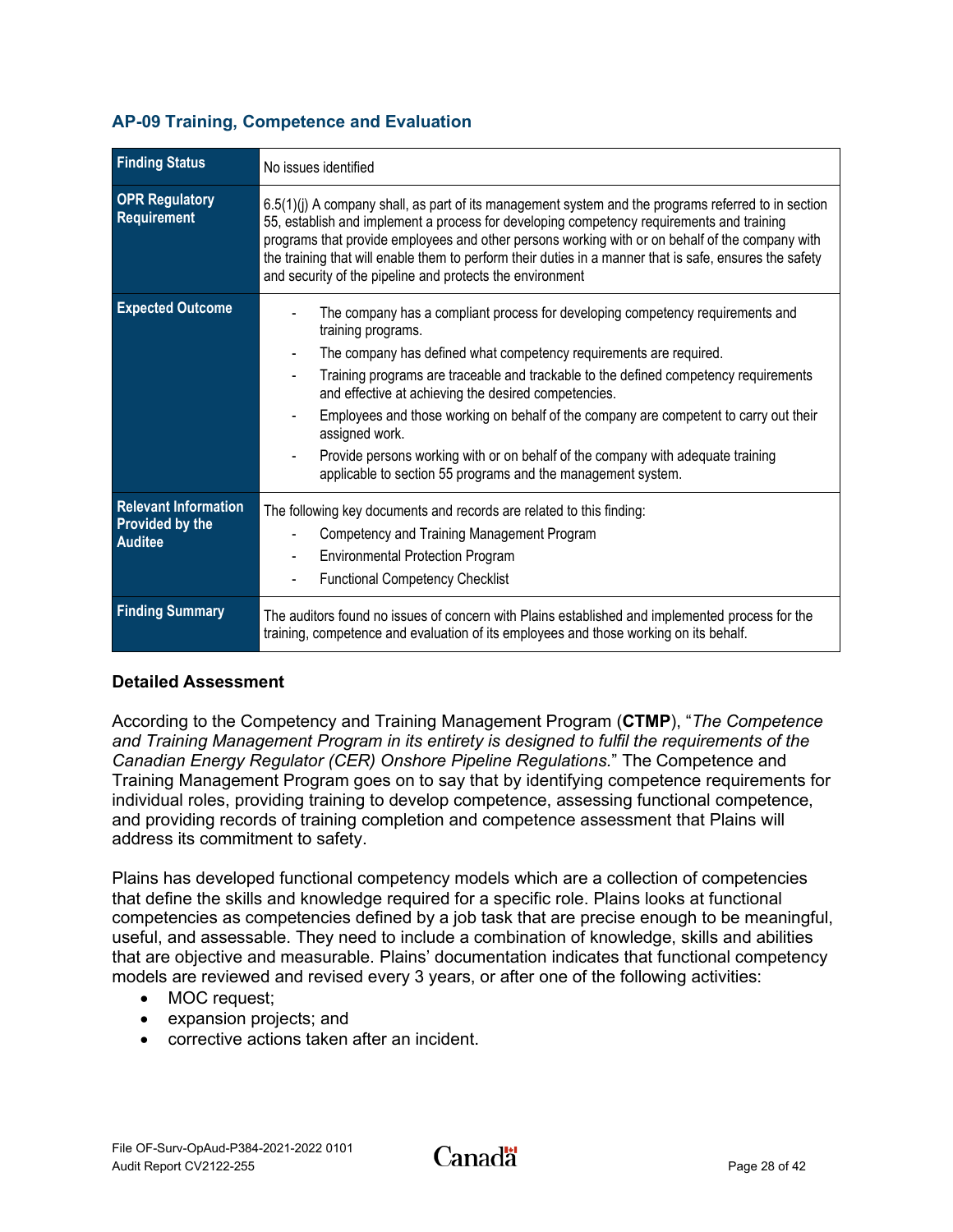| <b>Finding Status</b>                                                   | No issues identified                                                                                                                                                                                                                                                                                                                                                                                                                                                                                                                                                                     |
|-------------------------------------------------------------------------|------------------------------------------------------------------------------------------------------------------------------------------------------------------------------------------------------------------------------------------------------------------------------------------------------------------------------------------------------------------------------------------------------------------------------------------------------------------------------------------------------------------------------------------------------------------------------------------|
| <b>OPR Regulatory</b><br><b>Requirement</b>                             | 6.5(1)(j) A company shall, as part of its management system and the programs referred to in section<br>55, establish and implement a process for developing competency requirements and training<br>programs that provide employees and other persons working with or on behalf of the company with<br>the training that will enable them to perform their duties in a manner that is safe, ensures the safety<br>and security of the pipeline and protects the environment                                                                                                              |
| <b>Expected Outcome</b>                                                 | The company has a compliant process for developing competency requirements and<br>training programs.<br>The company has defined what competency requirements are required.<br>Training programs are traceable and trackable to the defined competency requirements<br>and effective at achieving the desired competencies.<br>Employees and those working on behalf of the company are competent to carry out their<br>assigned work.<br>Provide persons working with or on behalf of the company with adequate training<br>applicable to section 55 programs and the management system. |
| <b>Relevant Information</b><br><b>Provided by the</b><br><b>Auditee</b> | The following key documents and records are related to this finding:<br>Competency and Training Management Program<br><b>Environmental Protection Program</b><br><b>Functional Competency Checklist</b>                                                                                                                                                                                                                                                                                                                                                                                  |
| <b>Finding Summary</b>                                                  | The auditors found no issues of concern with Plains established and implemented process for the<br>training, competence and evaluation of its employees and those working on its behalf.                                                                                                                                                                                                                                                                                                                                                                                                 |

#### <span id="page-30-0"></span>**AP-09 Training, Competence and Evaluation**

#### **Detailed Assessment**

According to the Competency and Training Management Program (**CTMP**), "*The Competence and Training Management Program in its entirety is designed to fulfil the requirements of the Canadian Energy Regulator (CER) Onshore Pipeline Regulations.*" The Competence and Training Management Program goes on to say that by identifying competence requirements for individual roles, providing training to develop competence, assessing functional competence, and providing records of training completion and competence assessment that Plains will address its commitment to safety.

Plains has developed functional competency models which are a collection of competencies that define the skills and knowledge required for a specific role. Plains looks at functional competencies as competencies defined by a job task that are precise enough to be meaningful, useful, and assessable. They need to include a combination of knowledge, skills and abilities that are objective and measurable. Plains' documentation indicates that functional competency models are reviewed and revised every 3 years, or after one of the following activities:

- MOC request;
- expansion projects; and
- corrective actions taken after an incident.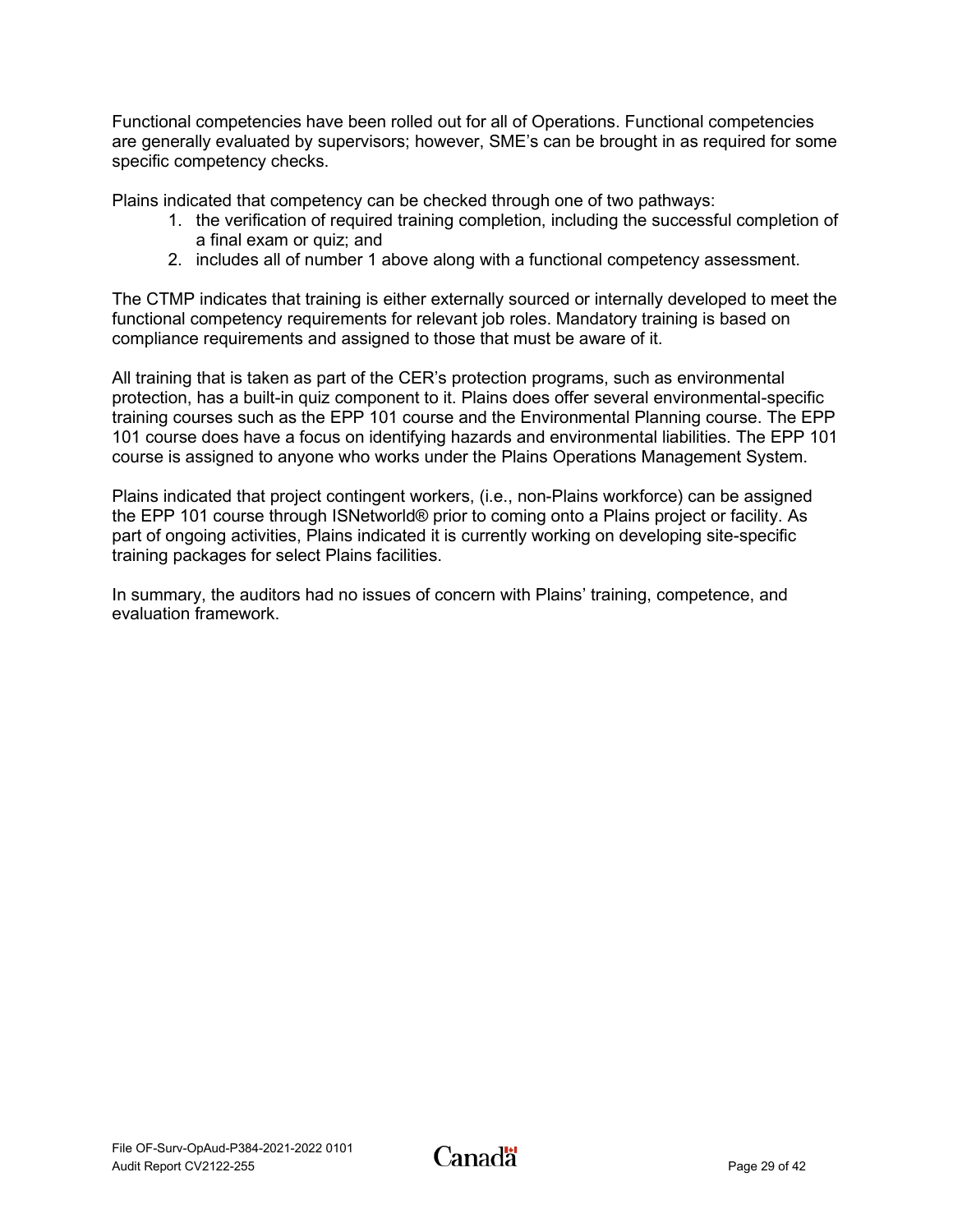Functional competencies have been rolled out for all of Operations. Functional competencies are generally evaluated by supervisors; however, SME's can be brought in as required for some specific competency checks.

Plains indicated that competency can be checked through one of two pathways:

- 1. the verification of required training completion, including the successful completion of a final exam or quiz; and
- 2. includes all of number 1 above along with a functional competency assessment.

The CTMP indicates that training is either externally sourced or internally developed to meet the functional competency requirements for relevant job roles. Mandatory training is based on compliance requirements and assigned to those that must be aware of it.

All training that is taken as part of the CER's protection programs, such as environmental protection, has a built-in quiz component to it. Plains does offer several environmental-specific training courses such as the EPP 101 course and the Environmental Planning course. The EPP 101 course does have a focus on identifying hazards and environmental liabilities. The EPP 101 course is assigned to anyone who works under the Plains Operations Management System.

Plains indicated that project contingent workers, (i.e., non-Plains workforce) can be assigned the EPP 101 course through ISNetworld® prior to coming onto a Plains project or facility. As part of ongoing activities, Plains indicated it is currently working on developing site-specific training packages for select Plains facilities.

In summary, the auditors had no issues of concern with Plains' training, competence, and evaluation framework.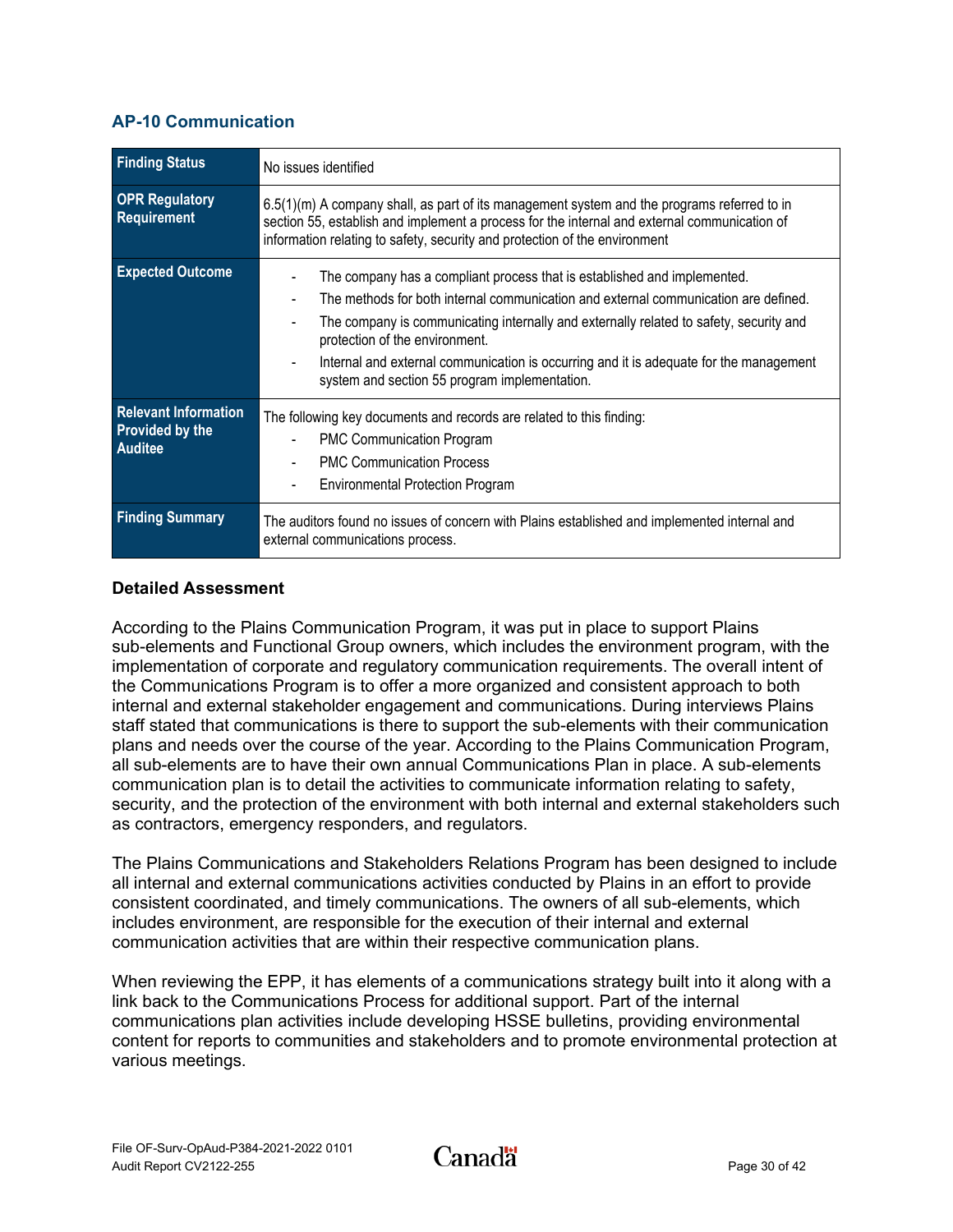#### <span id="page-32-0"></span>**AP-10 Communication**

| <b>Finding Status</b>                                                   | No issues identified                                                                                                                                                                                                                                                                                                                                                                                                                   |
|-------------------------------------------------------------------------|----------------------------------------------------------------------------------------------------------------------------------------------------------------------------------------------------------------------------------------------------------------------------------------------------------------------------------------------------------------------------------------------------------------------------------------|
| <b>OPR Regulatory</b><br>Requirement                                    | $6.5(1)(m)$ A company shall, as part of its management system and the programs referred to in<br>section 55, establish and implement a process for the internal and external communication of<br>information relating to safety, security and protection of the environment                                                                                                                                                            |
| <b>Expected Outcome</b>                                                 | The company has a compliant process that is established and implemented.<br>The methods for both internal communication and external communication are defined.<br>The company is communicating internally and externally related to safety, security and<br>protection of the environment.<br>Internal and external communication is occurring and it is adequate for the management<br>system and section 55 program implementation. |
| <b>Relevant Information</b><br><b>Provided by the</b><br><b>Auditee</b> | The following key documents and records are related to this finding:<br><b>PMC Communication Program</b><br><b>PMC Communication Process</b><br><b>Environmental Protection Program</b>                                                                                                                                                                                                                                                |
| <b>Finding Summary</b>                                                  | The auditors found no issues of concern with Plains established and implemented internal and<br>external communications process.                                                                                                                                                                                                                                                                                                       |

#### **Detailed Assessment**

According to the Plains Communication Program, it was put in place to support Plains sub-elements and Functional Group owners, which includes the environment program, with the implementation of corporate and regulatory communication requirements. The overall intent of the Communications Program is to offer a more organized and consistent approach to both internal and external stakeholder engagement and communications. During interviews Plains staff stated that communications is there to support the sub-elements with their communication plans and needs over the course of the year. According to the Plains Communication Program, all sub-elements are to have their own annual Communications Plan in place. A sub-elements communication plan is to detail the activities to communicate information relating to safety, security, and the protection of the environment with both internal and external stakeholders such as contractors, emergency responders, and regulators.

The Plains Communications and Stakeholders Relations Program has been designed to include all internal and external communications activities conducted by Plains in an effort to provide consistent coordinated, and timely communications. The owners of all sub-elements, which includes environment, are responsible for the execution of their internal and external communication activities that are within their respective communication plans.

When reviewing the EPP, it has elements of a communications strategy built into it along with a link back to the Communications Process for additional support. Part of the internal communications plan activities include developing HSSE bulletins, providing environmental content for reports to communities and stakeholders and to promote environmental protection at various meetings.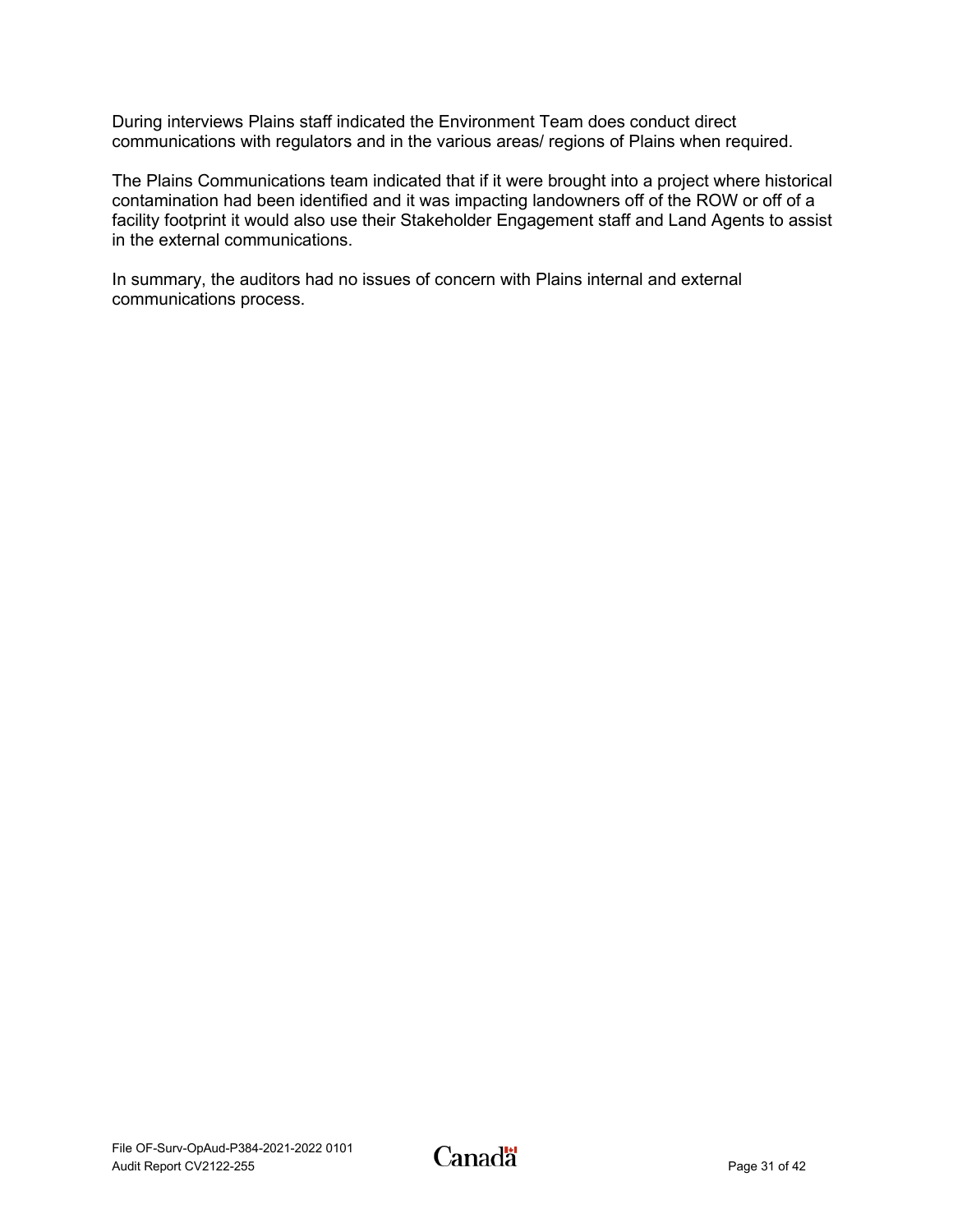During interviews Plains staff indicated the Environment Team does conduct direct communications with regulators and in the various areas/ regions of Plains when required.

The Plains Communications team indicated that if it were brought into a project where historical contamination had been identified and it was impacting landowners off of the ROW or off of a facility footprint it would also use their Stakeholder Engagement staff and Land Agents to assist in the external communications.

In summary, the auditors had no issues of concern with Plains internal and external communications process.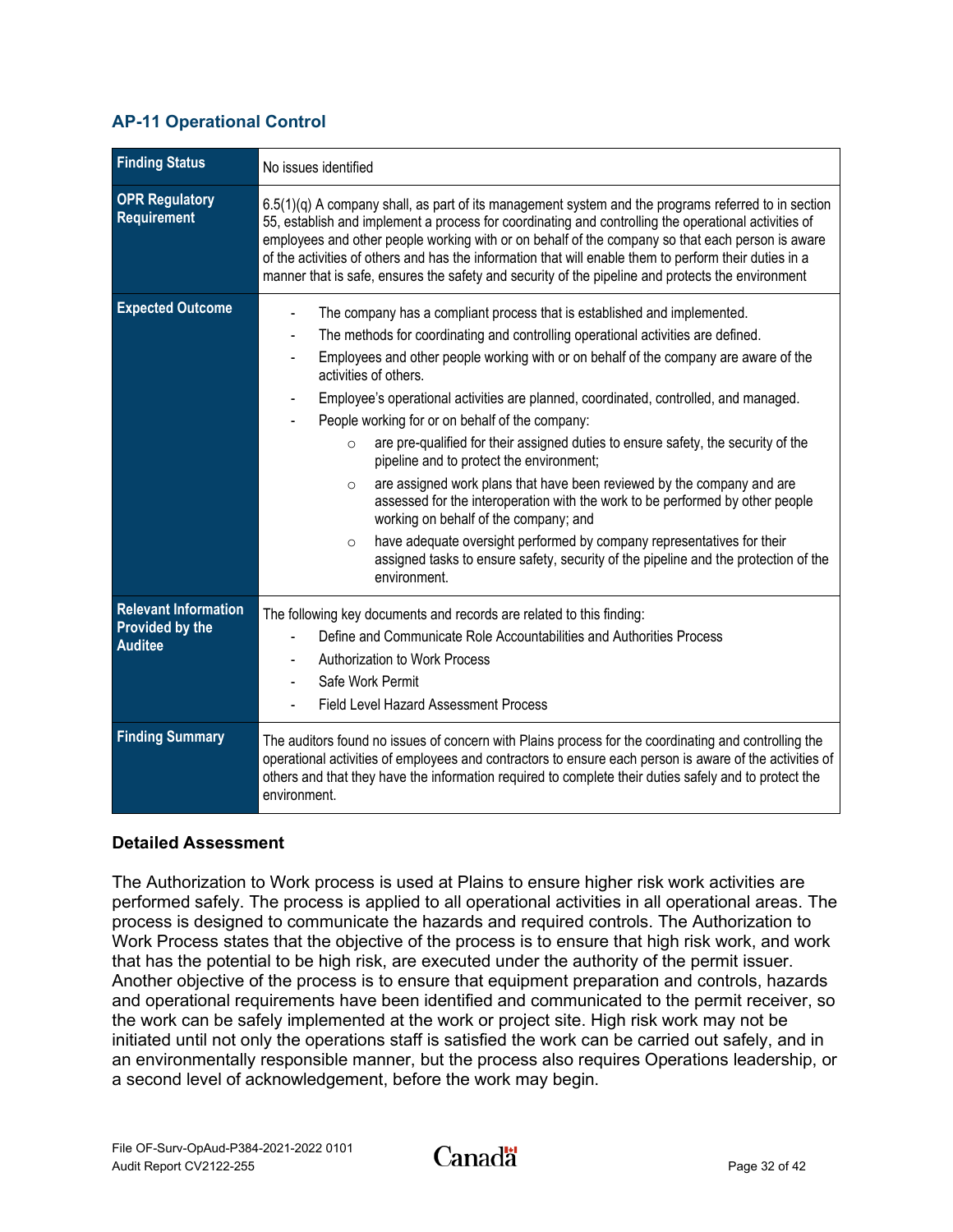## <span id="page-34-0"></span>**AP-11 Operational Control**

| <b>Finding Status</b>                                                   | No issues identified                                                                                                                                                                                                                                                                                                                                                                                                                                                                                                                                                                                                                                                                                                                                                                                                                                                                                                                                                            |
|-------------------------------------------------------------------------|---------------------------------------------------------------------------------------------------------------------------------------------------------------------------------------------------------------------------------------------------------------------------------------------------------------------------------------------------------------------------------------------------------------------------------------------------------------------------------------------------------------------------------------------------------------------------------------------------------------------------------------------------------------------------------------------------------------------------------------------------------------------------------------------------------------------------------------------------------------------------------------------------------------------------------------------------------------------------------|
| <b>OPR Regulatory</b><br>Requirement                                    | $6.5(1)(q)$ A company shall, as part of its management system and the programs referred to in section<br>55, establish and implement a process for coordinating and controlling the operational activities of<br>employees and other people working with or on behalf of the company so that each person is aware<br>of the activities of others and has the information that will enable them to perform their duties in a<br>manner that is safe, ensures the safety and security of the pipeline and protects the environment                                                                                                                                                                                                                                                                                                                                                                                                                                                |
| <b>Expected Outcome</b>                                                 | The company has a compliant process that is established and implemented.<br>The methods for coordinating and controlling operational activities are defined.<br>Employees and other people working with or on behalf of the company are aware of the<br>activities of others.<br>Employee's operational activities are planned, coordinated, controlled, and managed.<br>People working for or on behalf of the company:<br>are pre-qualified for their assigned duties to ensure safety, the security of the<br>$\circ$<br>pipeline and to protect the environment;<br>are assigned work plans that have been reviewed by the company and are<br>$\circ$<br>assessed for the interoperation with the work to be performed by other people<br>working on behalf of the company; and<br>have adequate oversight performed by company representatives for their<br>$\circ$<br>assigned tasks to ensure safety, security of the pipeline and the protection of the<br>environment. |
| <b>Relevant Information</b><br><b>Provided by the</b><br><b>Auditee</b> | The following key documents and records are related to this finding:<br>Define and Communicate Role Accountabilities and Authorities Process<br>Authorization to Work Process<br>Safe Work Permit<br><b>Field Level Hazard Assessment Process</b>                                                                                                                                                                                                                                                                                                                                                                                                                                                                                                                                                                                                                                                                                                                               |
| <b>Finding Summary</b>                                                  | The auditors found no issues of concern with Plains process for the coordinating and controlling the<br>operational activities of employees and contractors to ensure each person is aware of the activities of<br>others and that they have the information required to complete their duties safely and to protect the<br>environment.                                                                                                                                                                                                                                                                                                                                                                                                                                                                                                                                                                                                                                        |

#### **Detailed Assessment**

The Authorization to Work process is used at Plains to ensure higher risk work activities are performed safely. The process is applied to all operational activities in all operational areas. The process is designed to communicate the hazards and required controls. The Authorization to Work Process states that the objective of the process is to ensure that high risk work, and work that has the potential to be high risk, are executed under the authority of the permit issuer. Another objective of the process is to ensure that equipment preparation and controls, hazards and operational requirements have been identified and communicated to the permit receiver, so the work can be safely implemented at the work or project site. High risk work may not be initiated until not only the operations staff is satisfied the work can be carried out safely, and in an environmentally responsible manner, but the process also requires Operations leadership, or a second level of acknowledgement, before the work may begin.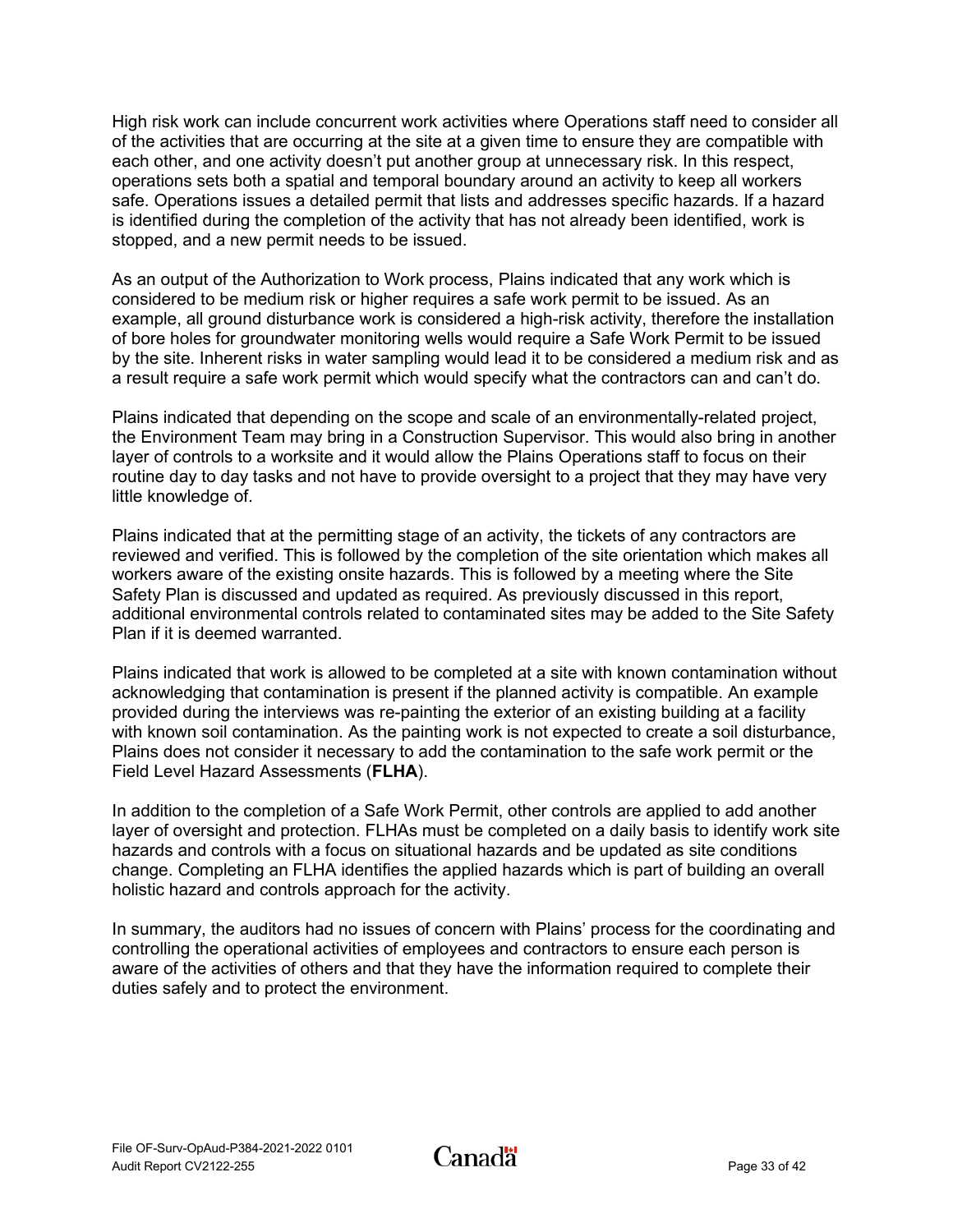High risk work can include concurrent work activities where Operations staff need to consider all of the activities that are occurring at the site at a given time to ensure they are compatible with each other, and one activity doesn't put another group at unnecessary risk. In this respect, operations sets both a spatial and temporal boundary around an activity to keep all workers safe. Operations issues a detailed permit that lists and addresses specific hazards. If a hazard is identified during the completion of the activity that has not already been identified, work is stopped, and a new permit needs to be issued.

As an output of the Authorization to Work process, Plains indicated that any work which is considered to be medium risk or higher requires a safe work permit to be issued. As an example, all ground disturbance work is considered a high-risk activity, therefore the installation of bore holes for groundwater monitoring wells would require a Safe Work Permit to be issued by the site. Inherent risks in water sampling would lead it to be considered a medium risk and as a result require a safe work permit which would specify what the contractors can and can't do.

Plains indicated that depending on the scope and scale of an environmentally-related project, the Environment Team may bring in a Construction Supervisor. This would also bring in another layer of controls to a worksite and it would allow the Plains Operations staff to focus on their routine day to day tasks and not have to provide oversight to a project that they may have very little knowledge of.

Plains indicated that at the permitting stage of an activity, the tickets of any contractors are reviewed and verified. This is followed by the completion of the site orientation which makes all workers aware of the existing onsite hazards. This is followed by a meeting where the Site Safety Plan is discussed and updated as required. As previously discussed in this report, additional environmental controls related to contaminated sites may be added to the Site Safety Plan if it is deemed warranted.

Plains indicated that work is allowed to be completed at a site with known contamination without acknowledging that contamination is present if the planned activity is compatible. An example provided during the interviews was re-painting the exterior of an existing building at a facility with known soil contamination. As the painting work is not expected to create a soil disturbance, Plains does not consider it necessary to add the contamination to the safe work permit or the Field Level Hazard Assessments (**FLHA**).

In addition to the completion of a Safe Work Permit, other controls are applied to add another layer of oversight and protection. FLHAs must be completed on a daily basis to identify work site hazards and controls with a focus on situational hazards and be updated as site conditions change. Completing an FLHA identifies the applied hazards which is part of building an overall holistic hazard and controls approach for the activity.

In summary, the auditors had no issues of concern with Plains' process for the coordinating and controlling the operational activities of employees and contractors to ensure each person is aware of the activities of others and that they have the information required to complete their duties safely and to protect the environment.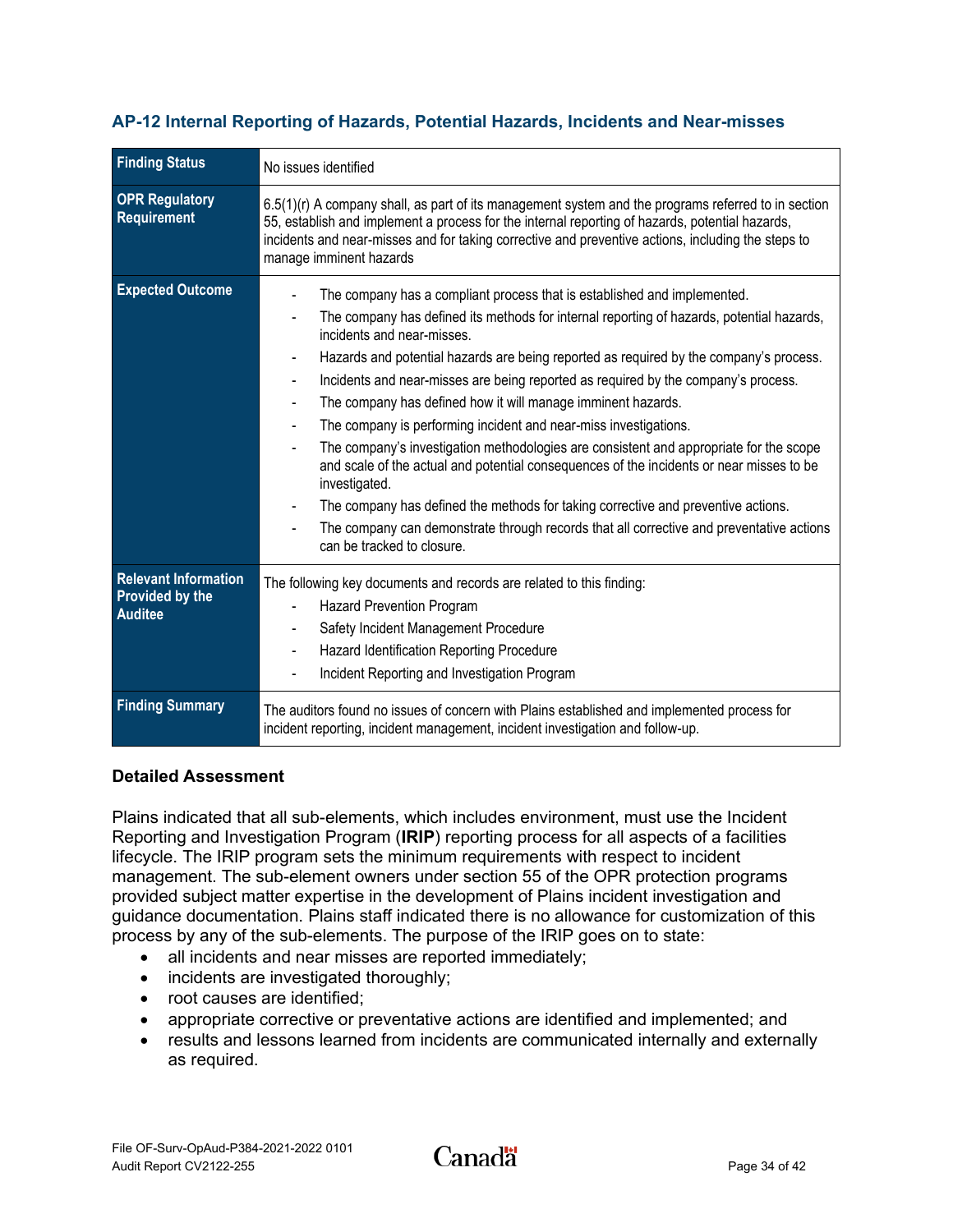| <b>Finding Status</b>                                                   | No issues identified                                                                                                                                                                                                                                                                                                                                                                                                                                                                                                                                                                                                                                                                                                                                                                                                                                                                                                                          |
|-------------------------------------------------------------------------|-----------------------------------------------------------------------------------------------------------------------------------------------------------------------------------------------------------------------------------------------------------------------------------------------------------------------------------------------------------------------------------------------------------------------------------------------------------------------------------------------------------------------------------------------------------------------------------------------------------------------------------------------------------------------------------------------------------------------------------------------------------------------------------------------------------------------------------------------------------------------------------------------------------------------------------------------|
| <b>OPR Regulatory</b><br>Requirement                                    | $6.5(1)(r)$ A company shall, as part of its management system and the programs referred to in section<br>55, establish and implement a process for the internal reporting of hazards, potential hazards,<br>incidents and near-misses and for taking corrective and preventive actions, including the steps to<br>manage imminent hazards                                                                                                                                                                                                                                                                                                                                                                                                                                                                                                                                                                                                     |
| <b>Expected Outcome</b>                                                 | The company has a compliant process that is established and implemented.<br>The company has defined its methods for internal reporting of hazards, potential hazards,<br>incidents and near-misses.<br>Hazards and potential hazards are being reported as required by the company's process.<br>Incidents and near-misses are being reported as required by the company's process.<br>The company has defined how it will manage imminent hazards.<br>The company is performing incident and near-miss investigations.<br>The company's investigation methodologies are consistent and appropriate for the scope<br>and scale of the actual and potential consequences of the incidents or near misses to be<br>investigated.<br>The company has defined the methods for taking corrective and preventive actions.<br>The company can demonstrate through records that all corrective and preventative actions<br>can be tracked to closure. |
| <b>Relevant Information</b><br><b>Provided by the</b><br><b>Auditee</b> | The following key documents and records are related to this finding:<br><b>Hazard Prevention Program</b><br>Safety Incident Management Procedure<br>Hazard Identification Reporting Procedure<br>Incident Reporting and Investigation Program                                                                                                                                                                                                                                                                                                                                                                                                                                                                                                                                                                                                                                                                                                 |
| <b>Finding Summary</b>                                                  | The auditors found no issues of concern with Plains established and implemented process for<br>incident reporting, incident management, incident investigation and follow-up.                                                                                                                                                                                                                                                                                                                                                                                                                                                                                                                                                                                                                                                                                                                                                                 |

## <span id="page-36-0"></span>**AP-12 Internal Reporting of Hazards, Potential Hazards, Incidents and Near-misses**

#### **Detailed Assessment**

Plains indicated that all sub-elements, which includes environment, must use the Incident Reporting and Investigation Program (**IRIP**) reporting process for all aspects of a facilities lifecycle. The IRIP program sets the minimum requirements with respect to incident management. The sub-element owners under section 55 of the OPR protection programs provided subject matter expertise in the development of Plains incident investigation and guidance documentation. Plains staff indicated there is no allowance for customization of this process by any of the sub-elements. The purpose of the IRIP goes on to state:

- all incidents and near misses are reported immediately;
- incidents are investigated thoroughly;
- root causes are identified;
- appropriate corrective or preventative actions are identified and implemented; and
- results and lessons learned from incidents are communicated internally and externally as required.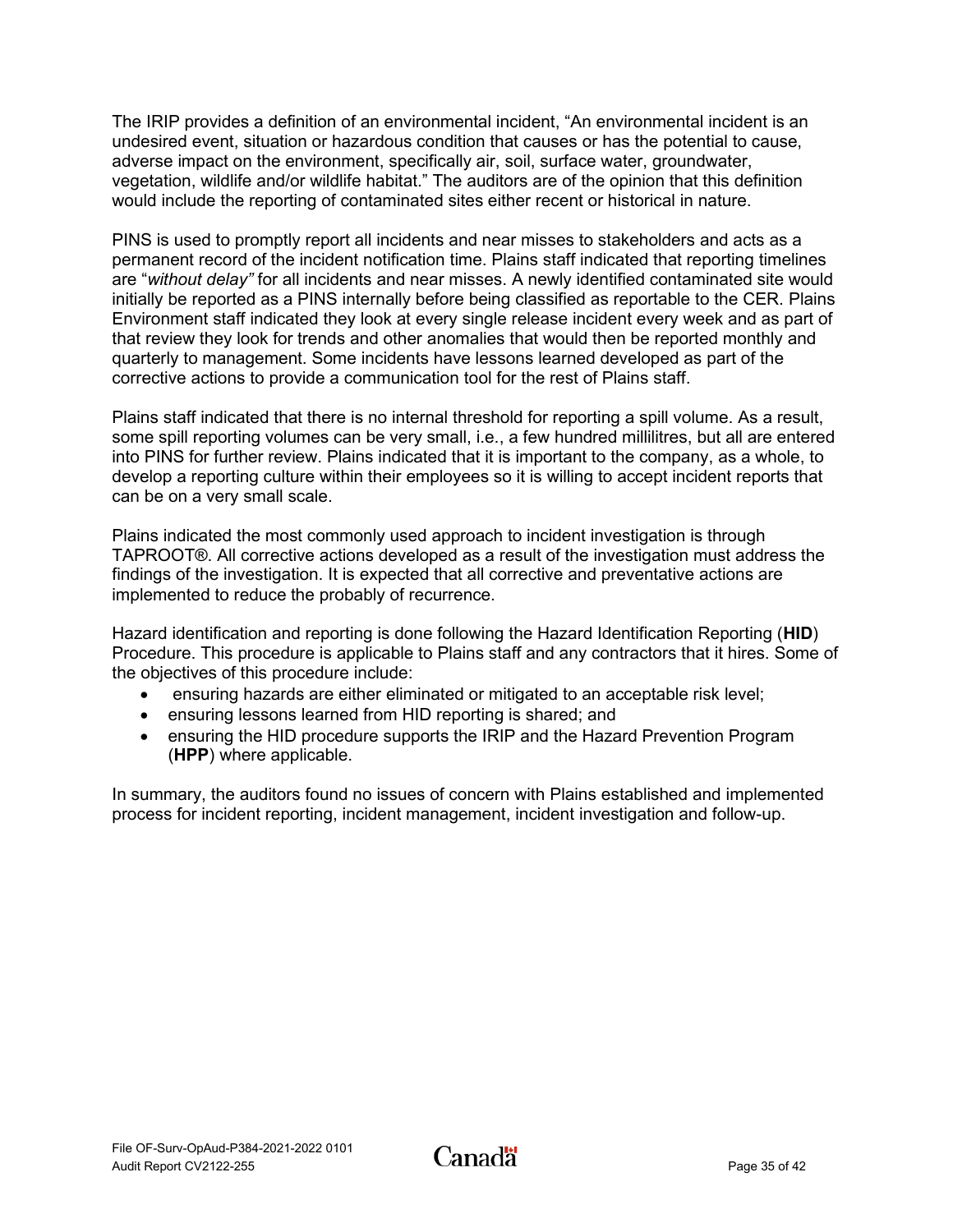The IRIP provides a definition of an environmental incident, "An environmental incident is an undesired event, situation or hazardous condition that causes or has the potential to cause, adverse impact on the environment, specifically air, soil, surface water, groundwater, vegetation, wildlife and/or wildlife habitat." The auditors are of the opinion that this definition would include the reporting of contaminated sites either recent or historical in nature.

PINS is used to promptly report all incidents and near misses to stakeholders and acts as a permanent record of the incident notification time. Plains staff indicated that reporting timelines are "*without delay"* for all incidents and near misses. A newly identified contaminated site would initially be reported as a PINS internally before being classified as reportable to the CER. Plains Environment staff indicated they look at every single release incident every week and as part of that review they look for trends and other anomalies that would then be reported monthly and quarterly to management. Some incidents have lessons learned developed as part of the corrective actions to provide a communication tool for the rest of Plains staff.

Plains staff indicated that there is no internal threshold for reporting a spill volume. As a result, some spill reporting volumes can be very small, i.e., a few hundred millilitres, but all are entered into PINS for further review. Plains indicated that it is important to the company, as a whole, to develop a reporting culture within their employees so it is willing to accept incident reports that can be on a very small scale.

Plains indicated the most commonly used approach to incident investigation is through TAPROOT®. All corrective actions developed as a result of the investigation must address the findings of the investigation. It is expected that all corrective and preventative actions are implemented to reduce the probably of recurrence.

Hazard identification and reporting is done following the Hazard Identification Reporting (**HID**) Procedure. This procedure is applicable to Plains staff and any contractors that it hires. Some of the objectives of this procedure include:

- ensuring hazards are either eliminated or mitigated to an acceptable risk level;
- ensuring lessons learned from HID reporting is shared; and
- ensuring the HID procedure supports the IRIP and the Hazard Prevention Program (**HPP**) where applicable.

In summary, the auditors found no issues of concern with Plains established and implemented process for incident reporting, incident management, incident investigation and follow-up.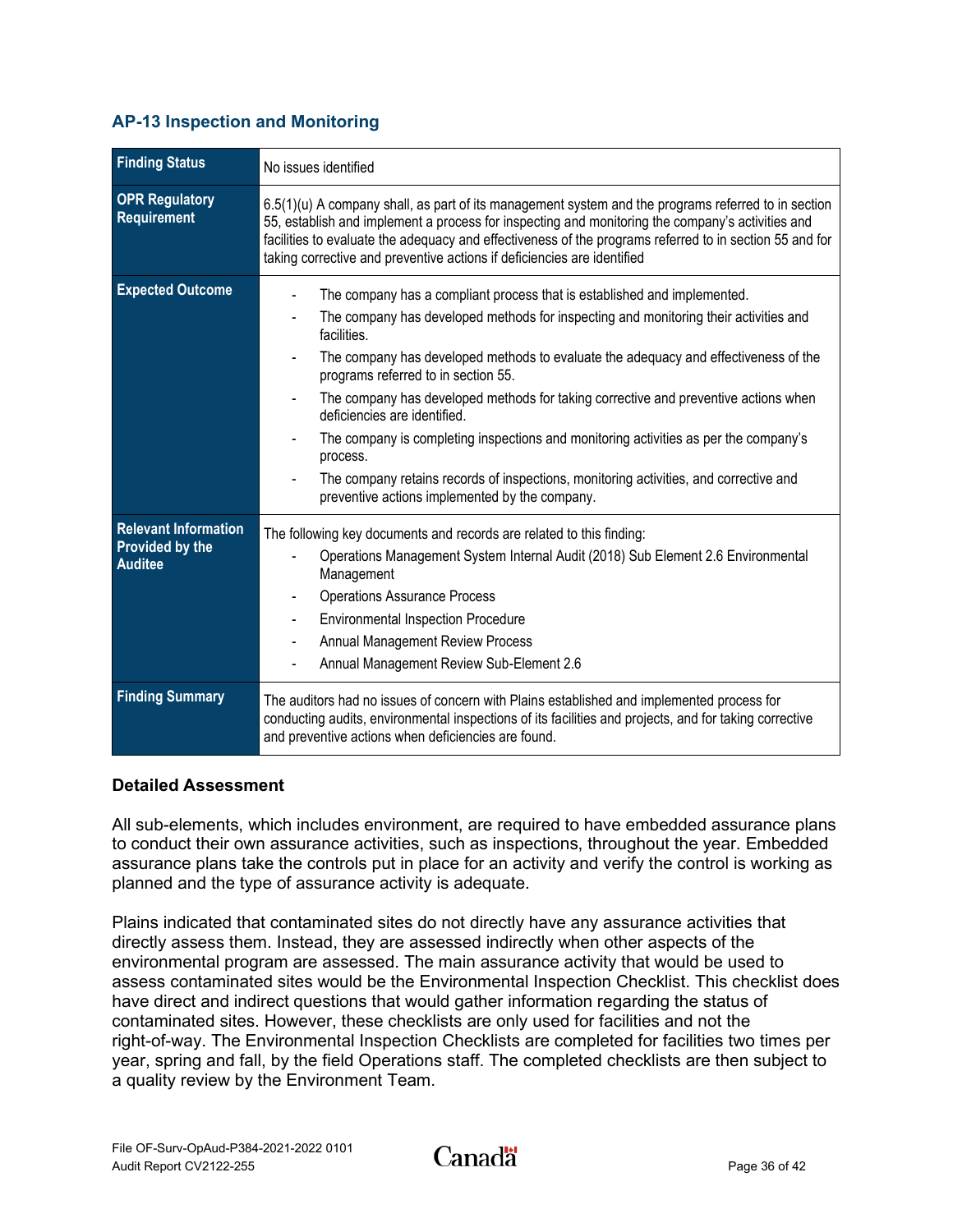## <span id="page-38-0"></span>**AP-13 Inspection and Monitoring**

| <b>Finding Status</b>                                                   | No issues identified                                                                                                                                                                                                                                                                                                                                                                                                                                                                                                                                                                                                                                                                |
|-------------------------------------------------------------------------|-------------------------------------------------------------------------------------------------------------------------------------------------------------------------------------------------------------------------------------------------------------------------------------------------------------------------------------------------------------------------------------------------------------------------------------------------------------------------------------------------------------------------------------------------------------------------------------------------------------------------------------------------------------------------------------|
| <b>OPR Regulatory</b><br>Requirement                                    | 6.5(1)(u) A company shall, as part of its management system and the programs referred to in section<br>55, establish and implement a process for inspecting and monitoring the company's activities and<br>facilities to evaluate the adequacy and effectiveness of the programs referred to in section 55 and for<br>taking corrective and preventive actions if deficiencies are identified                                                                                                                                                                                                                                                                                       |
| <b>Expected Outcome</b>                                                 | The company has a compliant process that is established and implemented.<br>The company has developed methods for inspecting and monitoring their activities and<br>facilities.<br>The company has developed methods to evaluate the adequacy and effectiveness of the<br>programs referred to in section 55.<br>The company has developed methods for taking corrective and preventive actions when<br>deficiencies are identified.<br>The company is completing inspections and monitoring activities as per the company's<br>process.<br>The company retains records of inspections, monitoring activities, and corrective and<br>preventive actions implemented by the company. |
| <b>Relevant Information</b><br><b>Provided by the</b><br><b>Auditee</b> | The following key documents and records are related to this finding:<br>Operations Management System Internal Audit (2018) Sub Element 2.6 Environmental<br>Management<br><b>Operations Assurance Process</b><br><b>Environmental Inspection Procedure</b><br><b>Annual Management Review Process</b><br>Annual Management Review Sub-Element 2.6                                                                                                                                                                                                                                                                                                                                   |
| <b>Finding Summary</b>                                                  | The auditors had no issues of concern with Plains established and implemented process for<br>conducting audits, environmental inspections of its facilities and projects, and for taking corrective<br>and preventive actions when deficiencies are found.                                                                                                                                                                                                                                                                                                                                                                                                                          |

#### **Detailed Assessment**

All sub-elements, which includes environment, are required to have embedded assurance plans to conduct their own assurance activities, such as inspections, throughout the year. Embedded assurance plans take the controls put in place for an activity and verify the control is working as planned and the type of assurance activity is adequate.

Plains indicated that contaminated sites do not directly have any assurance activities that directly assess them. Instead, they are assessed indirectly when other aspects of the environmental program are assessed. The main assurance activity that would be used to assess contaminated sites would be the Environmental Inspection Checklist. This checklist does have direct and indirect questions that would gather information regarding the status of contaminated sites. However, these checklists are only used for facilities and not the right-of-way. The Environmental Inspection Checklists are completed for facilities two times per year, spring and fall, by the field Operations staff. The completed checklists are then subject to a quality review by the Environment Team.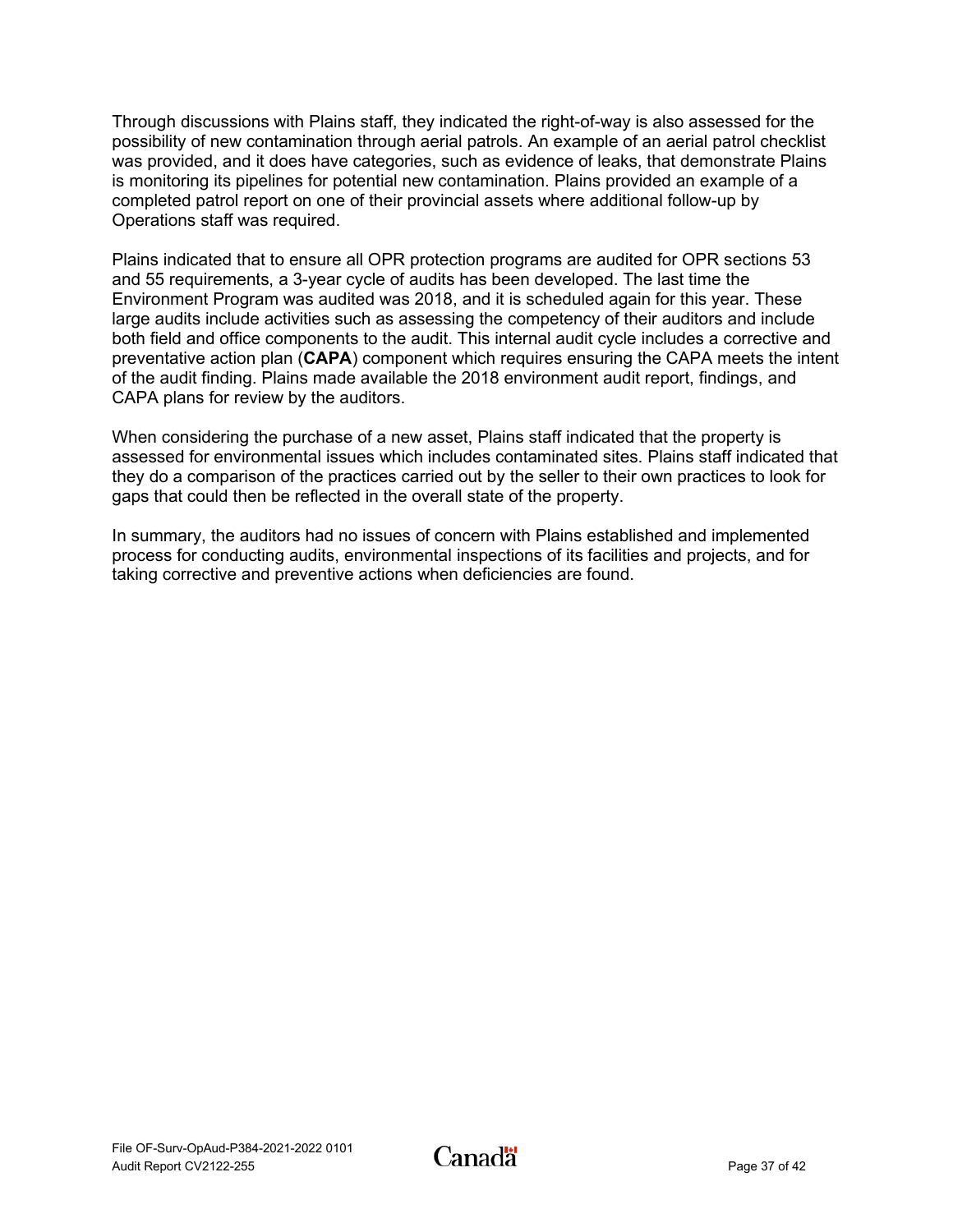Through discussions with Plains staff, they indicated the right-of-way is also assessed for the possibility of new contamination through aerial patrols. An example of an aerial patrol checklist was provided, and it does have categories, such as evidence of leaks, that demonstrate Plains is monitoring its pipelines for potential new contamination. Plains provided an example of a completed patrol report on one of their provincial assets where additional follow-up by Operations staff was required.

Plains indicated that to ensure all OPR protection programs are audited for OPR sections 53 and 55 requirements, a 3-year cycle of audits has been developed. The last time the Environment Program was audited was 2018, and it is scheduled again for this year. These large audits include activities such as assessing the competency of their auditors and include both field and office components to the audit. This internal audit cycle includes a corrective and preventative action plan (**CAPA**) component which requires ensuring the CAPA meets the intent of the audit finding. Plains made available the 2018 environment audit report, findings, and CAPA plans for review by the auditors.

When considering the purchase of a new asset, Plains staff indicated that the property is assessed for environmental issues which includes contaminated sites. Plains staff indicated that they do a comparison of the practices carried out by the seller to their own practices to look for gaps that could then be reflected in the overall state of the property.

In summary, the auditors had no issues of concern with Plains established and implemented process for conducting audits, environmental inspections of its facilities and projects, and for taking corrective and preventive actions when deficiencies are found.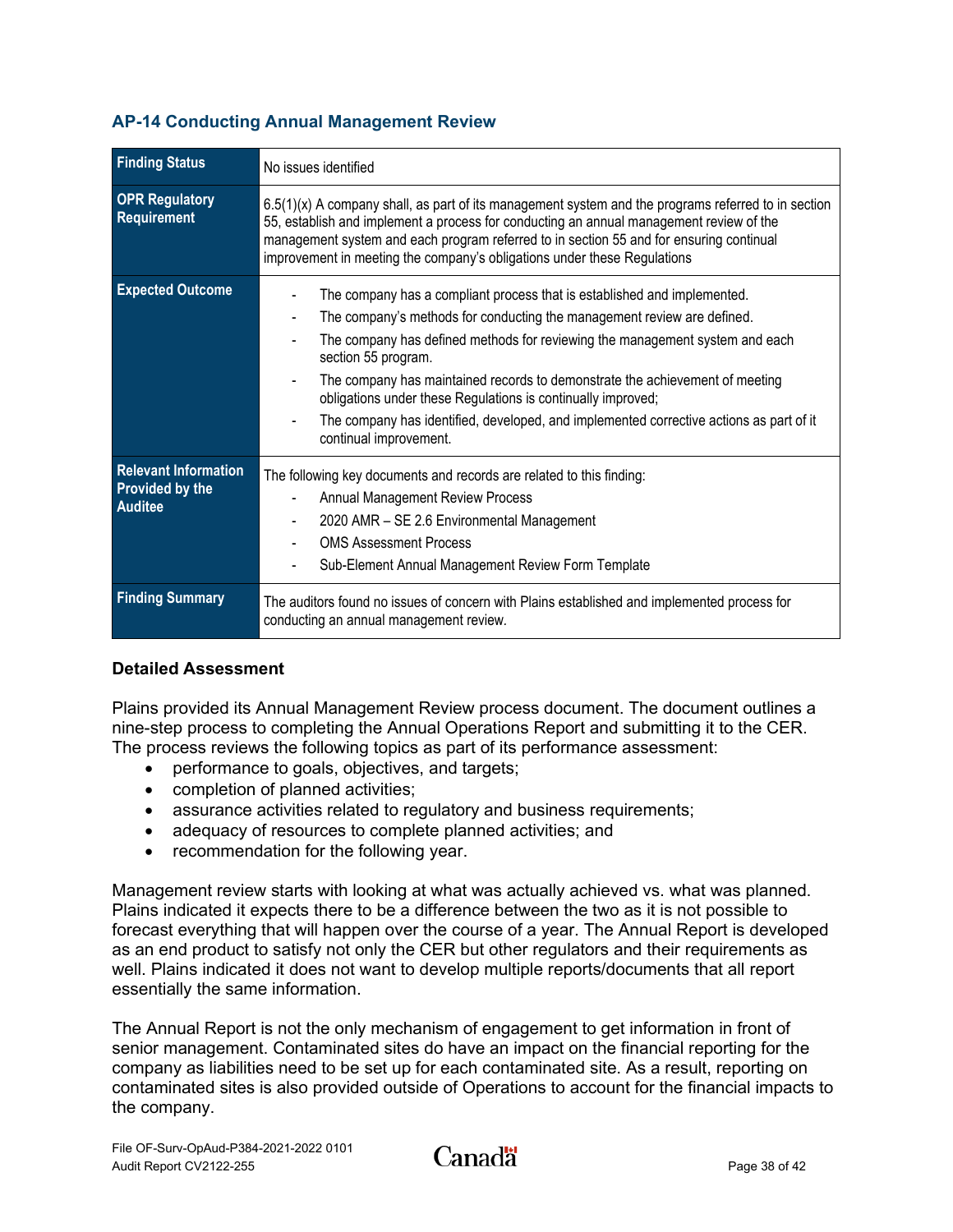| <b>Finding Status</b>                    | No issues identified                                                                                                                                                                                                                                                                                                                                                    |
|------------------------------------------|-------------------------------------------------------------------------------------------------------------------------------------------------------------------------------------------------------------------------------------------------------------------------------------------------------------------------------------------------------------------------|
|                                          |                                                                                                                                                                                                                                                                                                                                                                         |
| <b>OPR Regulatory</b><br>Requirement     | $6.5(1)(x)$ A company shall, as part of its management system and the programs referred to in section<br>55, establish and implement a process for conducting an annual management review of the<br>management system and each program referred to in section 55 and for ensuring continual<br>improvement in meeting the company's obligations under these Regulations |
| <b>Expected Outcome</b>                  | The company has a compliant process that is established and implemented.                                                                                                                                                                                                                                                                                                |
|                                          | The company's methods for conducting the management review are defined.                                                                                                                                                                                                                                                                                                 |
|                                          | The company has defined methods for reviewing the management system and each<br>section 55 program.                                                                                                                                                                                                                                                                     |
|                                          | The company has maintained records to demonstrate the achievement of meeting<br>obligations under these Regulations is continually improved;                                                                                                                                                                                                                            |
|                                          | The company has identified, developed, and implemented corrective actions as part of it<br>continual improvement.                                                                                                                                                                                                                                                       |
| <b>Relevant Information</b>              | The following key documents and records are related to this finding:                                                                                                                                                                                                                                                                                                    |
| <b>Provided by the</b><br><b>Auditee</b> | <b>Annual Management Review Process</b>                                                                                                                                                                                                                                                                                                                                 |
|                                          | 2020 AMR - SE 2.6 Environmental Management                                                                                                                                                                                                                                                                                                                              |
|                                          | <b>OMS Assessment Process</b>                                                                                                                                                                                                                                                                                                                                           |
|                                          | Sub-Element Annual Management Review Form Template                                                                                                                                                                                                                                                                                                                      |
|                                          |                                                                                                                                                                                                                                                                                                                                                                         |
| <b>Finding Summary</b>                   | The auditors found no issues of concern with Plains established and implemented process for<br>conducting an annual management review.                                                                                                                                                                                                                                  |

### <span id="page-40-0"></span>**AP-14 Conducting Annual Management Review**

#### **Detailed Assessment**

Plains provided its Annual Management Review process document. The document outlines a nine-step process to completing the Annual Operations Report and submitting it to the CER. The process reviews the following topics as part of its performance assessment:

- performance to goals, objectives, and targets;
- completion of planned activities;
- assurance activities related to regulatory and business requirements;
- adequacy of resources to complete planned activities; and
- recommendation for the following year.

Management review starts with looking at what was actually achieved vs. what was planned. Plains indicated it expects there to be a difference between the two as it is not possible to forecast everything that will happen over the course of a year. The Annual Report is developed as an end product to satisfy not only the CER but other regulators and their requirements as well. Plains indicated it does not want to develop multiple reports/documents that all report essentially the same information.

The Annual Report is not the only mechanism of engagement to get information in front of senior management. Contaminated sites do have an impact on the financial reporting for the company as liabilities need to be set up for each contaminated site. As a result, reporting on contaminated sites is also provided outside of Operations to account for the financial impacts to the company.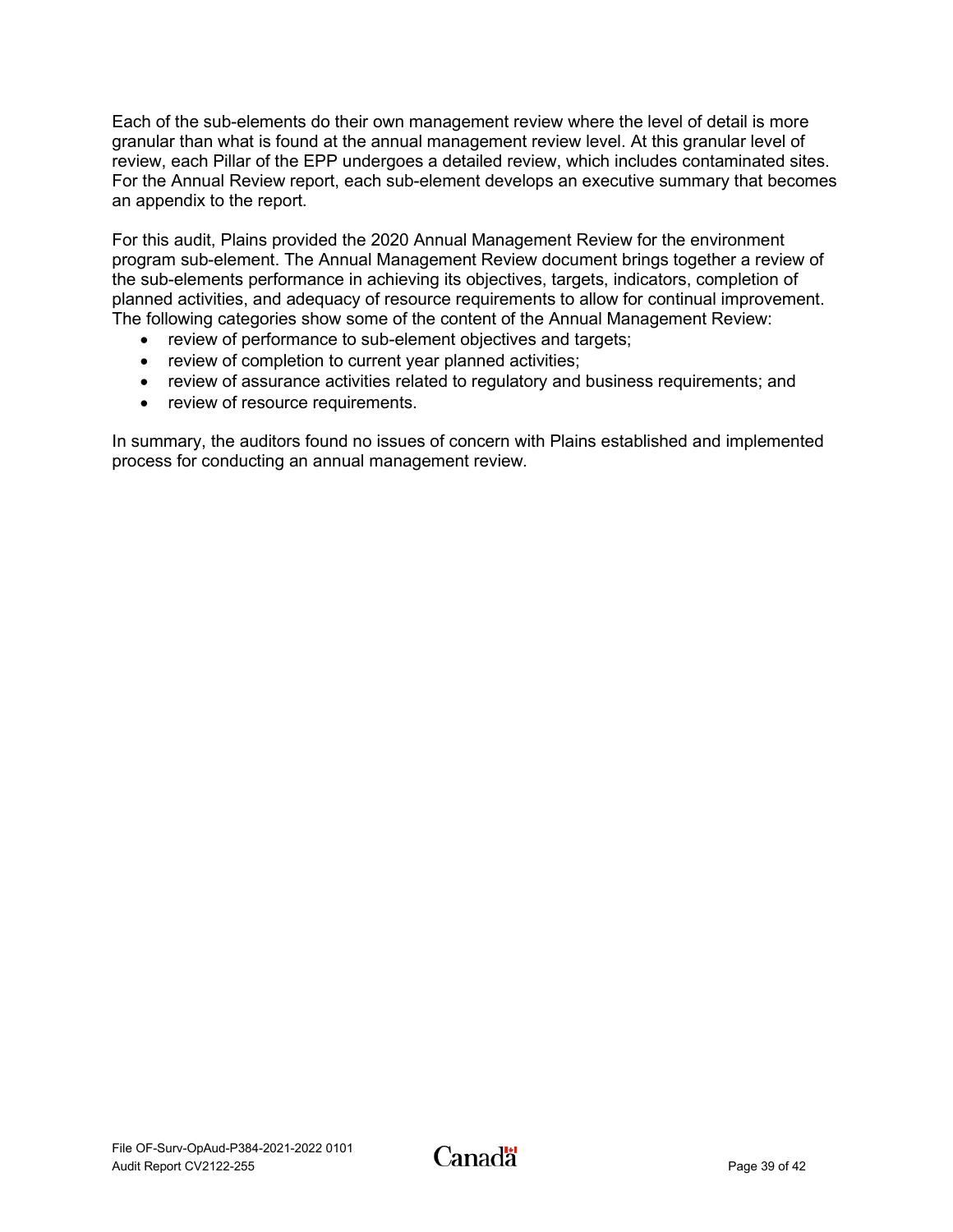Each of the sub-elements do their own management review where the level of detail is more granular than what is found at the annual management review level. At this granular level of review, each Pillar of the EPP undergoes a detailed review, which includes contaminated sites. For the Annual Review report, each sub-element develops an executive summary that becomes an appendix to the report.

For this audit, Plains provided the 2020 Annual Management Review for the environment program sub-element. The Annual Management Review document brings together a review of the sub-elements performance in achieving its objectives, targets, indicators, completion of planned activities, and adequacy of resource requirements to allow for continual improvement. The following categories show some of the content of the Annual Management Review:

- review of performance to sub-element objectives and targets;
- review of completion to current year planned activities;
- review of assurance activities related to regulatory and business requirements; and
- review of resource requirements.

In summary, the auditors found no issues of concern with Plains established and implemented process for conducting an annual management review*.*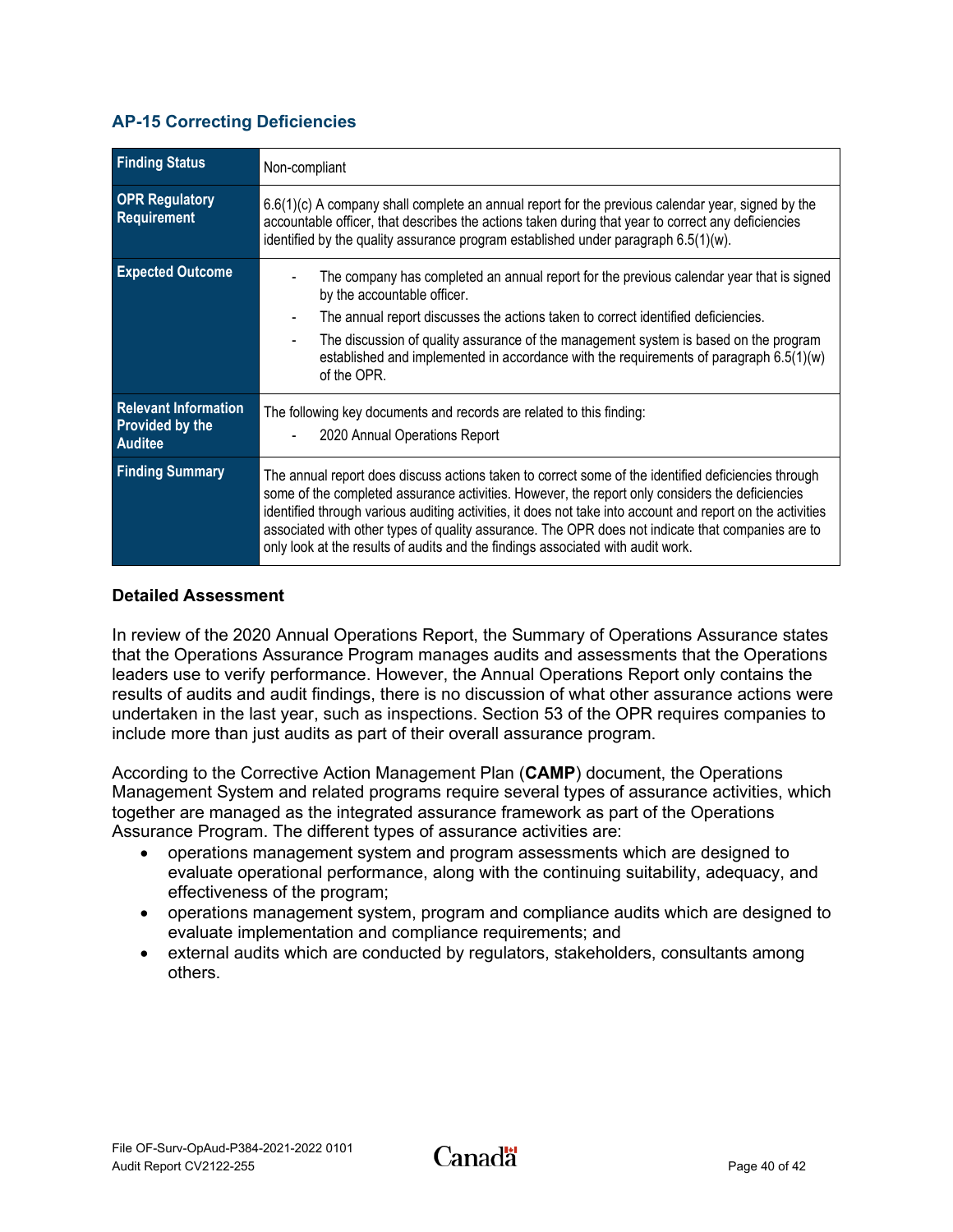### <span id="page-42-0"></span>**AP-15 Correcting Deficiencies**

| <b>Finding Status</b>                       | Non-compliant                                                                                                                                                                                                                                                                                                                                                                                                                                                                                                |
|---------------------------------------------|--------------------------------------------------------------------------------------------------------------------------------------------------------------------------------------------------------------------------------------------------------------------------------------------------------------------------------------------------------------------------------------------------------------------------------------------------------------------------------------------------------------|
| <b>OPR Regulatory</b><br><b>Requirement</b> | $6.6(1)(c)$ A company shall complete an annual report for the previous calendar year, signed by the<br>accountable officer, that describes the actions taken during that year to correct any deficiencies<br>identified by the quality assurance program established under paragraph $6.5(1)(w)$ .                                                                                                                                                                                                           |
| <b>Expected Outcome</b>                     | The company has completed an annual report for the previous calendar year that is signed<br>by the accountable officer.                                                                                                                                                                                                                                                                                                                                                                                      |
|                                             | The annual report discusses the actions taken to correct identified deficiencies.                                                                                                                                                                                                                                                                                                                                                                                                                            |
|                                             | The discussion of quality assurance of the management system is based on the program<br>$\blacksquare$<br>established and implemented in accordance with the requirements of paragraph $6.5(1)(w)$<br>of the OPR.                                                                                                                                                                                                                                                                                            |
| <b>Relevant Information</b>                 | The following key documents and records are related to this finding:                                                                                                                                                                                                                                                                                                                                                                                                                                         |
| Provided by the<br><b>Auditee</b>           | 2020 Annual Operations Report                                                                                                                                                                                                                                                                                                                                                                                                                                                                                |
| <b>Finding Summary</b>                      | The annual report does discuss actions taken to correct some of the identified deficiencies through<br>some of the completed assurance activities. However, the report only considers the deficiencies<br>identified through various auditing activities, it does not take into account and report on the activities<br>associated with other types of quality assurance. The OPR does not indicate that companies are to<br>only look at the results of audits and the findings associated with audit work. |

#### **Detailed Assessment**

In review of the 2020 Annual Operations Report, the Summary of Operations Assurance states that the Operations Assurance Program manages audits and assessments that the Operations leaders use to verify performance. However, the Annual Operations Report only contains the results of audits and audit findings, there is no discussion of what other assurance actions were undertaken in the last year, such as inspections. Section 53 of the OPR requires companies to include more than just audits as part of their overall assurance program.

According to the Corrective Action Management Plan (**CAMP**) document, the Operations Management System and related programs require several types of assurance activities, which together are managed as the integrated assurance framework as part of the Operations Assurance Program. The different types of assurance activities are:

- operations management system and program assessments which are designed to evaluate operational performance, along with the continuing suitability, adequacy, and effectiveness of the program;
- operations management system, program and compliance audits which are designed to evaluate implementation and compliance requirements; and
- external audits which are conducted by regulators, stakeholders, consultants among others.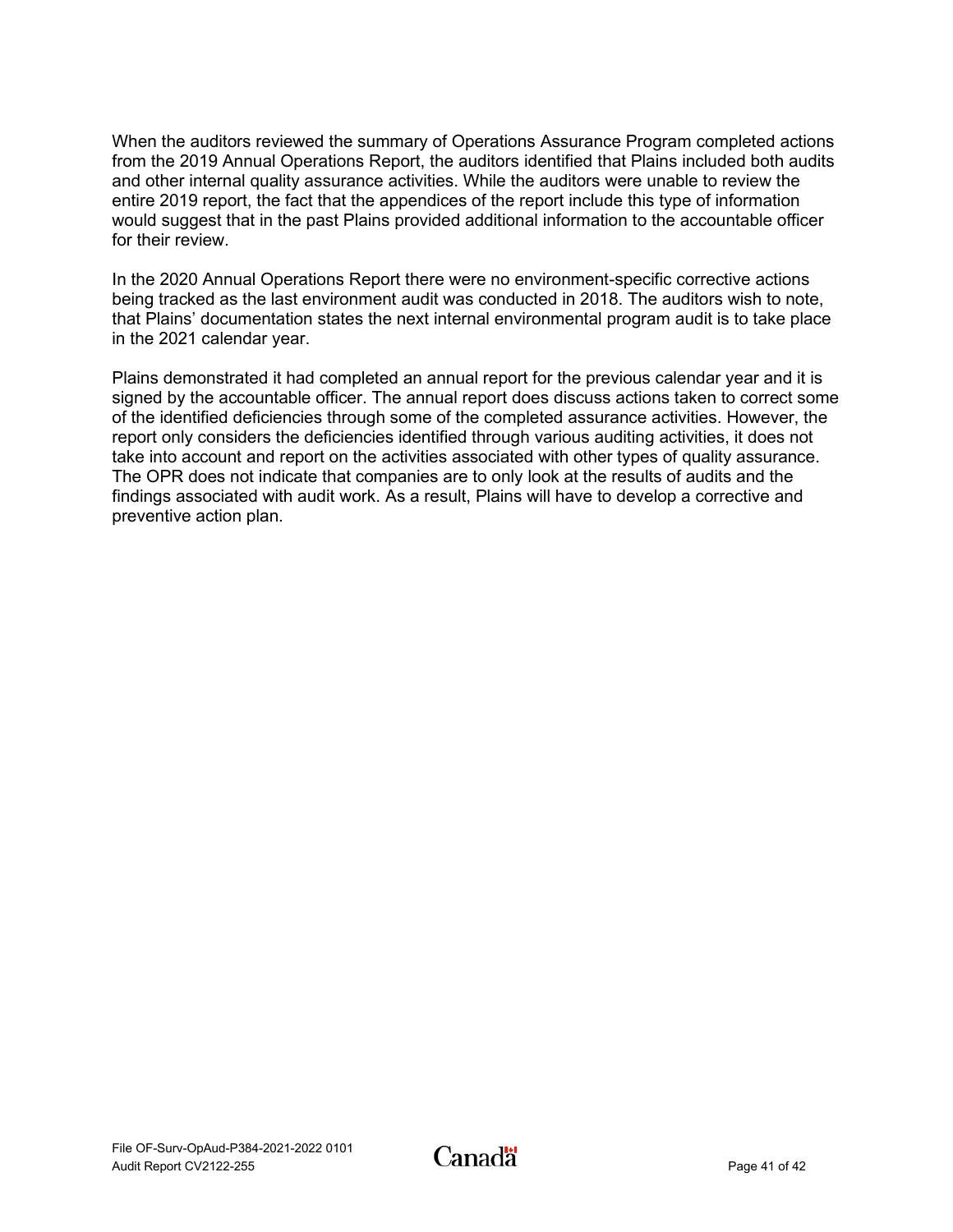When the auditors reviewed the summary of Operations Assurance Program completed actions from the 2019 Annual Operations Report, the auditors identified that Plains included both audits and other internal quality assurance activities. While the auditors were unable to review the entire 2019 report, the fact that the appendices of the report include this type of information would suggest that in the past Plains provided additional information to the accountable officer for their review.

In the 2020 Annual Operations Report there were no environment-specific corrective actions being tracked as the last environment audit was conducted in 2018. The auditors wish to note, that Plains' documentation states the next internal environmental program audit is to take place in the 2021 calendar year.

Plains demonstrated it had completed an annual report for the previous calendar year and it is signed by the accountable officer. The annual report does discuss actions taken to correct some of the identified deficiencies through some of the completed assurance activities. However, the report only considers the deficiencies identified through various auditing activities, it does not take into account and report on the activities associated with other types of quality assurance. The OPR does not indicate that companies are to only look at the results of audits and the findings associated with audit work. As a result, Plains will have to develop a corrective and preventive action plan.